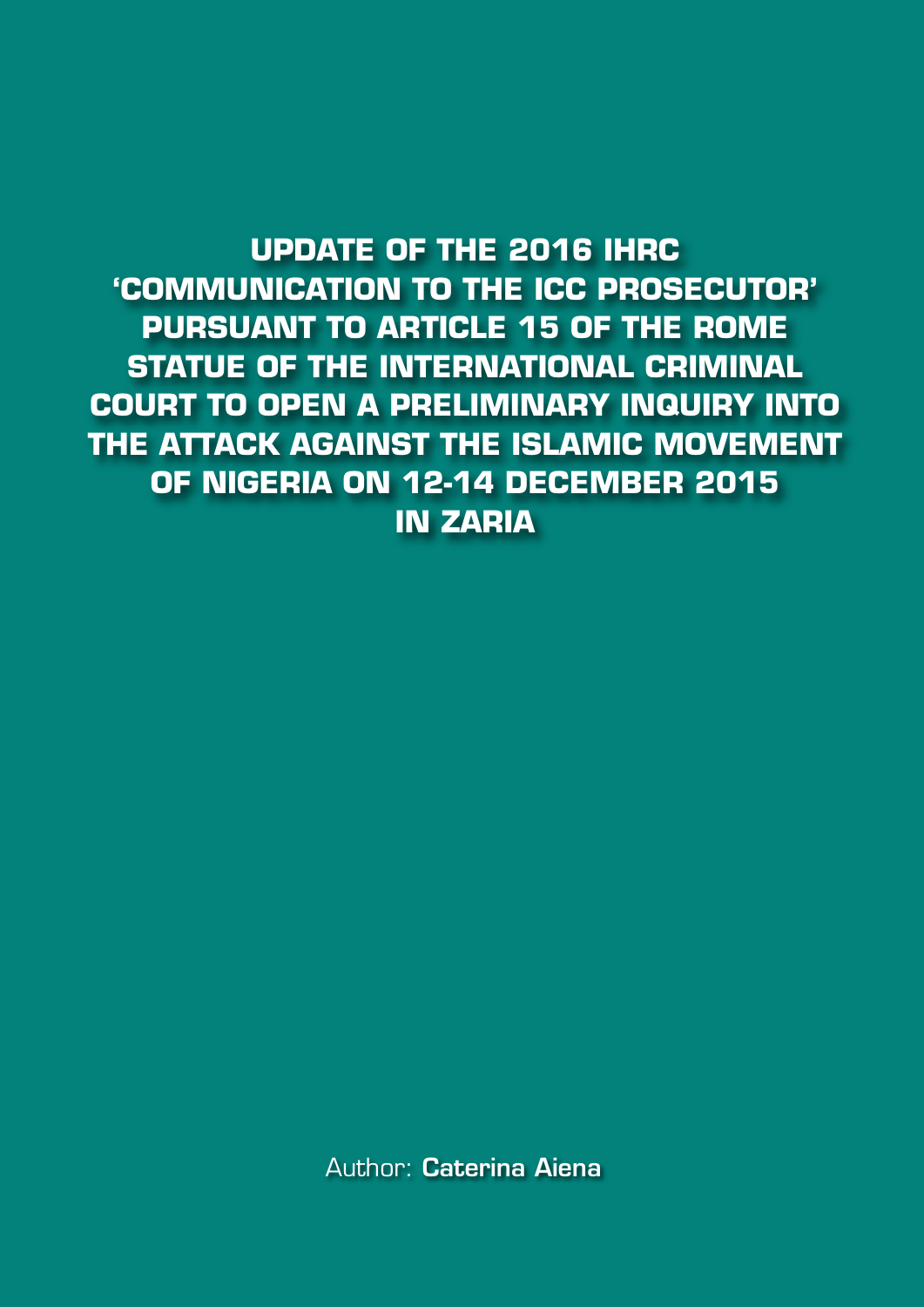**UPDATE OF THE 2016 IHRC 'COMMUNICATION TO THE ICC PROSECUTOR' PURSUANT TO ARTICLE 15 OF THE ROME STATUE OF THE INTERNATIONAL CRIMINAL COURT TO OPEN A PRELIMINARY INQUIRY INTO THE ATTACK AGAINST THE ISLAMIC MOVEMENT OF NIGERIA ON 12-14 DECEMBER 2015 IN ZARIA**

Author: **Caterina Aiena**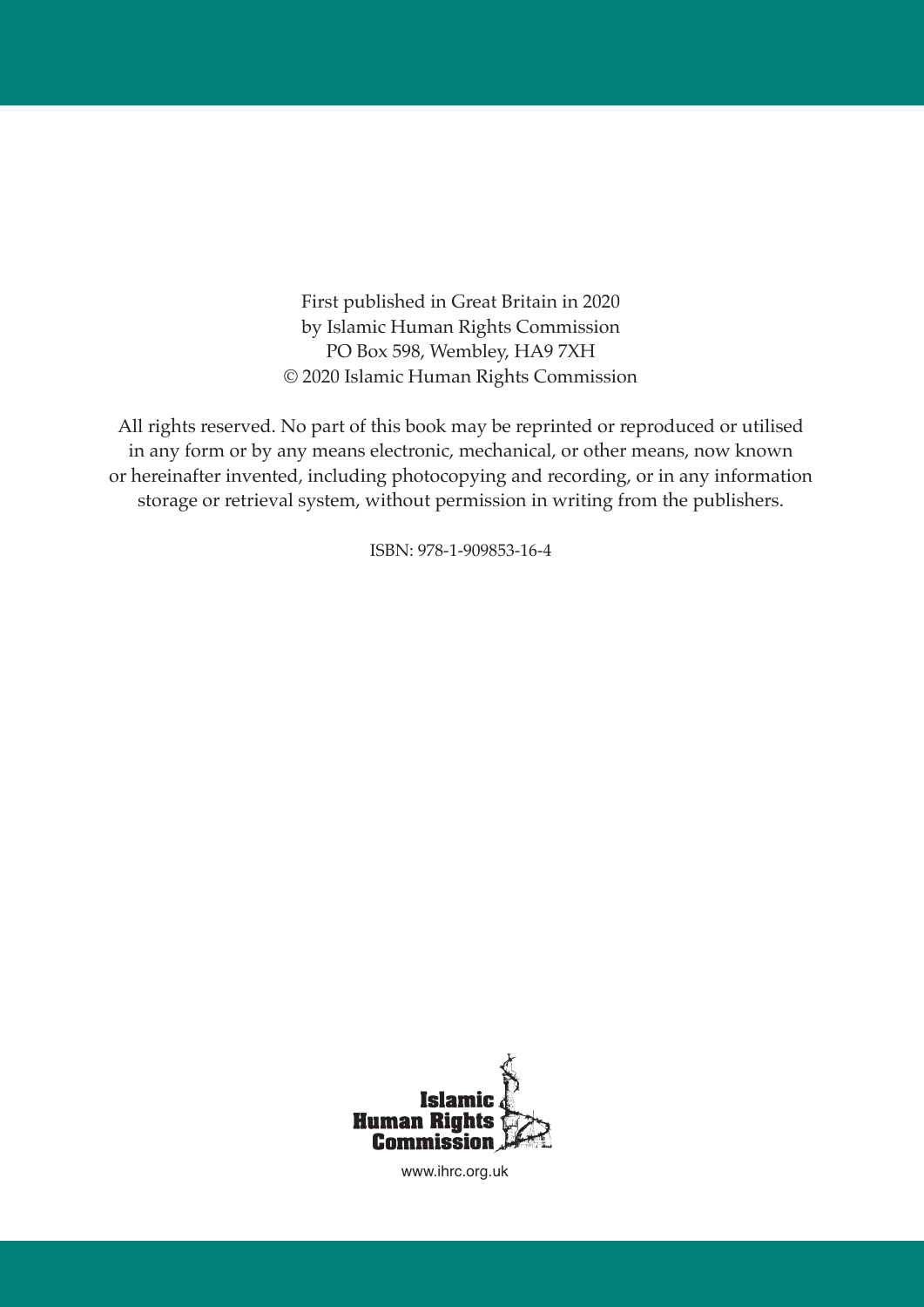First published in Great Britain in 2020 by Islamic Human Rights Commission PO Box 598, Wembley, HA9 7XH © 2020 Islamic Human Rights Commission

All rights reserved. No part of this book may be reprinted or reproduced or utilised in any form or by any means electronic, mechanical, or other means, now known or hereinafter invented, including photocopying and recording, or in any information storage or retrieval system, without permission in writing from the publishers.

ISBN: 978-1-909853-16-4



www.ihrc.org.uk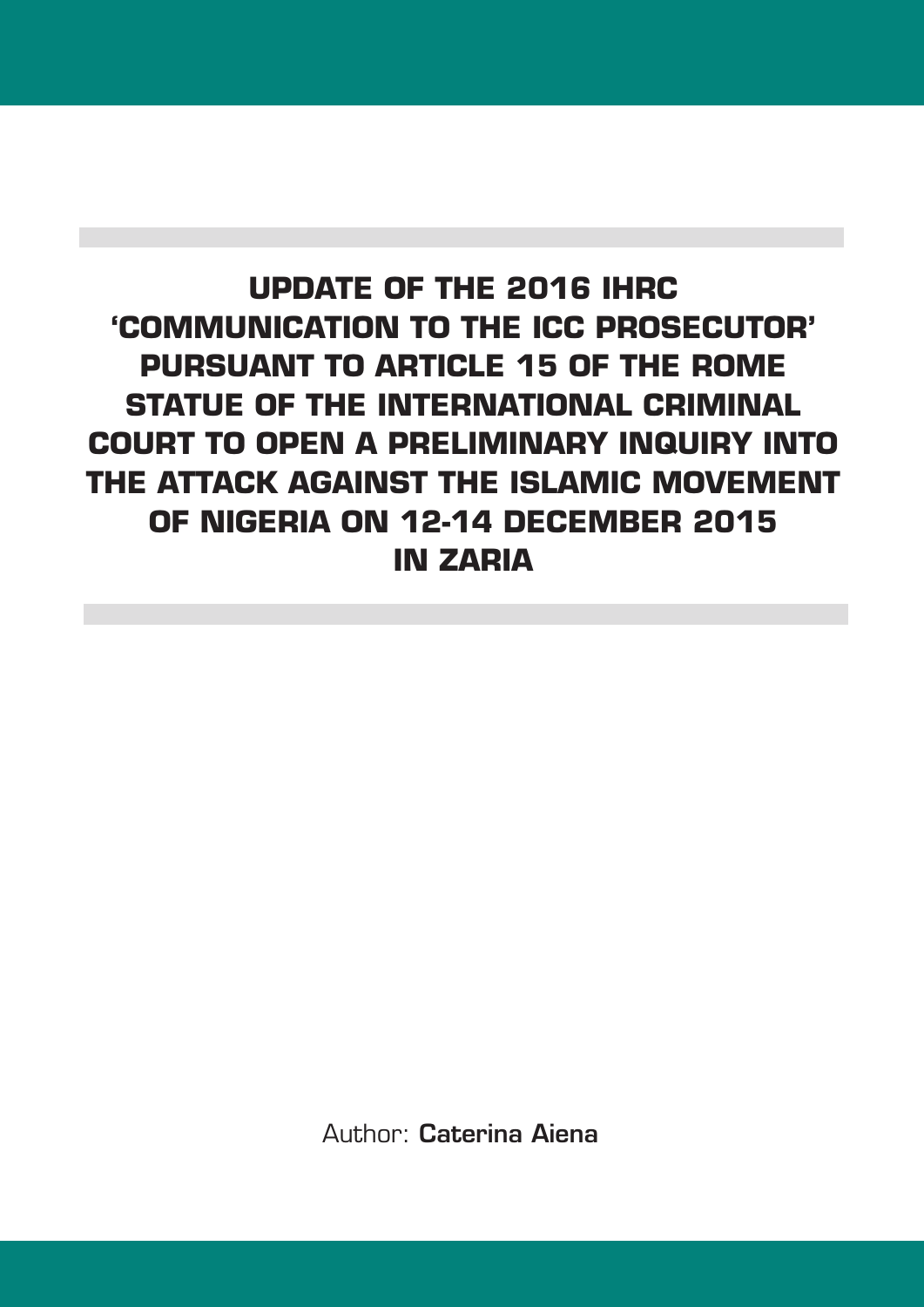# **UPDATE OF THE 2016 IHRC 'COMMUNICATION TO THE ICC PROSECUTOR' PURSUANT TO ARTICLE 15 OF THE ROME STATUE OF THE INTERNATIONAL CRIMINAL COURT TO OPEN A PRELIMINARY INQUIRY INTO THE ATTACK AGAINST THE ISLAMIC MOVEMENT OF NIGERIA ON 12-14 DECEMBER 2015 IN ZARIA**

Author: **Caterina Aiena**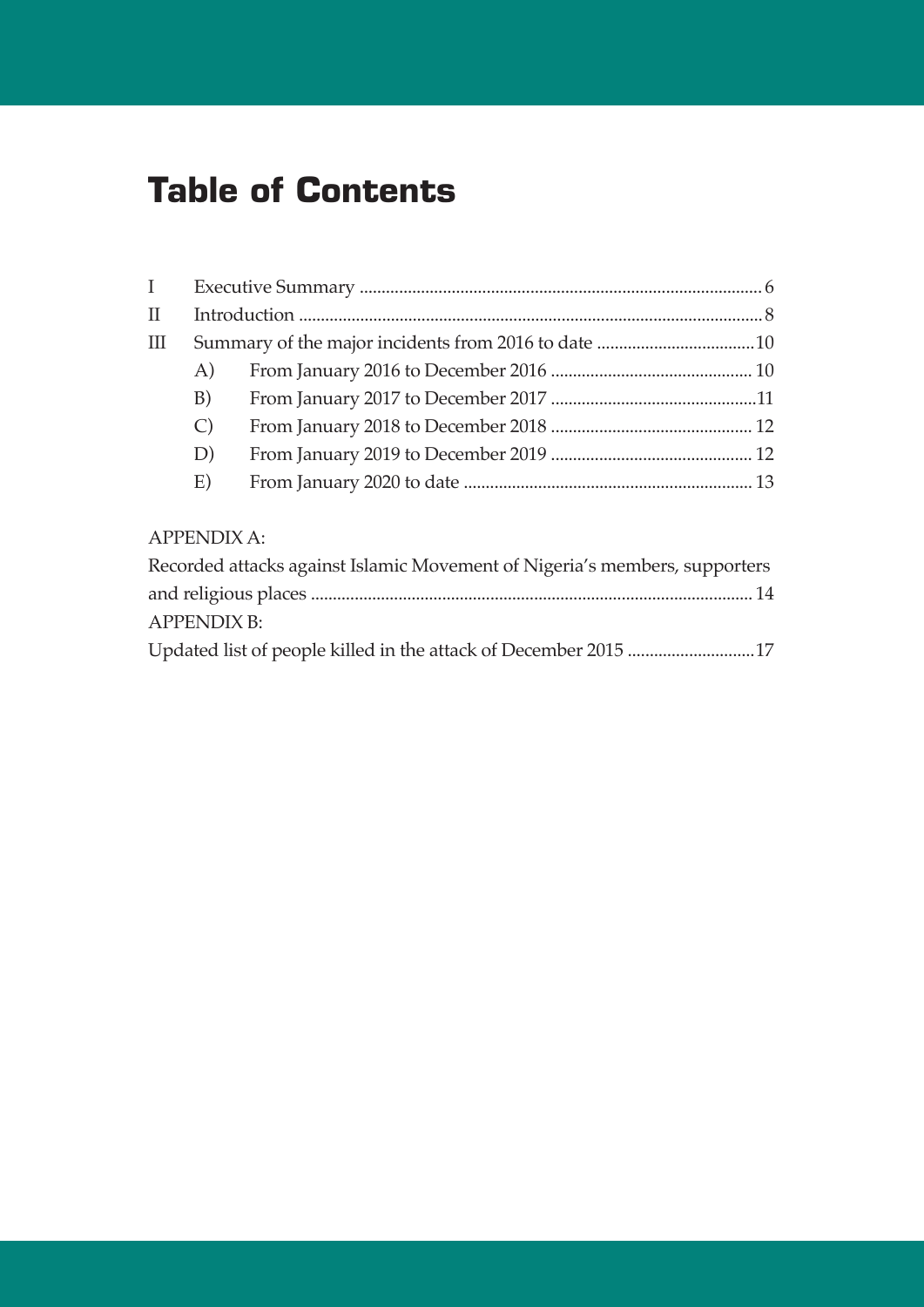# **Table of Contents**

| $\mathbf{I}$ |               |  |
|--------------|---------------|--|
| $\mathbf{I}$ |               |  |
| Ш            |               |  |
|              | A)            |  |
|              | B)            |  |
|              | $\mathcal{C}$ |  |
|              | D)            |  |
|              | E)            |  |

### APPENDIX A:

| Recorded attacks against Islamic Movement of Nigeria's members, supporters |  |
|----------------------------------------------------------------------------|--|
|                                                                            |  |
| <b>APPENDIX B:</b>                                                         |  |
|                                                                            |  |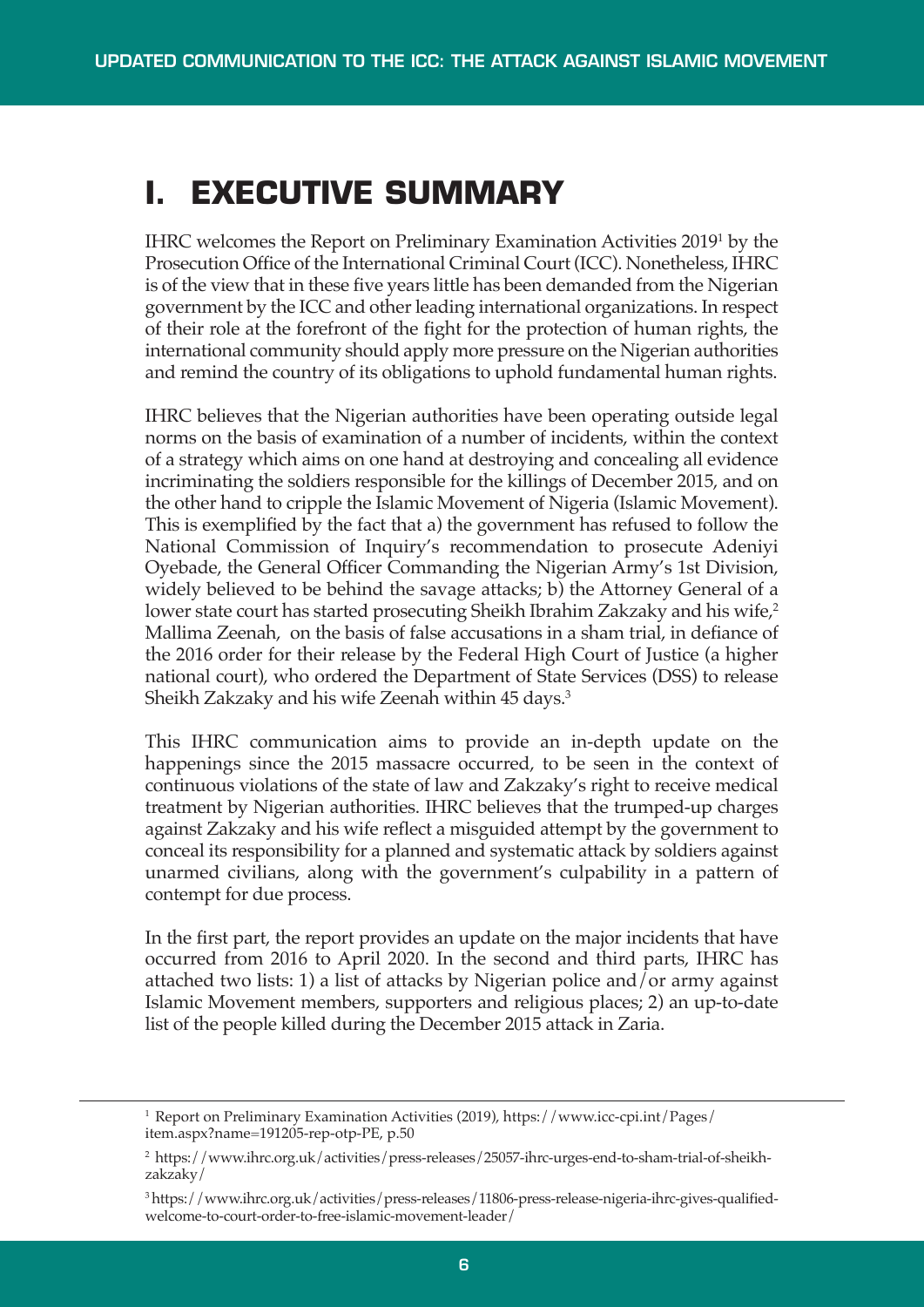# **I. EXECUTIVE SUMMARY**

IHRC welcomes the Report on Preliminary Examination Activities 20191 by the Prosecution Office of the International Criminal Court (ICC). Nonetheless, IHRC is of the view that in these five years little has been demanded from the Nigerian government by the ICC and otherleading international organizations. In respect of their role at the forefront of the fight for the protection of human rights, the international community should apply more pressure on the Nigerian authorities and remind the country of its obligations to uphold fundamental human rights.

IHRC believes that the Nigerian authorities have been operating outside legal norms on the basis of examination of a number of incidents, within the context of a strategy which aims on one hand at destroying and concealing all evidence incriminating the soldiers responsible for the killings of December 2015, and on the other hand to cripple the Islamic Movement of Nigeria (Islamic Movement). This is exemplified by the fact that a) the government has refused to follow the National Commission of Inquiry's recommendation to prosecute Adeniyi Oyebade, the General Officer Commanding the Nigerian Army's 1st Division, widely believed to be behind the savage attacks; b) the Attorney General of a lower state court has started prosecuting Sheikh Ibrahim Zakzaky and his wife, 2 Mallima Zeenah, on the basis of false accusations in a sham trial, in defiance of the 2016 order for their release by the Federal High Court of Justice (a higher national court), who ordered the Department of State Services (DSS) to release Sheikh Zakzaky and his wife Zeenah within 45 days. 3

This IHRC communication aims to provide an in-depth update on the happenings since the 2015 massacre occurred, to be seen in the context of continuous violations of the state of law and Zakzaky's right to receive medical treatment by Nigerian authorities. IHRC believes that the trumped-up charges against Zakzaky and his wife reflect a misguided attempt by the government to conceal its responsibility for a planned and systematic attack by soldiers against unarmed civilians, along with the government's culpability in a pattern of contempt for due process.

In the first part, the report provides an update on the major incidents that have occurred from 2016 to April 2020. In the second and third parts, IHRC has attached two lists: 1) a list of attacks by Nigerian police and/or army against Islamic Movement members, supporters and religious places; 2) an up-to-date list of the people killed during the December 2015 attack in Zaria.

<sup>1</sup> Report on Preliminary Examination Activities (2019), https://www.icc-cpi.int/Pages/ item.aspx?name=191205-rep-otp-PE, p.50

<sup>2</sup> https://www.ihrc.org.uk/activities/press-releases/25057-ihrc-urges-end-to-sham-trial-of-sheikhzakzaky/

<sup>3</sup> https://www.ihrc.org.uk/activities/press-releases/11806-press-release-nigeria-ihrc-gives-qualifiedwelcome-to-court-order-to-free-islamic-movement-leader/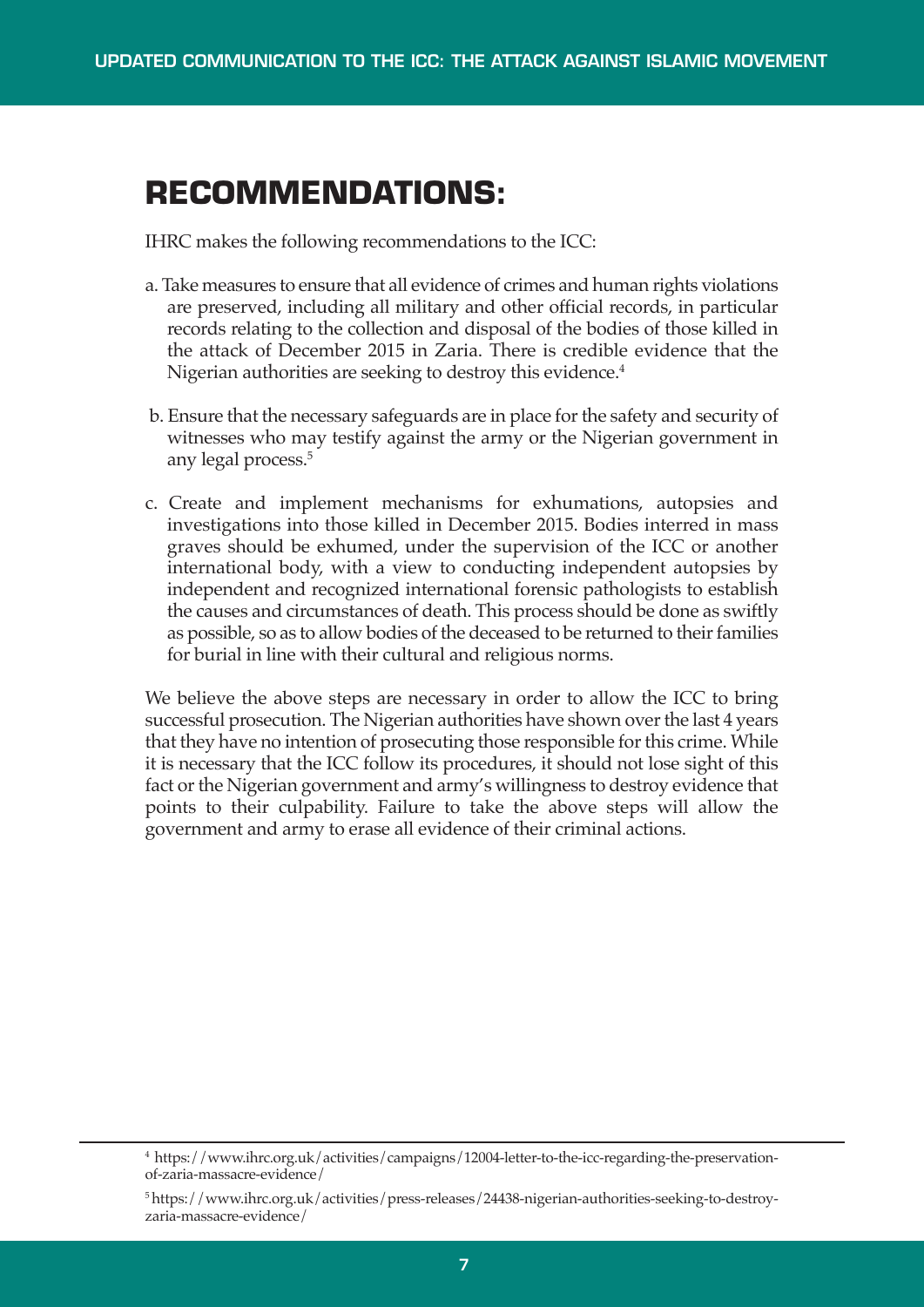# **RECOMMENDATIONS:**

IHRC makes the following recommendations to the ICC:

- a. Take measures to ensure that all evidence of crimes and human rights violations are preserved, including all military and other official records, in particular records relating to the collection and disposal of the bodies of those killed in the attack of December 2015 in Zaria. There is credible evidence that the Nigerian authorities are seeking to destroy this evidence. 4
- b. Ensure that the necessary safeguards are in place forthe safety and security of witnesses who may testify against the army or the Nigerian government in any legal process. 5
- c. Create and implement mechanisms for exhumations, autopsies and investigations into those killed in December 2015. Bodies interred in mass graves should be exhumed, under the supervision of the ICC or another international body, with a view to conducting independent autopsies by independent and recognized international forensic pathologists to establish the causes and circumstances of death. This process should be done as swiftly as possible, so as to allow bodies of the deceased to be returned to their families for burial in line with their cultural and religious norms.

We believe the above steps are necessary in order to allow the ICC to bring successful prosecution. The Nigerian authorities have shown over the last 4 years that they have no intention of prosecuting those responsible for this crime. While it is necessary that the ICC follow its procedures, it should not lose sight of this fact or the Nigerian government and army's willingness to destroy evidence that points to their culpability. Failure to take the above steps will allow the government and army to erase all evidence of their criminal actions.

<sup>4</sup> https://www.ihrc.org.uk/activities/campaigns/12004-letter-to-the-icc-regarding-the-preservationof-zaria-massacre-evidence/

<sup>5</sup> https://www.ihrc.org.uk/activities/press-releases/24438-nigerian-authorities-seeking-to-destroyzaria-massacre-evidence/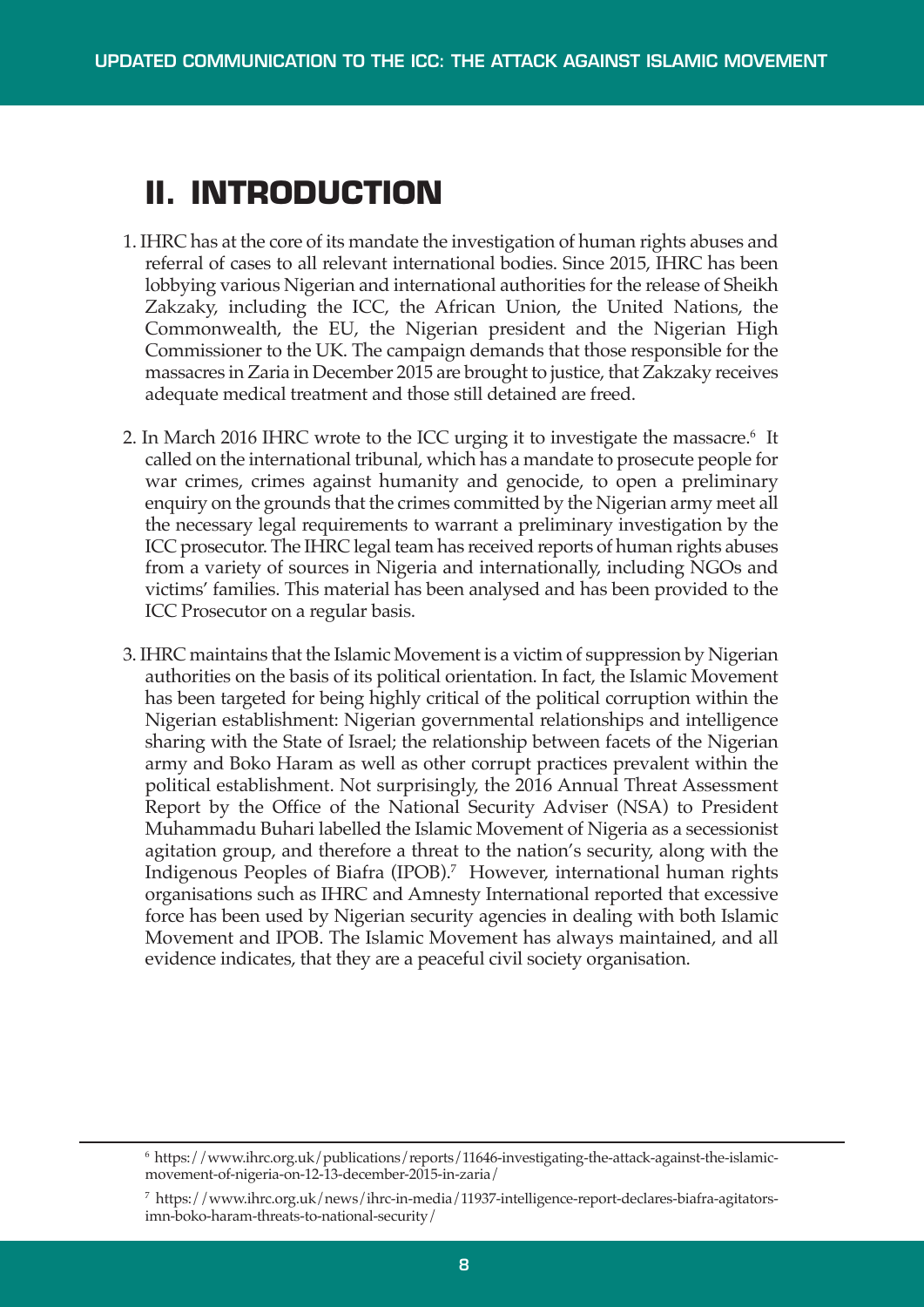# **II. INTRODUCTION**

- 1. IHRC has at the core of its mandate the investigation of human rights abuses and referral of cases to all relevant international bodies. Since 2015, IHRC has been lobbying various Nigerian and international authorities for the release of Sheikh Zakzaky, including the ICC, the African Union, the United Nations, the Commonwealth, the EU, the Nigerian president and the Nigerian High Commissioner to the UK. The campaign demands that those responsible for the massacres in Zaria in December 2015 are brought to justice, that Zakzaky receives adequate medical treatment and those still detained are freed.
- 2. In March 2016 IHRC wrote to the ICC urging it to investigate the massacre.<sup>6</sup> It called on the international tribunal, which has a mandate to prosecute people for war crimes, crimes against humanity and genocide, to open a preliminary enquiry on the grounds that the crimes committed by the Nigerian army meet all the necessary legal requirements to warrant a preliminary investigation by the ICC prosecutor. The IHRC legal team has received reports of human rights abuses from a variety of sources in Nigeria and internationally, including NGOs and victims' families. This material has been analysed and has been provided to the ICC Prosecutor on a regular basis.
- 3. IHRC maintains that the Islamic Movement is a victim of suppression by Nigerian authorities on the basis of its political orientation. In fact, the Islamic Movement has been targeted for being highly critical of the political corruption within the Nigerian establishment: Nigerian governmental relationships and intelligence sharing with the State of Israel; the relationship between facets of the Nigerian army and Boko Haram as well as other corrupt practices prevalent within the political establishment. Not surprisingly, the 2016 Annual Threat Assessment Report by the Office of the National Security Adviser (NSA) to President Muhammadu Buhari labelled the Islamic Movement of Nigeria as a secessionist agitation group, and therefore a threat to the nation's security, along with the Indigenous Peoples of Biafra (IPOB). <sup>7</sup> However, international human rights organisations such as IHRC and Amnesty International reported that excessive force has been used by Nigerian security agencies in dealing with both Islamic Movement and IPOB. The Islamic Movement has always maintained, and all evidence indicates, that they are a peaceful civil society organisation.

<sup>6</sup> https://www.ihrc.org.uk/publications/reports/11646-investigating-the-attack-against-the-islamicmovement-of-nigeria-on-12-13-december-2015-in-zaria/

<sup>7</sup> https://www.ihrc.org.uk/news/ihrc-in-media/11937-intelligence-report-declares-biafra-agitatorsimn-boko-haram-threats-to-national-security/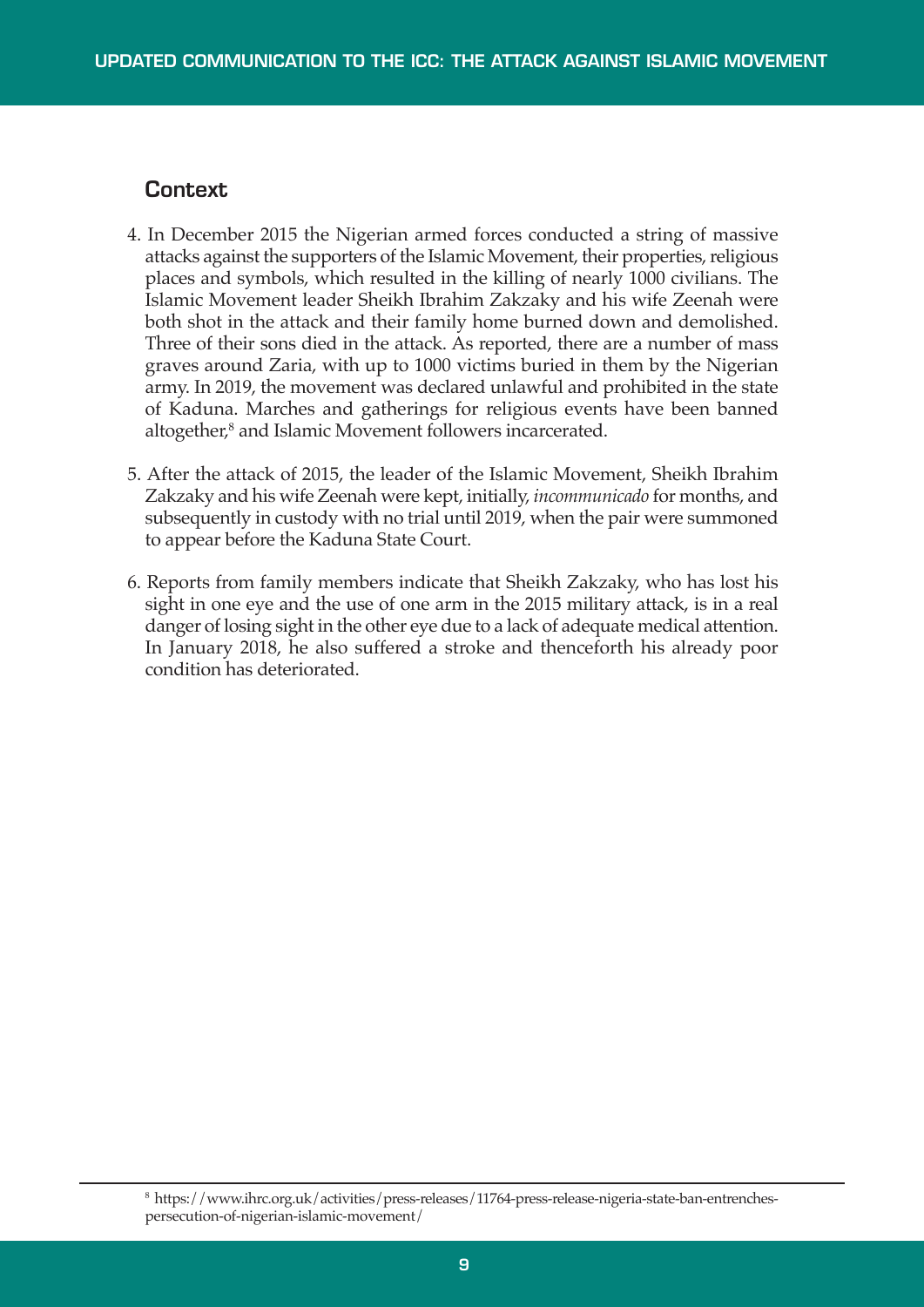#### **Context**

- 4. In December 2015 the Nigerian armed forces conducted a string of massive attacks against the supporters of the Islamic Movement, their properties,religious places and symbols, which resulted in the killing of nearly 1000 civilians. The Islamic Movement leader Sheikh Ibrahim Zakzaky and his wife Zeenah were both shot in the attack and their family home burned down and demolished. Three of their sons died in the attack. As reported, there are a number of mass graves around Zaria, with up to 1000 victims buried in them by the Nigerian army. In 2019, the movement was declared unlawful and prohibited in the state of Kaduna. Marches and gatherings for religious events have been banned altogether, <sup>8</sup> and Islamic Movement followers incarcerated.
- 5. After the attack of 2015, the leader of the Islamic Movement, Sheikh Ibrahim Zakzaky and his wife Zeenah were kept, initially, *incommunicado* for months, and subsequently in custody with no trial until 2019, when the pair were summoned to appear before the Kaduna State Court.
- 6. Reports from family members indicate that Sheikh Zakzaky, who has lost his sight in one eye and the use of one arm in the 2015 military attack, is in a real danger of losing sight in the other eye due to a lack of adequate medical attention. In January 2018, he also suffered a stroke and thenceforth his already poor condition has deteriorated.

<sup>8</sup> https://www.ihrc.org.uk/activities/press-releases/11764-press-release-nigeria-state-ban-entrenchespersecution-of-nigerian-islamic-movement/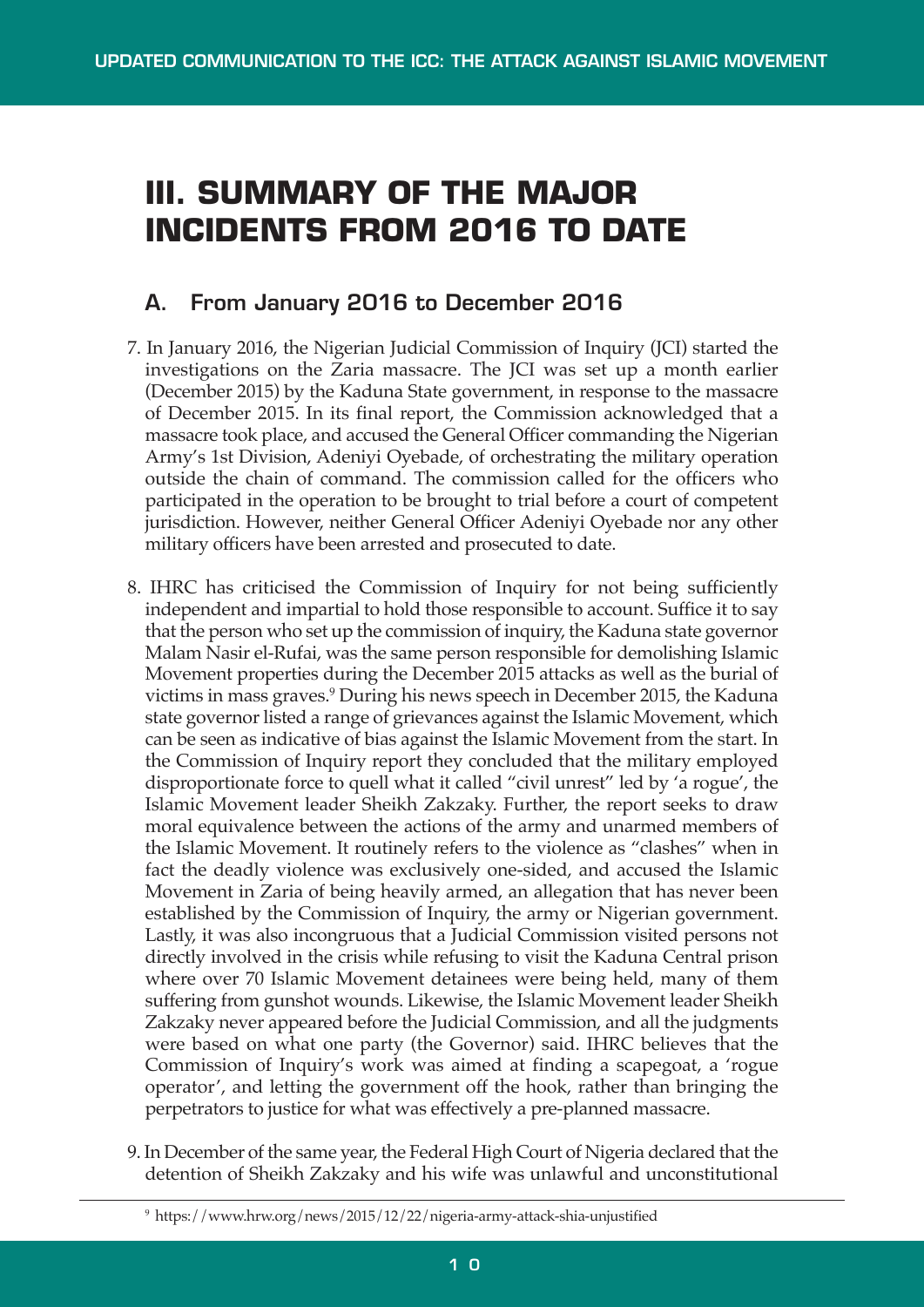# **III. SUMMARY OF THE MAJOR INCIDENTS FROM 2016 TO DATE**

### **A. From January 2016 to December 2016**

- 7. In January 2016, the Nigerian Judicial Commission of Inquiry (JCI) started the investigations on the Zaria massacre. The JCI was set up a month earlier (December 2015) by the Kaduna State government, in response to the massacre of December 2015. In its final report, the Commission acknowledged that a massacre took place, and accused the General Officer commanding the Nigerian Army's 1st Division, Adeniyi Oyebade, of orchestrating the military operation outside the chain of command. The commission called for the officers who participated in the operation to be brought to trial before a court of competent jurisdiction. However, neither General Officer Adeniyi Oyebade nor any other military officers have been arrested and prosecuted to date.
- 8. IHRC has criticised the Commission of Inquiry for not being sufficiently independent and impartial to hold those responsible to account. Suffice it to say that the person who set up the commission of inquiry, the Kaduna state governor Malam Nasir el-Rufai, was the same person responsible for demolishing Islamic Movement properties during the December 2015 attacks as well as the burial of victims in mass graves. <sup>9</sup> During his news speech in December 2015, the Kaduna state governor listed a range of grievances against the Islamic Movement, which can be seen as indicative of bias against the Islamic Movement from the start. In the Commission of Inquiry report they concluded that the military employed disproportionate force to quell what it called "civil unrest" led by 'a rogue', the Islamic Movement leader Sheikh Zakzaky. Further, the report seeks to draw moral equivalence between the actions of the army and unarmed members of the Islamic Movement. It routinely refers to the violence as "clashes" when in fact the deadly violence was exclusively one-sided, and accused the Islamic Movement in Zaria of being heavily armed, an allegation that has never been established by the Commission of Inquiry, the army or Nigerian government. Lastly, it was also incongruous that a Judicial Commission visited persons not directly involved in the crisis while refusing to visit the Kaduna Central prison where over 70 Islamic Movement detainees were being held, many of them suffering from gunshot wounds. Likewise, the Islamic Movement leader Sheikh Zakzaky never appeared before the Judicial Commission, and all the judgments were based on what one party (the Governor) said. IHRC believes that the Commission of Inquiry's work was aimed at finding a scapegoat, a 'rogue operator', and letting the government off the hook, rather than bringing the perpetrators to justice for what was effectively a pre-planned massacre.
- 9. In December of the same year, the Federal High Court of Nigeria declared that the detention of Sheikh Zakzaky and his wife was unlawful and unconstitutional

<sup>9</sup> https://www.hrw.org/news/2015/12/22/nigeria-army-attack-shia-unjustified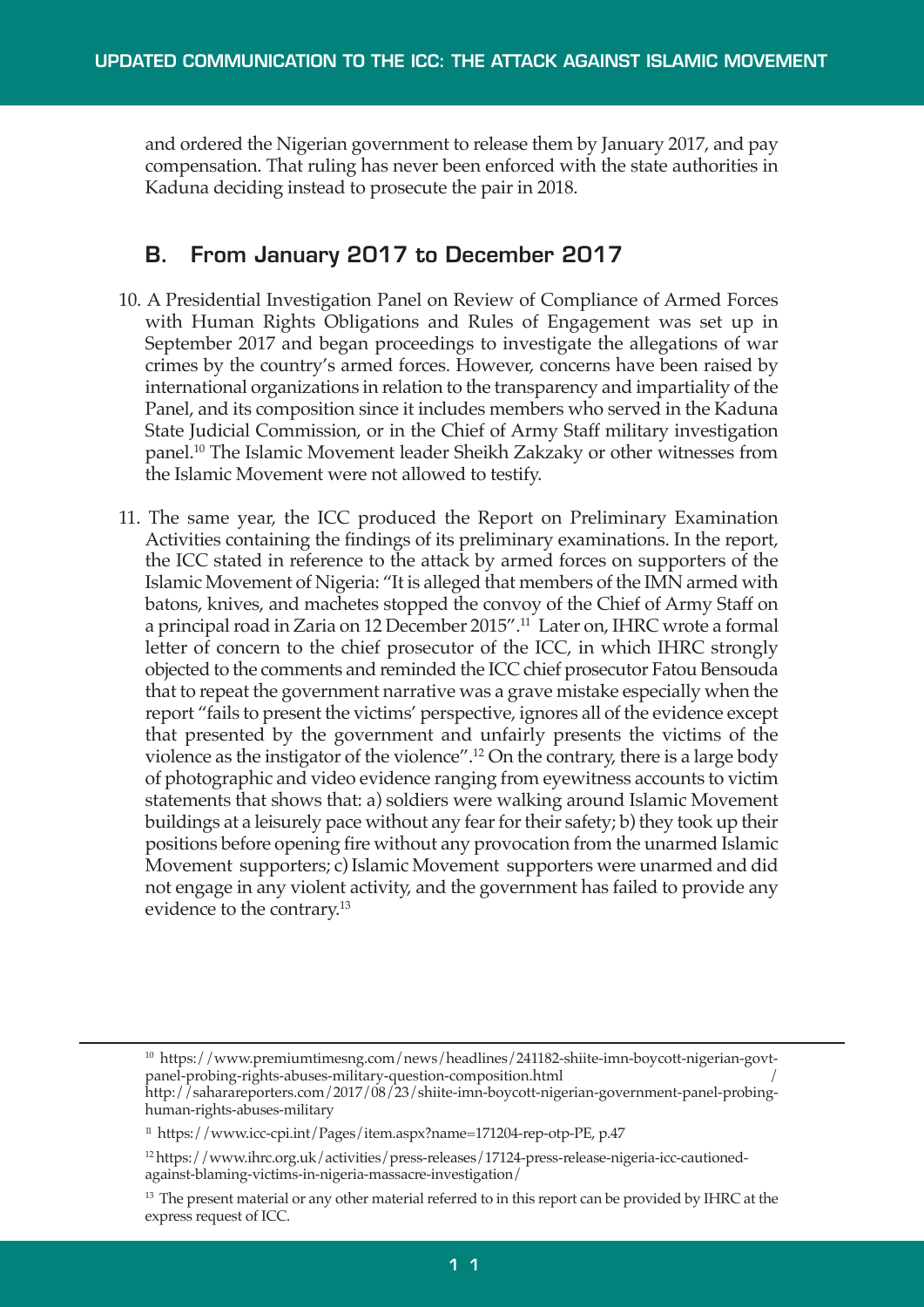and ordered the Nigerian government to release them by January 2017, and pay compensation. That ruling has never been enforced with the state authorities in Kaduna deciding instead to prosecute the pair in 2018.

### **B. From January 2017 to December 2017**

- 10. A Presidential Investigation Panel on Review of Compliance of Armed Forces with Human Rights Obligations and Rules of Engagement was set up in September 2017 and began proceedings to investigate the allegations of war crimes by the country's armed forces. However, concerns have been raised by international organizations in relation to the transparency and impartiality of the Panel, and its composition since it includes members who served in the Kaduna State Judicial Commission, or in the Chief of Army Staff military investigation panel. <sup>10</sup> The Islamic Movement leader Sheikh Zakzaky or other witnesses from the Islamic Movement were not allowed to testify.
- 11. The same year, the ICC produced the Report on Preliminary Examination Activities containing the findings of its preliminary examinations. In the report, the ICC stated in reference to the attack by armed forces on supporters of the Islamic Movement of Nigeria: "It is alleged that members of the IMN armed with batons, knives, and machetes stopped the convoy of the Chief of Army Staff on a principal road in Zaria on 12 December 2015".<sup>11</sup> Later on, IHRC wrote a formal letter of concern to the chief prosecutor of the ICC, in which IHRC strongly objected to the comments and reminded the ICC chief prosecutor Fatou Bensouda that to repeat the government narrative was a grave mistake especially when the report "fails to present the victims' perspective, ignores all of the evidence except that presented by the government and unfairly presents the victims of the violence as the instigator of the violence". <sup>12</sup> On the contrary, there is a large body of photographic and video evidence ranging from eyewitness accounts to victim statements that shows that: a) soldiers were walking around Islamic Movement buildings at a leisurely pace without any fear for their safety; b) they took up their positions before opening fire without any provocation from the unarmed Islamic Movement supporters; c) Islamic Movement supporters were unarmed and did not engage in any violent activity, and the government has failed to provide any evidence to the contrary. 13

<sup>&</sup>lt;sup>10</sup> https://www.premiumtimesng.com/news/headlines/241182-shiite-imn-boycott-nigerian-govtpanel-probing-rights-abuses-military-question-composition.html / http://saharareporters.com/2017/08/23/shiite-imn-boycott-nigerian-government-panel-probing-

human-rights-abuses-military

<sup>11</sup> https://www.icc-cpi.int/Pages/item.aspx?name=171204-rep-otp-PE, p.47

<sup>&</sup>lt;sup>12</sup> https://www.ihrc.org.uk/activities/press-releases/17124-press-release-nigeria-icc-cautionedagainst-blaming-victims-in-nigeria-massacre-investigation/

<sup>&</sup>lt;sup>13</sup> The present material or any other material referred to in this report can be provided by IHRC at the express request of ICC.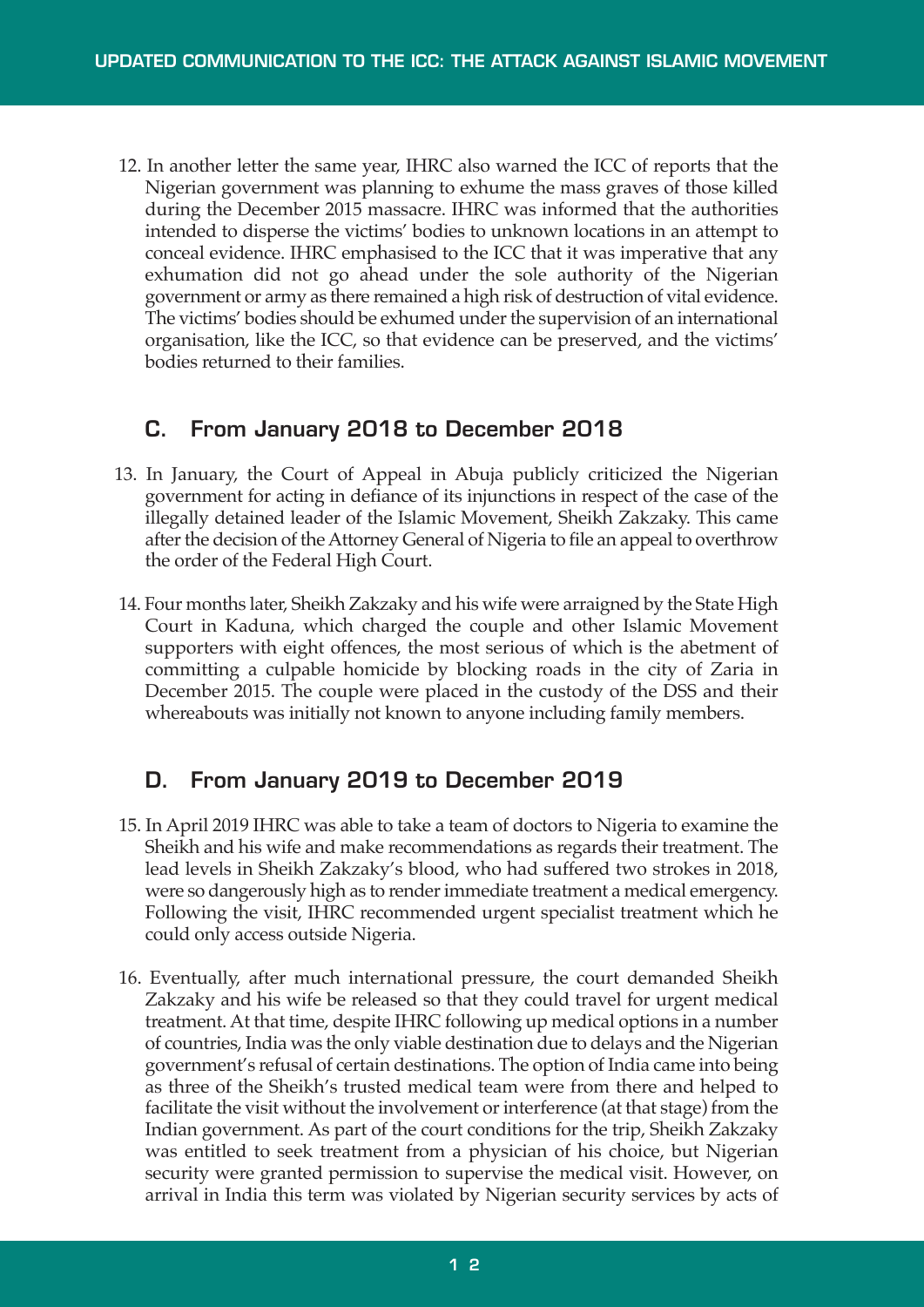12. In another letter the same year, IHRC also warned the ICC of reports that the Nigerian government was planning to exhume the mass graves of those killed during the December 2015 massacre. IHRC was informed that the authorities intended to disperse the victims' bodies to unknown locations in an attempt to conceal evidence. IHRC emphasised to the ICC that it was imperative that any exhumation did not go ahead under the sole authority of the Nigerian government or army as there remained a high risk of destruction of vital evidence. The victims' bodies should be exhumed under the supervision of an international organisation, like the ICC, so that evidence can be preserved, and the victims' bodies returned to their families.

### **C. From January 2018 to December 2018**

- 13. In January, the Court of Appeal in Abuja publicly criticized the Nigerian government for acting in defiance of its injunctions in respect of the case of the illegally detained leader of the Islamic Movement, Sheikh Zakzaky. This came after the decision of the Attorney General of Nigeria to file an appeal to overthrow the order of the Federal High Court.
- 14. Four months later, Sheikh Zakzaky and his wife were arraigned by the State High Court in Kaduna, which charged the couple and other Islamic Movement supporters with eight offences, the most serious of which is the abetment of committing a culpable homicide by blocking roads in the city of Zaria in December 2015. The couple were placed in the custody of the DSS and their whereabouts was initially not known to anyone including family members.

## **D. From January 2019 to December 2019**

- 15. In April 2019 IHRC was able to take a team of doctors to Nigeria to examine the Sheikh and his wife and make recommendations as regards their treatment. The lead levels in Sheikh Zakzaky's blood, who had suffered two strokes in 2018, were so dangerously high as to renderimmediate treatment a medical emergency. Following the visit, IHRC recommended urgent specialist treatment which he could only access outside Nigeria.
- 16. Eventually, after much international pressure, the court demanded Sheikh Zakzaky and his wife be released so that they could travel for urgent medical treatment. At that time, despite IHRC following up medical options in a number of countries, India was the only viable destination due to delays and the Nigerian government's refusal of certain destinations. The option of India came into being as three of the Sheikh's trusted medical team were from there and helped to facilitate the visit without the involvement or interference (at that stage) from the Indian government. As part of the court conditions for the trip, Sheikh Zakzaky was entitled to seek treatment from a physician of his choice, but Nigerian security were granted permission to supervise the medical visit. However, on arrival in India this term was violated by Nigerian security services by acts of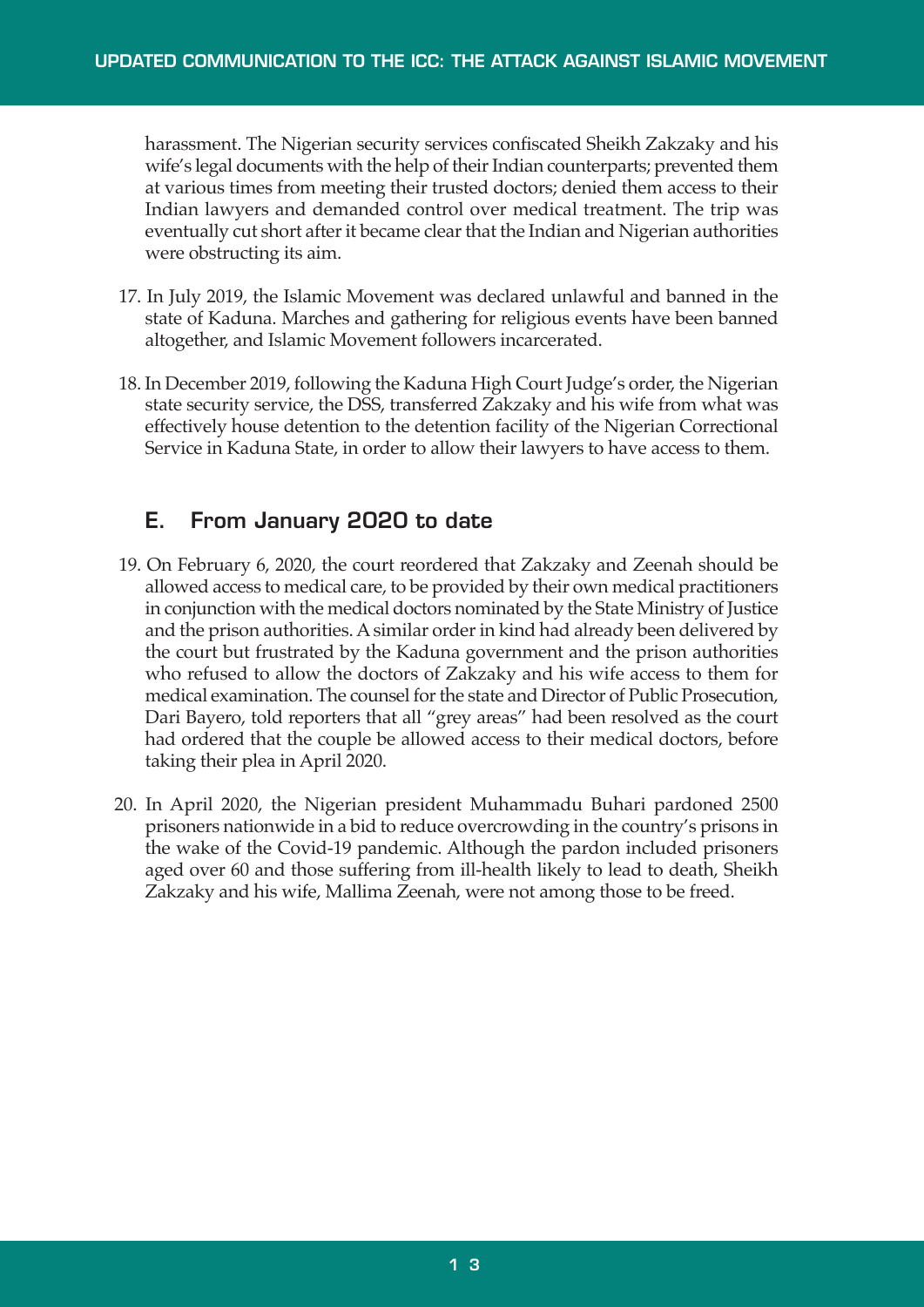harassment. The Nigerian security services confiscated Sheikh Zakzaky and his wife's legal documents with the help of their Indian counterparts; prevented them at various times from meeting their trusted doctors; denied them access to their Indian lawyers and demanded control over medical treatment. The trip was eventually cut short after it became clear that the Indian and Nigerian authorities were obstructing its aim.

- 17. In July 2019, the Islamic Movement was declared unlawful and banned in the state of Kaduna. Marches and gathering for religious events have been banned altogether, and Islamic Movement followers incarcerated.
- 18. In December 2019, following the Kaduna High Court Judge's order, the Nigerian state security service, the DSS, transferred Zakzaky and his wife from what was effectively house detention to the detention facility of the Nigerian Correctional Service in Kaduna State, in order to allow their lawyers to have access to them.

### **E. From January 2020 to date**

- 19. On February 6, 2020, the court reordered that Zakzaky and Zeenah should be allowed access to medical care, to be provided by their own medical practitioners in conjunction with the medical doctors nominated by the State Ministry of Justice and the prison authorities. A similar order in kind had already been delivered by the court but frustrated by the Kaduna government and the prison authorities who refused to allow the doctors of Zakzaky and his wife access to them for medical examination. The counsel forthe state and Director of Public Prosecution, Dari Bayero, told reporters that all "grey areas" had been resolved as the court had ordered that the couple be allowed access to their medical doctors, before taking their plea in April 2020.
- 20. In April 2020, the Nigerian president Muhammadu Buhari pardoned 2500 prisoners nationwide in a bid to reduce overcrowding in the country's prisons in the wake of the Covid-19 pandemic. Although the pardon included prisoners aged over 60 and those suffering from ill-health likely to lead to death, Sheikh Zakzaky and his wife, Mallima Zeenah, were not among those to be freed.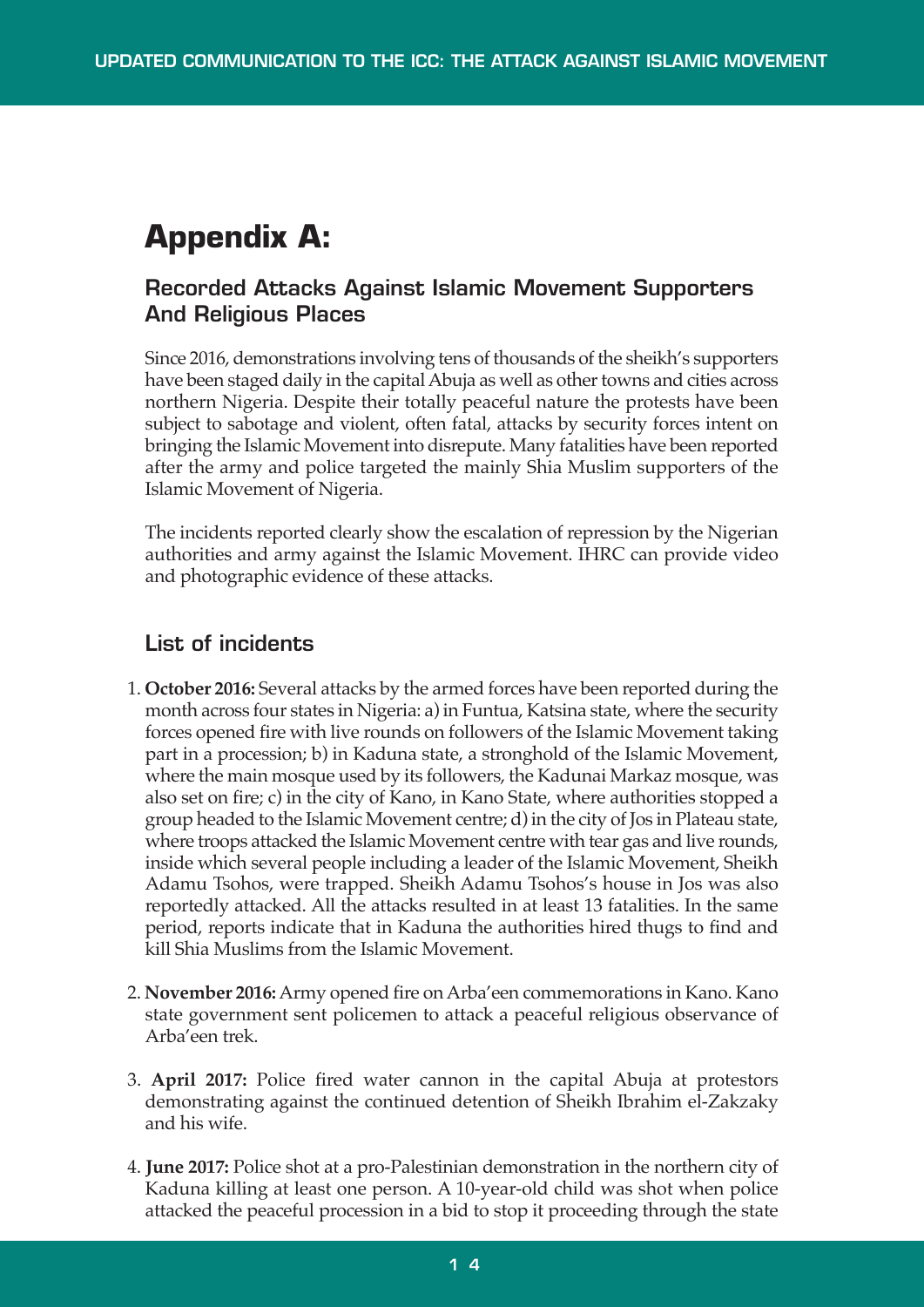# **Appendix A:**

### **Recorded Attacks Against Islamic Movement Supporters And Religious Places**

Since 2016, demonstrations involving tens of thousands of the sheikh's supporters have been staged daily in the capital Abuja as well as other towns and cities across northern Nigeria. Despite their totally peaceful nature the protests have been subject to sabotage and violent, often fatal, attacks by security forces intent on bringing the Islamic Movement into disrepute. Many fatalities have been reported after the army and police targeted the mainly Shia Muslim supporters of the Islamic Movement of Nigeria.

The incidents reported clearly show the escalation of repression by the Nigerian authorities and army against the Islamic Movement. IHRC can provide video and photographic evidence of these attacks.

### **List of incidents**

- 1. **October 2016:** Several attacks by the armed forces have been reported during the month across four states in Nigeria: a) in Funtua, Katsina state, where the security forces opened fire with live rounds on followers of the Islamic Movement taking part in a procession; b) in Kaduna state, a stronghold of the Islamic Movement, where the main mosque used by its followers, the Kadunai Markaz mosque, was also set on fire; c) in the city of Kano, in Kano State, where authorities stopped a group headed to the Islamic Movement centre; d) in the city of Jos in Plateau state, where troops attacked the Islamic Movement centre with tear gas and live rounds, inside which several people including a leader of the Islamic Movement, Sheikh Adamu Tsohos, were trapped. Sheikh Adamu Tsohos's house in Jos was also reportedly attacked. All the attacks resulted in at least 13 fatalities. In the same period, reports indicate that in Kaduna the authorities hired thugs to find and kill Shia Muslims from the Islamic Movement.
- 2. **November 2016:**Army opened fire onArba'een commemorations in Kano. Kano state government sent policemen to attack a peaceful religious observance of Arba'een trek.
- 3. **April 2017:** Police fired water cannon in the capital Abuja at protestors demonstrating against the continued detention of Sheikh Ibrahim el-Zakzaky and his wife.
- 4. **June 2017:** Police shot at a pro-Palestinian demonstration in the northern city of Kaduna killing at least one person. A 10-year-old child was shot when police attacked the peaceful procession in a bid to stop it proceeding through the state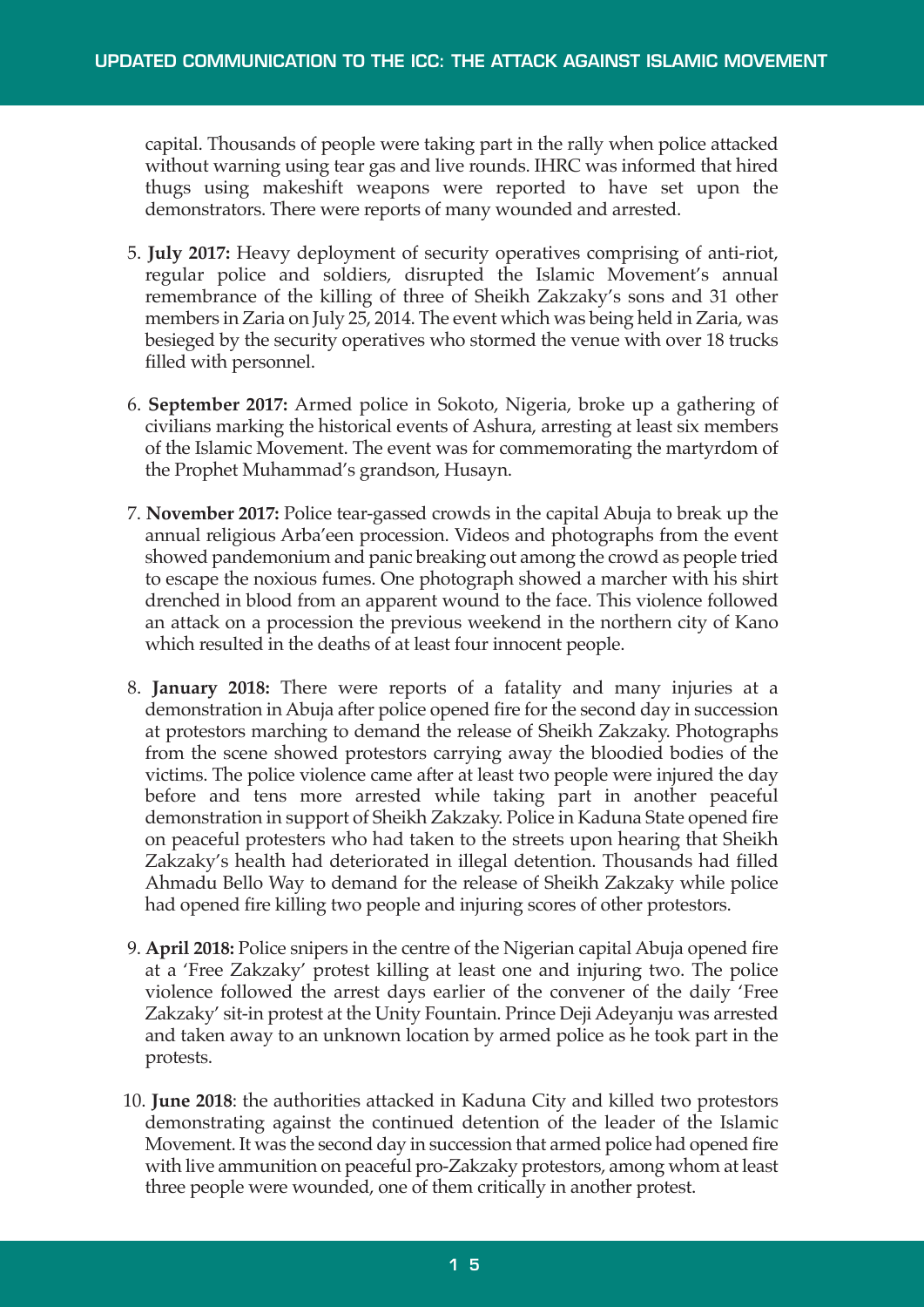capital. Thousands of people were taking part in the rally when police attacked without warning using tear gas and live rounds. IHRC was informed that hired thugs using makeshift weapons were reported to have set upon the demonstrators. There were reports of many wounded and arrested.

- 5. **July 2017:** Heavy deployment of security operatives comprising of anti-riot, regular police and soldiers, disrupted the Islamic Movement's annual remembrance of the killing of three of Sheikh Zakzaky's sons and 31 other members in Zaria on July 25, 2014. The event which was being held in Zaria, was besieged by the security operatives who stormed the venue with over 18 trucks filled with personnel.
- 6. **September 2017:** Armed police in Sokoto, Nigeria, broke up a gathering of civilians marking the historical events of Ashura, arresting at least six members of the Islamic Movement. The event was for commemorating the martyrdom of the Prophet Muhammad's grandson, Husayn.
- 7. **November 2017:** Police tear-gassed crowds in the capital Abuja to break up the annual religious Arba'een procession. Videos and photographs from the event showed pandemonium and panic breaking out among the crowd as people tried to escape the noxious fumes. One photograph showed a marcher with his shirt drenched in blood from an apparent wound to the face. This violence followed an attack on a procession the previous weekend in the northern city of Kano which resulted in the deaths of at least four innocent people.
- 8. **January 2018:** There were reports of a fatality and many injuries at a demonstration in Abuja after police opened fire for the second day in succession at protestors marching to demand the release of Sheikh Zakzaky. Photographs from the scene showed protestors carrying away the bloodied bodies of the victims. The police violence came after at least two people were injured the day before and tens more arrested while taking part in another peaceful demonstration in support of Sheikh Zakzaky. Police in Kaduna State opened fire on peaceful protesters who had taken to the streets upon hearing that Sheikh Zakzaky's health had deteriorated in illegal detention. Thousands had filled Ahmadu Bello Way to demand for the release of Sheikh Zakzaky while police had opened fire killing two people and injuring scores of other protestors.
- 9. **April 2018:** Police snipers in the centre of the Nigerian capital Abuja opened fire at a 'Free Zakzaky' protest killing at least one and injuring two. The police violence followed the arrest days earlier of the convener of the daily 'Free Zakzaky' sit-in protest at the Unity Fountain. Prince Deji Adeyanju was arrested and taken away to an unknown location by armed police as he took part in the protests.
- 10. **June 2018**: the authorities attacked in Kaduna City and killed two protestors demonstrating against the continued detention of the leader of the Islamic Movement. It was the second day in succession that armed police had opened fire with live ammunition on peaceful pro-Zakzaky protestors, among whom at least three people were wounded, one of them critically in another protest.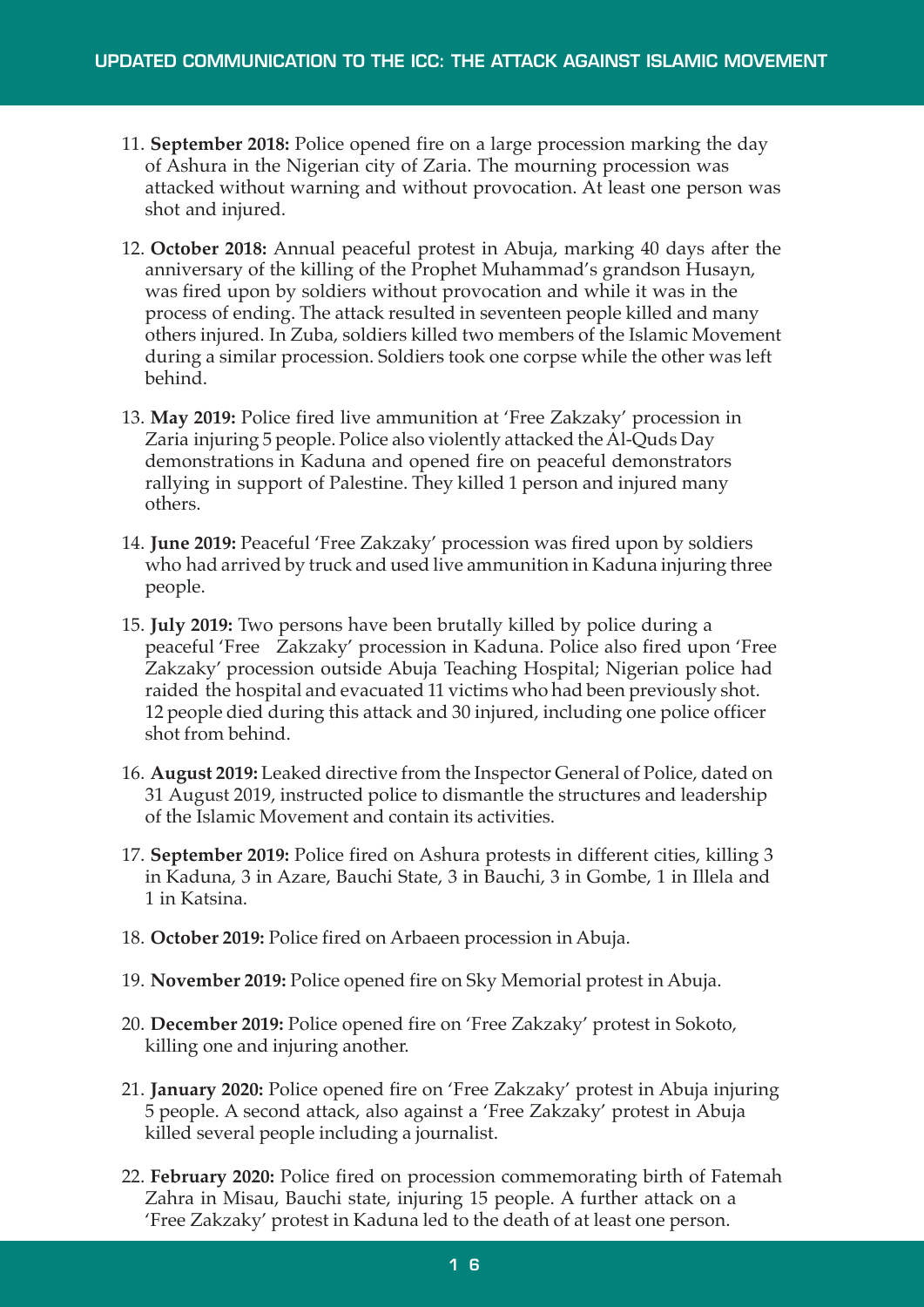- 11. **September 2018:** Police opened fire on a large procession marking the day of Ashura in the Nigerian city of Zaria. The mourning procession was attacked without warning and without provocation. At least one person was shot and injured.
- 12. **October 2018:** Annual peaceful protest in Abuja, marking 40 days after the anniversary of the killing of the Prophet Muhammad's grandson Husayn, was fired upon by soldiers without provocation and while it was in the process of ending. The attack resulted in seventeen people killed and many others injured. In Zuba, soldiers killed two members of the Islamic Movement during a similar procession. Soldiers took one corpse while the other was left behind.
- 13. **May 2019:** Police fired live ammunition at 'Free Zakzaky' procession in Zaria injuring 5 people. Police also violently attacked the Al-Quds Day demonstrations in Kaduna and opened fire on peaceful demonstrators rallying in support of Palestine. They killed 1 person and injured many others.
- 14. **June 2019:** Peaceful 'Free Zakzaky' procession was fired upon by soldiers who had arrived by truck and used live ammunition in Kaduna injuring three people.
- 15. **July 2019:** Two persons have been brutally killed by police during a peaceful 'Free Zakzaky' procession in Kaduna. Police also fired upon 'Free Zakzaky' procession outside Abuja Teaching Hospital; Nigerian police had raided the hospital and evacuated 11 victims who had been previously shot. 12 people died during this attack and 30 injured, including one police officer shot from behind.
- 16. **August 2019:** Leaked directive from the Inspector General of Police, dated on 31 August 2019, instructed police to dismantle the structures and leadership of the Islamic Movement and contain its activities.
- 17. **September 2019:** Police fired on Ashura protests in different cities, killing 3 in Kaduna, 3 in Azare, Bauchi State, 3 in Bauchi, 3 in Gombe, 1 in Illela and 1 in Katsina.
- 18. **October 2019:** Police fired on Arbaeen procession in Abuja.
- 19. **November 2019:** Police opened fire on Sky Memorial protest in Abuja.
- 20. **December 2019:** Police opened fire on 'Free Zakzaky' protest in Sokoto, killing one and injuring another.
- 21. **January 2020:** Police opened fire on 'Free Zakzaky' protest in Abuja injuring 5 people. A second attack, also against a 'Free Zakzaky' protest in Abuja killed several people including a journalist.
- 22. **February 2020:** Police fired on procession commemorating birth of Fatemah Zahra in Misau, Bauchi state, injuring 15 people. A further attack on a 'Free Zakzaky' protest in Kaduna led to the death of at least one person.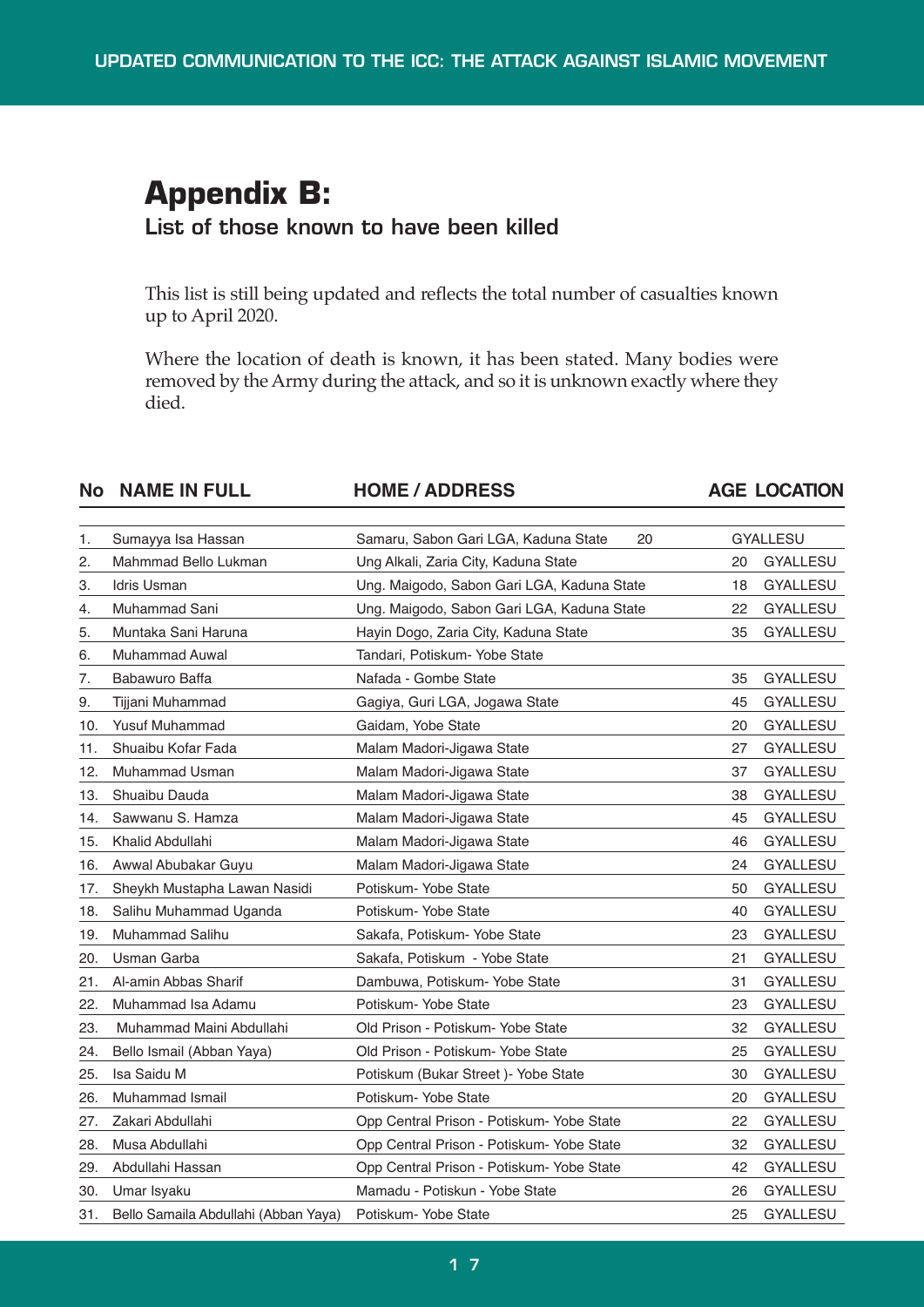# **Appendix B: List of those known to have been killed**

This list is still being updated and reflects the total number of casualties known up to April 2020.

Where the location of death is known, it has been stated. Many bodies were removed by the Army during the attack, and so it is unknown exactly where they died.

#### **No NAME IN FULL HOME / ADDRESS AGE LOCATION**

| 1.  | Sumayya Isa Hassan                   | Samaru, Sabon Gari LGA, Kaduna State<br>20 |    | <b>GYALLESU</b> |
|-----|--------------------------------------|--------------------------------------------|----|-----------------|
| 2.  | Mahmmad Bello Lukman                 | Ung Alkali, Zaria City, Kaduna State       | 20 | <b>GYALLESU</b> |
| З.  | <b>Idris Usman</b>                   | Ung. Maigodo, Sabon Gari LGA, Kaduna State | 18 | <b>GYALLESU</b> |
| 4.  | Muhammad Sani                        | Ung. Maigodo, Sabon Gari LGA, Kaduna State | 22 | GYALLESU        |
| 5.  | Muntaka Sani Haruna                  | Hayin Dogo, Zaria City, Kaduna State       | 35 | <b>GYALLESU</b> |
| 6.  | <b>Muhammad Auwal</b>                | Tandari, Potiskum- Yobe State              |    |                 |
| 7.  | Babawuro Baffa                       | Nafada - Gombe State                       | 35 | <b>GYALLESU</b> |
| 9.  | Tijjani Muhammad                     | Gagiya, Guri LGA, Jogawa State             | 45 | <b>GYALLESU</b> |
| 10. | Yusuf Muhammad                       | Gaidam, Yobe State                         | 20 | <b>GYALLESU</b> |
| 11. | Shuaibu Kofar Fada                   | Malam Madori-Jigawa State                  | 27 | <b>GYALLESU</b> |
| 12. | Muhammad Usman                       | Malam Madori-Jigawa State                  | 37 | <b>GYALLESU</b> |
| 13. | Shuaibu Dauda                        | Malam Madori-Jigawa State                  | 38 | <b>GYALLESU</b> |
| 14. | Sawwanu S. Hamza                     | Malam Madori-Jigawa State                  | 45 | GYALLESU        |
| 15. | Khalid Abdullahi                     | Malam Madori-Jigawa State                  | 46 | <b>GYALLESU</b> |
| 16. | Awwal Abubakar Guyu                  | Malam Madori-Jigawa State                  | 24 | <b>GYALLESU</b> |
| 17. | Sheykh Mustapha Lawan Nasidi         | Potiskum- Yobe State                       | 50 | GYALLESU        |
| 18. | Salihu Muhammad Uganda               | Potiskum- Yobe State                       | 40 | <b>GYALLESU</b> |
| 19. | Muhammad Salihu                      | Sakafa, Potiskum- Yobe State               | 23 | GYALLESU        |
| 20. | Usman Garba                          | Sakafa, Potiskum - Yobe State              | 21 | <b>GYALLESU</b> |
| 21. | Al-amin Abbas Sharif                 | Dambuwa, Potiskum- Yobe State              | 31 | GYALLESU        |
| 22. | Muhammad Isa Adamu                   | Potiskum-Yobe State                        | 23 | <b>GYALLESU</b> |
| 23. | Muhammad Maini Abdullahi             | Old Prison - Potiskum- Yobe State          | 32 | <b>GYALLESU</b> |
| 24. | Bello Ismail (Abban Yaya)            | Old Prison - Potiskum- Yobe State          | 25 | <b>GYALLESU</b> |
| 25. | Isa Saidu M                          | Potiskum (Bukar Street) - Yobe State       | 30 | <b>GYALLESU</b> |
| 26. | Muhammad Ismail                      | Potiskum- Yobe State                       | 20 | <b>GYALLESU</b> |
| 27. | Zakari Abdullahi                     | Opp Central Prison - Potiskum- Yobe State  | 22 | <b>GYALLESU</b> |
| 28. | Musa Abdullahi                       | Opp Central Prison - Potiskum- Yobe State  | 32 | GYALLESU        |
| 29. | Abdullahi Hassan                     | Opp Central Prison - Potiskum- Yobe State  | 42 | <b>GYALLESU</b> |
| 30. | Umar Isyaku                          | Mamadu - Potiskun - Yobe State             | 26 | GYALLESU        |
| 31. | Bello Samaila Abdullahi (Abban Yaya) | Potiskum-Yobe State                        | 25 | <b>GYALLESU</b> |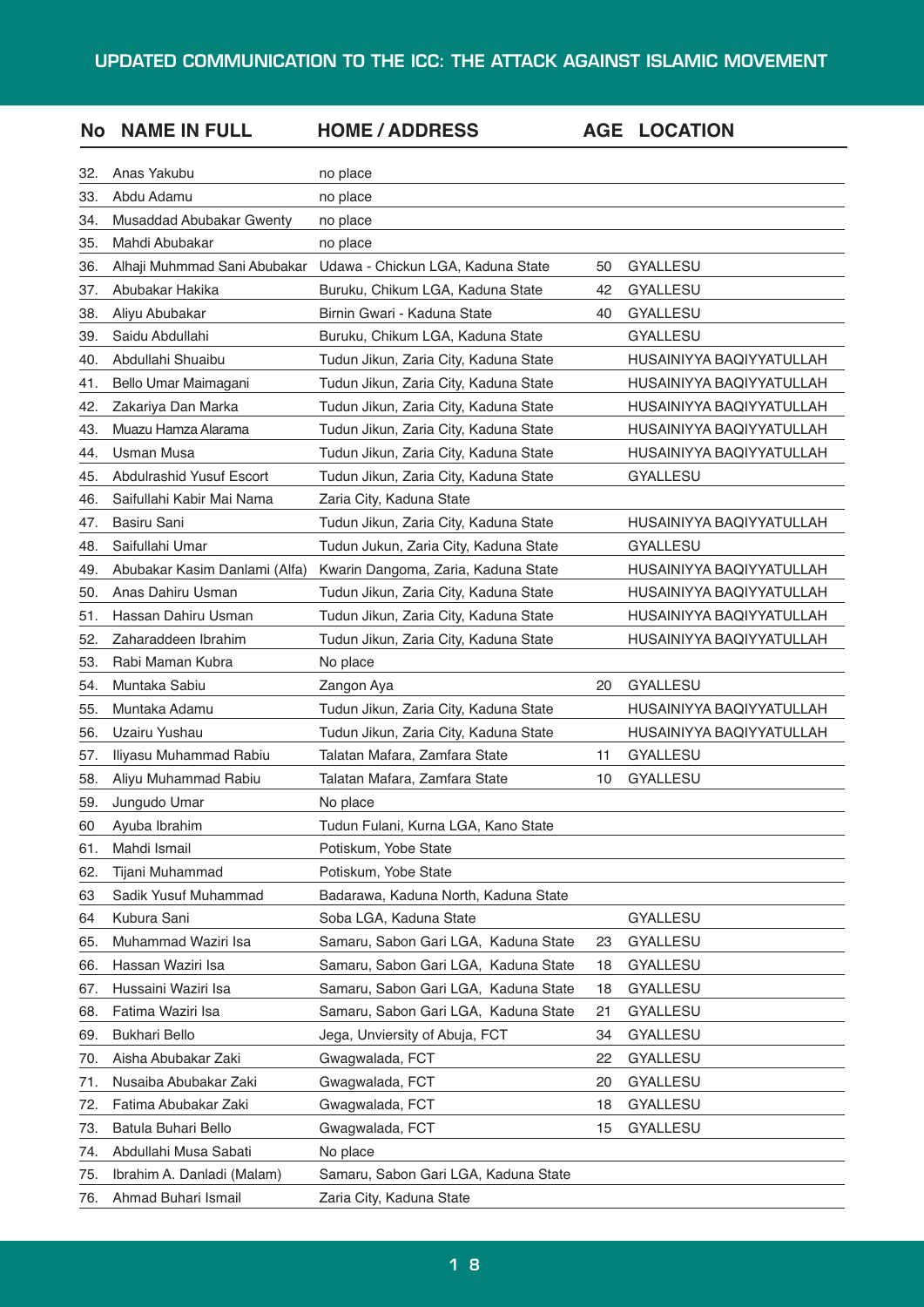#### 32. Anas Yakubu no place 33. Abdu Adamu no place 34. Musaddad Abubakar Gwenty no place 35. Mahdi Abubakar no place 36. Alhaji Muhmmad Sani Abubakar Udawa - Chickun LGA, Kaduna State 50 GYALLESU 37. Abubakar Hakika Buruku, Chikum LGA, Kaduna State 42 GYALLESU 38. Aliyu Abubakar Birnin Gwari - Kaduna State 40 GYALLESU 39. Saidu Abdullahi Buruku, Chikum LGA, Kaduna State GYALLESU 40. Abdullahi Shuaibu Tudun Jikun, Zaria City, Kaduna State HUSAINIYYA BAQIYYATULLAH 41. Bello Umar Maimagani Tudun Jikun, Zaria City, Kaduna State HUSAINIYYA BAQIYYATULLAH 42. Zakariya Dan Marka Tudun Jikun, Zaria City, Kaduna State HUSAINIYYA BAQIYYATULLAH 43. Muazu HamzaAlarama Tudun Jikun, Zaria City, Kaduna State HUSAINIYYA BAQIYYATULLAH 44. Usman Musa Tudun Jikun, Zaria City, Kaduna State HUSAINIYYA BAQIYYATULLAH 45. Abdulrashid Yusuf Escort Tudun Jikun, Zaria City, Kaduna State GYALLESU 46. Saifullahi Kabir Mai Nama Zaria City, Kaduna State 47. Basiru Sani Tudun Jikun, Zaria City, Kaduna State HUSAINIYYA BAQIYYATULLAH 48. Saifullahi Umar Tudun Jukun, Zaria City, Kaduna State GYALLESU 49. Abubakar Kasim Danlami (Alfa) Kwarin Dangoma, Zaria, Kaduna State HUSAINIYYA BAQIYYATULLAH 50. Anas Dahiru Usman Tudun Jikun, Zaria City, Kaduna State HUSAINIYYA BAQIYYATULLAH 51. Hassan Dahiru Usman Tudun Jikun, Zaria City, Kaduna State HUSAINIYYA BAQIYYATULLAH 52. Zaharaddeen Ibrahim Tudun Jikun, Zaria City, Kaduna State HUSAINIYYA BAQIYYATULLAH 53. Rabi Maman Kubra **No place** 54. Muntaka Sabiu Zangon Aya 20 GYALLESU 55. Muntaka Adamu Tudun Jikun, Zaria City, Kaduna State HUSAINIYYA BAQIYYATULLAH 56. Uzairu Yushau Tudun Jikun, Zaria City, Kaduna State HUSAINIYYA BAQIYYATULLAH 57. Iliyasu Muhammad Rabiu Talatan Mafara, Zamfara State 11 GYALLESU 58. Aliyu Muhammad Rabiu Talatan Mafara, Zamfara State 10 GYALLESU 59. Jungudo Umar No place 60 Ayuba Ibrahim Tudun Fulani, Kurna LGA, Kano State 61. Mahdi Ismail Potiskum, Yobe State 62. Tijani Muhammad Potiskum, Yobe State 63 Sadik Yusuf Muhammad Badarawa, Kaduna North, Kaduna State 64 Kubura Sani Soba LGA, Kaduna State GYALLESU 65. Muhammad Waziri Isa Samaru, Sabon Gari LGA, Kaduna State 23 GYALLESU 66. Hassan Waziri Isa **Samaru, Sabon Gari LGA, Kaduna State** 18 GYALLESU 67. Hussaini Waziri Isa **Samaru, Sabon Gari LGA, Kaduna State** 18 GYALLESU 68. Fatima Waziri Isa Samaru, Sabon Gari LGA, Kaduna State 21 GYALLESU 69. Bukhari Bello Jega, Unviersity of Abuja, FCT 34 GYALLESU 70. Aisha Abubakar Zaki Gwagwalada, FCT 22 GYALLESU 71. Nusaiba Abubakar Zaki Gwagwalada, FCT 20 GYALLESU 72. Fatima Abubakar Zaki Gwagwalada, FCT 18 GYALLESU 73. Batula Buhari Bello **Gwagwalada, FCT** 15 GYALLESU 74. Abdullahi Musa Sabati No place 75. Ibrahim A. Danladi (Malam) Samaru, Sabon Gari LGA, Kaduna State 76. Ahmad Buhari Ismail **Zaria City, Kaduna State No NAME IN FULL HOME / ADDRESS AGE LOCATION**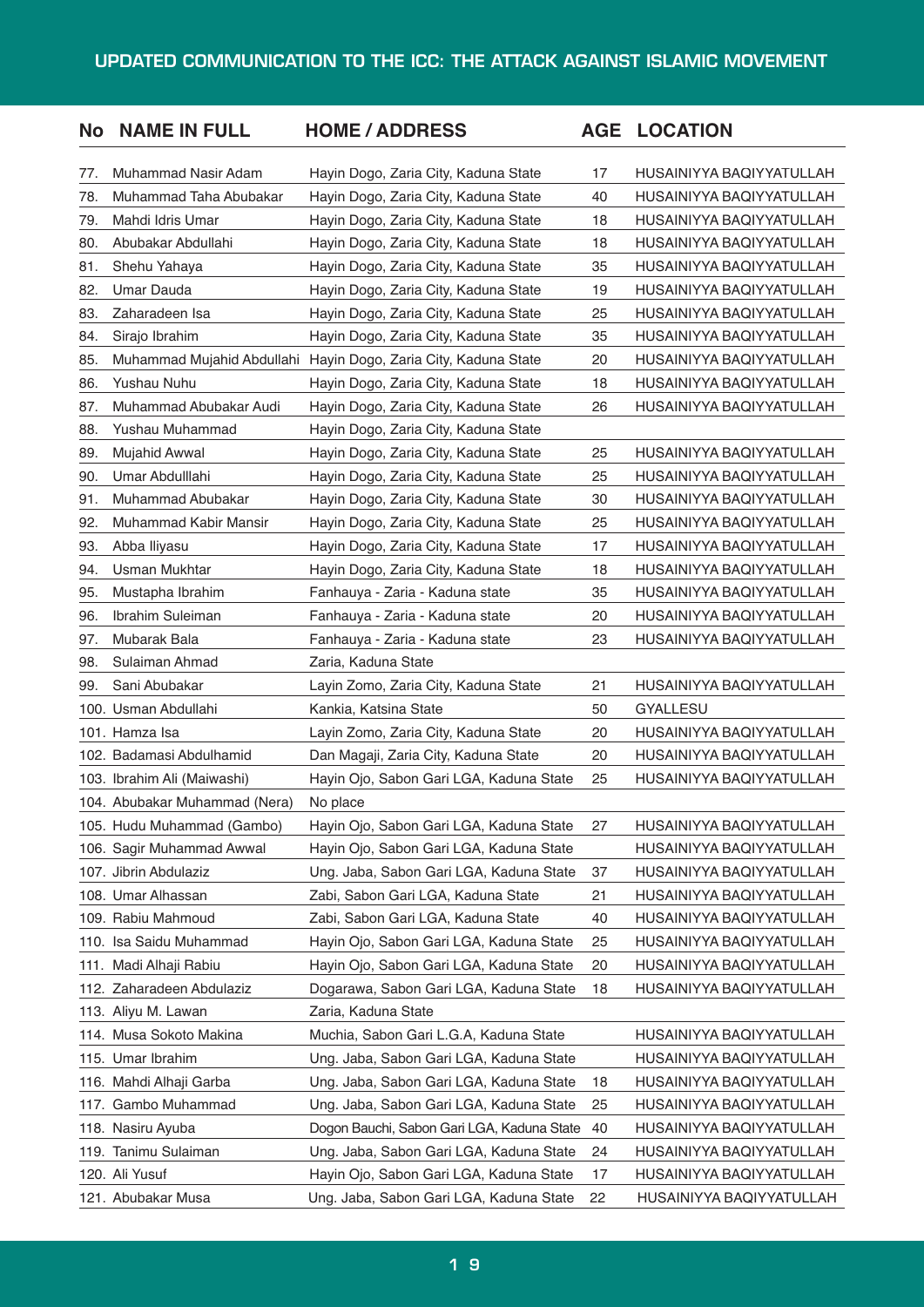| <b>No</b> | <b>NAME IN FULL</b>           | <b>HOME / ADDRESS</b>                      |    | <b>AGE LOCATION</b>      |
|-----------|-------------------------------|--------------------------------------------|----|--------------------------|
| 77.       | Muhammad Nasir Adam           | Hayin Dogo, Zaria City, Kaduna State       | 17 | HUSAINIYYA BAQIYYATULLAH |
| 78.       | Muhammad Taha Abubakar        | Hayin Dogo, Zaria City, Kaduna State       | 40 | HUSAINIYYA BAQIYYATULLAH |
| 79.       | Mahdi Idris Umar              | Hayin Dogo, Zaria City, Kaduna State       | 18 | HUSAINIYYA BAQIYYATULLAH |
| 80.       | Abubakar Abdullahi            | Hayin Dogo, Zaria City, Kaduna State       | 18 | HUSAINIYYA BAQIYYATULLAH |
| 81.       | Shehu Yahaya                  | Hayin Dogo, Zaria City, Kaduna State       | 35 | HUSAINIYYA BAQIYYATULLAH |
| 82.       | Umar Dauda                    | Hayin Dogo, Zaria City, Kaduna State       | 19 | HUSAINIYYA BAQIYYATULLAH |
| 83.       | Zaharadeen Isa                | Hayin Dogo, Zaria City, Kaduna State       | 25 | HUSAINIYYA BAQIYYATULLAH |
| 84.       | Sirajo Ibrahim                | Hayin Dogo, Zaria City, Kaduna State       | 35 | HUSAINIYYA BAQIYYATULLAH |
| 85.       | Muhammad Mujahid Abdullahi    | Hayin Dogo, Zaria City, Kaduna State       | 20 | HUSAINIYYA BAQIYYATULLAH |
| 86.       | <b>Yushau Nuhu</b>            | Hayin Dogo, Zaria City, Kaduna State       | 18 | HUSAINIYYA BAQIYYATULLAH |
| 87.       | Muhammad Abubakar Audi        | Hayin Dogo, Zaria City, Kaduna State       | 26 | HUSAINIYYA BAQIYYATULLAH |
| 88.       | Yushau Muhammad               | Hayin Dogo, Zaria City, Kaduna State       |    |                          |
| 89.       | Mujahid Awwal                 | Hayin Dogo, Zaria City, Kaduna State       | 25 | HUSAINIYYA BAQIYYATULLAH |
| 90.       | Umar Abdulllahi               | Hayin Dogo, Zaria City, Kaduna State       | 25 | HUSAINIYYA BAQIYYATULLAH |
| 91.       | Muhammad Abubakar             | Hayin Dogo, Zaria City, Kaduna State       | 30 | HUSAINIYYA BAQIYYATULLAH |
| 92.       | Muhammad Kabir Mansir         | Hayin Dogo, Zaria City, Kaduna State       | 25 | HUSAINIYYA BAQIYYATULLAH |
| 93.       | Abba Iliyasu                  | Hayin Dogo, Zaria City, Kaduna State       | 17 | HUSAINIYYA BAQIYYATULLAH |
| 94.       | <b>Usman Mukhtar</b>          | Hayin Dogo, Zaria City, Kaduna State       | 18 | HUSAINIYYA BAQIYYATULLAH |
| 95.       | Mustapha Ibrahim              | Fanhauya - Zaria - Kaduna state            | 35 | HUSAINIYYA BAQIYYATULLAH |
| 96.       | Ibrahim Suleiman              | Fanhauya - Zaria - Kaduna state            | 20 | HUSAINIYYA BAQIYYATULLAH |
| 97.       | Mubarak Bala                  | Fanhauya - Zaria - Kaduna state            | 23 | HUSAINIYYA BAQIYYATULLAH |
| 98.       | Sulaiman Ahmad                | Zaria, Kaduna State                        |    |                          |
| 99.       | Sani Abubakar                 | Layin Zomo, Zaria City, Kaduna State       | 21 | HUSAINIYYA BAQIYYATULLAH |
|           | 100. Usman Abdullahi          | Kankia, Katsina State                      | 50 | <b>GYALLESU</b>          |
|           | 101. Hamza Isa                | Layin Zomo, Zaria City, Kaduna State       | 20 | HUSAINIYYA BAQIYYATULLAH |
|           | 102. Badamasi Abdulhamid      | Dan Magaji, Zaria City, Kaduna State       | 20 | HUSAINIYYA BAQIYYATULLAH |
|           | 103. Ibrahim Ali (Maiwashi)   | Hayin Ojo, Sabon Gari LGA, Kaduna State    | 25 | HUSAINIYYA BAQIYYATULLAH |
|           | 104. Abubakar Muhammad (Nera) | No place                                   |    |                          |
|           | 105. Hudu Muhammad (Gambo)    | Hayin Ojo, Sabon Gari LGA, Kaduna State    | 27 | HUSAINIYYA BAQIYYATULLAH |
|           | 106. Sagir Muhammad Awwal     | Hayin Ojo, Sabon Gari LGA, Kaduna State    |    | HUSAINIYYA BAQIYYATULLAH |
|           | 107. Jibrin Abdulaziz         | Ung. Jaba, Sabon Gari LGA, Kaduna State    | 37 | HUSAINIYYA BAQIYYATULLAH |
|           | 108. Umar Alhassan            | Zabi, Sabon Gari LGA, Kaduna State         | 21 | HUSAINIYYA BAQIYYATULLAH |
|           | 109. Rabiu Mahmoud            | Zabi, Sabon Gari LGA, Kaduna State         | 40 | HUSAINIYYA BAQIYYATULLAH |
|           | 110. Isa Saidu Muhammad       | Hayin Ojo, Sabon Gari LGA, Kaduna State    | 25 | HUSAINIYYA BAQIYYATULLAH |
|           | 111. Madi Alhaji Rabiu        | Hayin Ojo, Sabon Gari LGA, Kaduna State    | 20 | HUSAINIYYA BAQIYYATULLAH |
|           | 112. Zaharadeen Abdulaziz     | Dogarawa, Sabon Gari LGA, Kaduna State     | 18 | HUSAINIYYA BAQIYYATULLAH |
|           | 113. Aliyu M. Lawan           | Zaria, Kaduna State                        |    |                          |
|           | 114. Musa Sokoto Makina       | Muchia, Sabon Gari L.G.A, Kaduna State     |    | HUSAINIYYA BAQIYYATULLAH |
|           | 115. Umar Ibrahim             | Ung. Jaba, Sabon Gari LGA, Kaduna State    |    | HUSAINIYYA BAQIYYATULLAH |
|           | 116. Mahdi Alhaji Garba       | Ung. Jaba, Sabon Gari LGA, Kaduna State    | 18 | HUSAINIYYA BAQIYYATULLAH |
|           | 117. Gambo Muhammad           | Ung. Jaba, Sabon Gari LGA, Kaduna State    | 25 | HUSAINIYYA BAQIYYATULLAH |
|           | 118. Nasiru Ayuba             | Dogon Bauchi, Sabon Gari LGA, Kaduna State | 40 | HUSAINIYYA BAQIYYATULLAH |
|           | 119. Tanimu Sulaiman          | Ung. Jaba, Sabon Gari LGA, Kaduna State    | 24 | HUSAINIYYA BAQIYYATULLAH |
|           | 120. Ali Yusuf                | Hayin Ojo, Sabon Gari LGA, Kaduna State    | 17 | HUSAINIYYA BAQIYYATULLAH |
|           | 121. Abubakar Musa            | Ung. Jaba, Sabon Gari LGA, Kaduna State    | 22 | HUSAINIYYA BAQIYYATULLAH |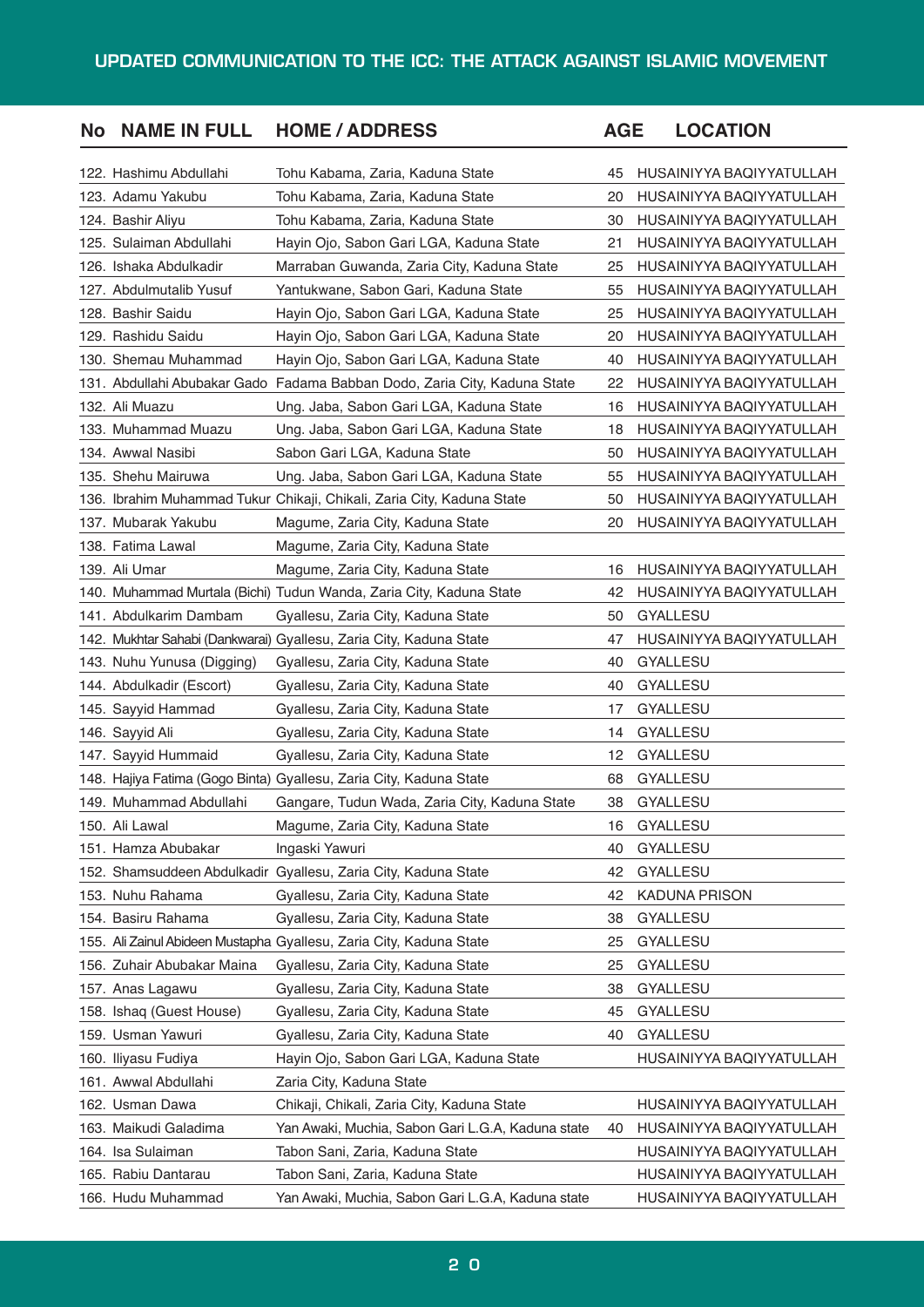| <b>No</b> | <b>NAME IN FULL</b>        | <b>HOME / ADDRESS</b>                                                     | <b>AGE</b> | <b>LOCATION</b>          |
|-----------|----------------------------|---------------------------------------------------------------------------|------------|--------------------------|
|           | 122. Hashimu Abdullahi     | Tohu Kabama, Zaria, Kaduna State                                          | 45         | HUSAINIYYA BAQIYYATULLAH |
|           | 123. Adamu Yakubu          | Tohu Kabama, Zaria, Kaduna State                                          | 20         | HUSAINIYYA BAQIYYATULLAH |
|           | 124. Bashir Aliyu          | Tohu Kabama, Zaria, Kaduna State                                          | 30         | HUSAINIYYA BAQIYYATULLAH |
|           | 125. Sulaiman Abdullahi    | Hayin Ojo, Sabon Gari LGA, Kaduna State                                   | 21         | HUSAINIYYA BAQIYYATULLAH |
|           | 126. Ishaka Abdulkadir     | Marraban Guwanda, Zaria City, Kaduna State                                | 25         | HUSAINIYYA BAQIYYATULLAH |
|           | 127. Abdulmutalib Yusuf    | Yantukwane, Sabon Gari, Kaduna State                                      | 55         | HUSAINIYYA BAQIYYATULLAH |
|           | 128. Bashir Saidu          | Hayin Ojo, Sabon Gari LGA, Kaduna State                                   | 25         | HUSAINIYYA BAQIYYATULLAH |
|           | 129. Rashidu Saidu         | Hayin Ojo, Sabon Gari LGA, Kaduna State                                   | 20         | HUSAINIYYA BAQIYYATULLAH |
|           | 130. Shemau Muhammad       | Hayin Ojo, Sabon Gari LGA, Kaduna State                                   | 40         | HUSAINIYYA BAQIYYATULLAH |
|           |                            | 131. Abdullahi Abubakar Gado Fadama Babban Dodo, Zaria City, Kaduna State | 22         | HUSAINIYYA BAQIYYATULLAH |
|           | 132. Ali Muazu             | Ung. Jaba, Sabon Gari LGA, Kaduna State                                   | 16         | HUSAINIYYA BAQIYYATULLAH |
|           | 133. Muhammad Muazu        | Ung. Jaba, Sabon Gari LGA, Kaduna State                                   | 18         | HUSAINIYYA BAQIYYATULLAH |
|           | 134. Awwal Nasibi          | Sabon Gari LGA, Kaduna State                                              | 50         | HUSAINIYYA BAQIYYATULLAH |
|           | 135. Shehu Mairuwa         | Ung. Jaba, Sabon Gari LGA, Kaduna State                                   | 55         | HUSAINIYYA BAQIYYATULLAH |
|           |                            | 136. Ibrahim Muhammad Tukur Chikaji, Chikali, Zaria City, Kaduna State    | 50         | HUSAINIYYA BAQIYYATULLAH |
|           | 137. Mubarak Yakubu        | Magume, Zaria City, Kaduna State                                          | 20         | HUSAINIYYA BAQIYYATULLAH |
|           | 138. Fatima Lawal          | Magume, Zaria City, Kaduna State                                          |            |                          |
|           | 139. Ali Umar              | Magume, Zaria City, Kaduna State                                          | 16         | HUSAINIYYA BAQIYYATULLAH |
|           |                            | 140. Muhammad Murtala (Bichi) Tudun Wanda, Zaria City, Kaduna State       | 42         | HUSAINIYYA BAQIYYATULLAH |
|           | 141. Abdulkarim Dambam     | Gyallesu, Zaria City, Kaduna State                                        | 50         | <b>GYALLESU</b>          |
|           |                            | 142. Mukhtar Sahabi (Dankwarai) Gyallesu, Zaria City, Kaduna State        | 47         | HUSAINIYYA BAQIYYATULLAH |
|           | 143. Nuhu Yunusa (Digging) | Gyallesu, Zaria City, Kaduna State                                        | 40         | <b>GYALLESU</b>          |
|           | 144. Abdulkadir (Escort)   | Gyallesu, Zaria City, Kaduna State                                        | 40         | GYALLESU                 |
|           | 145. Sayyid Hammad         | Gyallesu, Zaria City, Kaduna State                                        | 17         | GYALLESU                 |
|           | 146. Sayyid Ali            | Gyallesu, Zaria City, Kaduna State                                        | 14         | <b>GYALLESU</b>          |
|           | 147. Sayyid Hummaid        | Gyallesu, Zaria City, Kaduna State                                        | 12         | GYALLESU                 |
|           |                            | 148. Hajiya Fatima (Gogo Binta) Gyallesu, Zaria City, Kaduna State        | 68         | GYALLESU                 |
|           | 149. Muhammad Abdullahi    | Gangare, Tudun Wada, Zaria City, Kaduna State                             | 38         | <b>GYALLESU</b>          |
|           | 150. Ali Lawal             | Magume, Zaria City, Kaduna State                                          | 16         | <b>GYALLESU</b>          |
|           | 151. Hamza Abubakar        | Ingaski Yawuri                                                            | 40         | GYALLESU                 |
|           |                            | 152. Shamsuddeen Abdulkadir Gyallesu, Zaria City, Kaduna State            | 42         | <b>GYALLESU</b>          |
|           | 153. Nuhu Rahama           | Gyallesu, Zaria City, Kaduna State                                        | 42         | <b>KADUNA PRISON</b>     |
|           | 154. Basiru Rahama         | Gyallesu, Zaria City, Kaduna State                                        | 38         | GYALLESU                 |
|           |                            | 155. Ali Zainul Abideen Mustapha Gyallesu, Zaria City, Kaduna State       | 25         | GYALLESU                 |
|           | 156. Zuhair Abubakar Maina | Gyallesu, Zaria City, Kaduna State                                        | 25         | <b>GYALLESU</b>          |
|           | 157. Anas Lagawu           | Gyallesu, Zaria City, Kaduna State                                        | 38         | GYALLESU                 |
|           | 158. Ishaq (Guest House)   | Gyallesu, Zaria City, Kaduna State                                        | 45         | GYALLESU                 |
|           | 159. Usman Yawuri          | Gyallesu, Zaria City, Kaduna State                                        | 40         | <b>GYALLESU</b>          |
|           | 160. Iliyasu Fudiya        | Hayin Ojo, Sabon Gari LGA, Kaduna State                                   |            | HUSAINIYYA BAQIYYATULLAH |
|           | 161. Awwal Abdullahi       | Zaria City, Kaduna State                                                  |            |                          |
|           | 162. Usman Dawa            | Chikaji, Chikali, Zaria City, Kaduna State                                |            | HUSAINIYYA BAQIYYATULLAH |
|           | 163. Maikudi Galadima      | Yan Awaki, Muchia, Sabon Gari L.G.A, Kaduna state                         | 40         | HUSAINIYYA BAQIYYATULLAH |
|           | 164. Isa Sulaiman          | Tabon Sani, Zaria, Kaduna State                                           |            | HUSAINIYYA BAQIYYATULLAH |
|           | 165. Rabiu Dantarau        | Tabon Sani, Zaria, Kaduna State                                           |            | HUSAINIYYA BAQIYYATULLAH |
|           | 166. Hudu Muhammad         | Yan Awaki, Muchia, Sabon Gari L.G.A, Kaduna state                         |            | HUSAINIYYA BAQIYYATULLAH |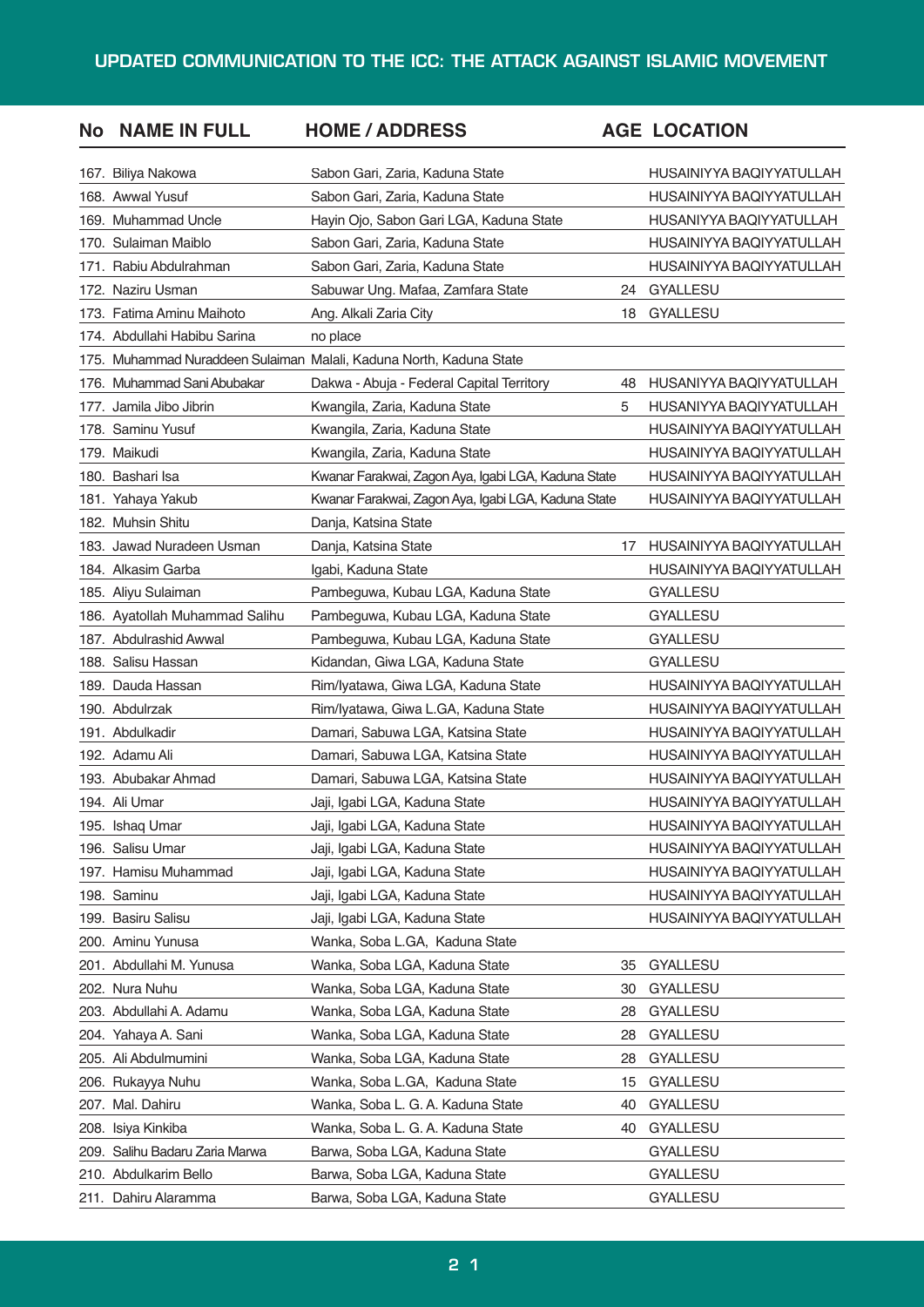| <b>No</b> | <b>NAME IN FULL</b>            | <b>HOME / ADDRESS</b>                                               |    | <b>AGE LOCATION</b>      |
|-----------|--------------------------------|---------------------------------------------------------------------|----|--------------------------|
|           | 167. Biliya Nakowa             | Sabon Gari, Zaria, Kaduna State                                     |    | HUSAINIYYA BAQIYYATULLAH |
|           | 168. Awwal Yusuf               | Sabon Gari, Zaria, Kaduna State                                     |    | HUSAINIYYA BAQIYYATULLAH |
|           | 169. Muhammad Uncle            | Hayin Ojo, Sabon Gari LGA, Kaduna State                             |    | HUSANIYYA BAQIYYATULLAH  |
|           | 170. Sulaiman Maiblo           | Sabon Gari, Zaria, Kaduna State                                     |    | HUSAINIYYA BAQIYYATULLAH |
|           | 171. Rabiu Abdulrahman         | Sabon Gari, Zaria, Kaduna State                                     |    | HUSAINIYYA BAQIYYATULLAH |
|           | 172. Naziru Usman              | Sabuwar Ung. Mafaa, Zamfara State                                   | 24 | <b>GYALLESU</b>          |
|           | 173. Fatima Aminu Maihoto      | Ang. Alkali Zaria City                                              | 18 | <b>GYALLESU</b>          |
|           | 174. Abdullahi Habibu Sarina   | no place                                                            |    |                          |
|           |                                | 175. Muhammad Nuraddeen Sulaiman Malali, Kaduna North, Kaduna State |    |                          |
|           | 176. Muhammad Sani Abubakar    | Dakwa - Abuja - Federal Capital Territory                           | 48 | HUSANIYYA BAQIYYATULLAH  |
|           | 177. Jamila Jibo Jibrin        | Kwangila, Zaria, Kaduna State                                       | 5  | HUSANIYYA BAQIYYATULLAH  |
|           | 178. Saminu Yusuf              | Kwangila, Zaria, Kaduna State                                       |    | HUSAINIYYA BAQIYYATULLAH |
|           | 179. Maikudi                   | Kwangila, Zaria, Kaduna State                                       |    | HUSAINIYYA BAQIYYATULLAH |
|           | 180. Bashari Isa               | Kwanar Farakwai, Zagon Aya, Igabi LGA, Kaduna State                 |    | HUSAINIYYA BAQIYYATULLAH |
|           | 181. Yahaya Yakub              | Kwanar Farakwai, Zagon Aya, Igabi LGA, Kaduna State                 |    | HUSAINIYYA BAQIYYATULLAH |
|           | 182. Muhsin Shitu              | Danja, Katsina State                                                |    |                          |
|           | 183. Jawad Nuradeen Usman      | Danja, Katsina State                                                | 17 | HUSAINIYYA BAQIYYATULLAH |
|           | 184. Alkasim Garba             | Igabi, Kaduna State                                                 |    | HUSAINIYYA BAQIYYATULLAH |
|           | 185. Aliyu Sulaiman            | Pambeguwa, Kubau LGA, Kaduna State                                  |    | <b>GYALLESU</b>          |
|           | 186. Ayatollah Muhammad Salihu | Pambeguwa, Kubau LGA, Kaduna State                                  |    | <b>GYALLESU</b>          |
|           | 187. Abdulrashid Awwal         | Pambeguwa, Kubau LGA, Kaduna State                                  |    | <b>GYALLESU</b>          |
|           | 188. Salisu Hassan             | Kidandan, Giwa LGA, Kaduna State                                    |    | <b>GYALLESU</b>          |
|           | 189. Dauda Hassan              | Rim/Iyatawa, Giwa LGA, Kaduna State                                 |    | HUSAINIYYA BAQIYYATULLAH |
|           | 190. Abdulrzak                 | Rim/Iyatawa, Giwa L.GA, Kaduna State                                |    | HUSAINIYYA BAQIYYATULLAH |
|           | 191. Abdulkadir                | Damari, Sabuwa LGA, Katsina State                                   |    | HUSAINIYYA BAQIYYATULLAH |
|           | 192. Adamu Ali                 | Damari, Sabuwa LGA, Katsina State                                   |    | HUSAINIYYA BAQIYYATULLAH |
|           | 193. Abubakar Ahmad            | Damari, Sabuwa LGA, Katsina State                                   |    | HUSAINIYYA BAQIYYATULLAH |
|           | 194. Ali Umar                  | Jaji, Igabi LGA, Kaduna State                                       |    | HUSAINIYYA BAQIYYATULLAH |
|           | 195. Ishaq Umar                | Jaji, Igabi LGA, Kaduna State                                       |    | HUSAINIYYA BAQIYYATULLAH |
|           | 196. Salisu Umar               | Jaji, Igabi LGA, Kaduna State                                       |    | HUSAINIYYA BAQIYYATULLAH |
|           | 197. Hamisu Muhammad           | Jaji, Igabi LGA, Kaduna State                                       |    | HUSAINIYYA BAQIYYATULLAH |
|           | 198. Saminu                    | Jaji, Igabi LGA, Kaduna State                                       |    | HUSAINIYYA BAQIYYATULLAH |
|           | 199. Basiru Salisu             | Jaji, Igabi LGA, Kaduna State                                       |    | HUSAINIYYA BAQIYYATULLAH |
|           | 200. Aminu Yunusa              | Wanka, Soba L.GA, Kaduna State                                      |    |                          |
|           | 201. Abdullahi M. Yunusa       | Wanka, Soba LGA, Kaduna State                                       | 35 | GYALLESU                 |
|           | 202. Nura Nuhu                 | Wanka, Soba LGA, Kaduna State                                       | 30 | <b>GYALLESU</b>          |
|           | 203. Abdullahi A. Adamu        | Wanka, Soba LGA, Kaduna State                                       | 28 | GYALLESU                 |
|           | 204. Yahaya A. Sani            | Wanka, Soba LGA, Kaduna State                                       | 28 | <b>GYALLESU</b>          |
|           | 205. Ali Abdulmumini           | Wanka, Soba LGA, Kaduna State                                       | 28 | GYALLESU                 |
|           | 206. Rukayya Nuhu              | Wanka, Soba L.GA, Kaduna State                                      | 15 | <b>GYALLESU</b>          |
|           | 207. Mal. Dahiru               | Wanka, Soba L. G. A. Kaduna State                                   | 40 | GYALLESU                 |
| 208.      | Isiya Kinkiba                  | Wanka, Soba L. G. A. Kaduna State                                   | 40 | <b>GYALLESU</b>          |
| 209.      | Salihu Badaru Zaria Marwa      | Barwa, Soba LGA, Kaduna State                                       |    | GYALLESU                 |
|           | 210. Abdulkarim Bello          | Barwa, Soba LGA, Kaduna State                                       |    | GYALLESU                 |
|           | 211. Dahiru Alaramma           | Barwa, Soba LGA, Kaduna State                                       |    | <b>GYALLESU</b>          |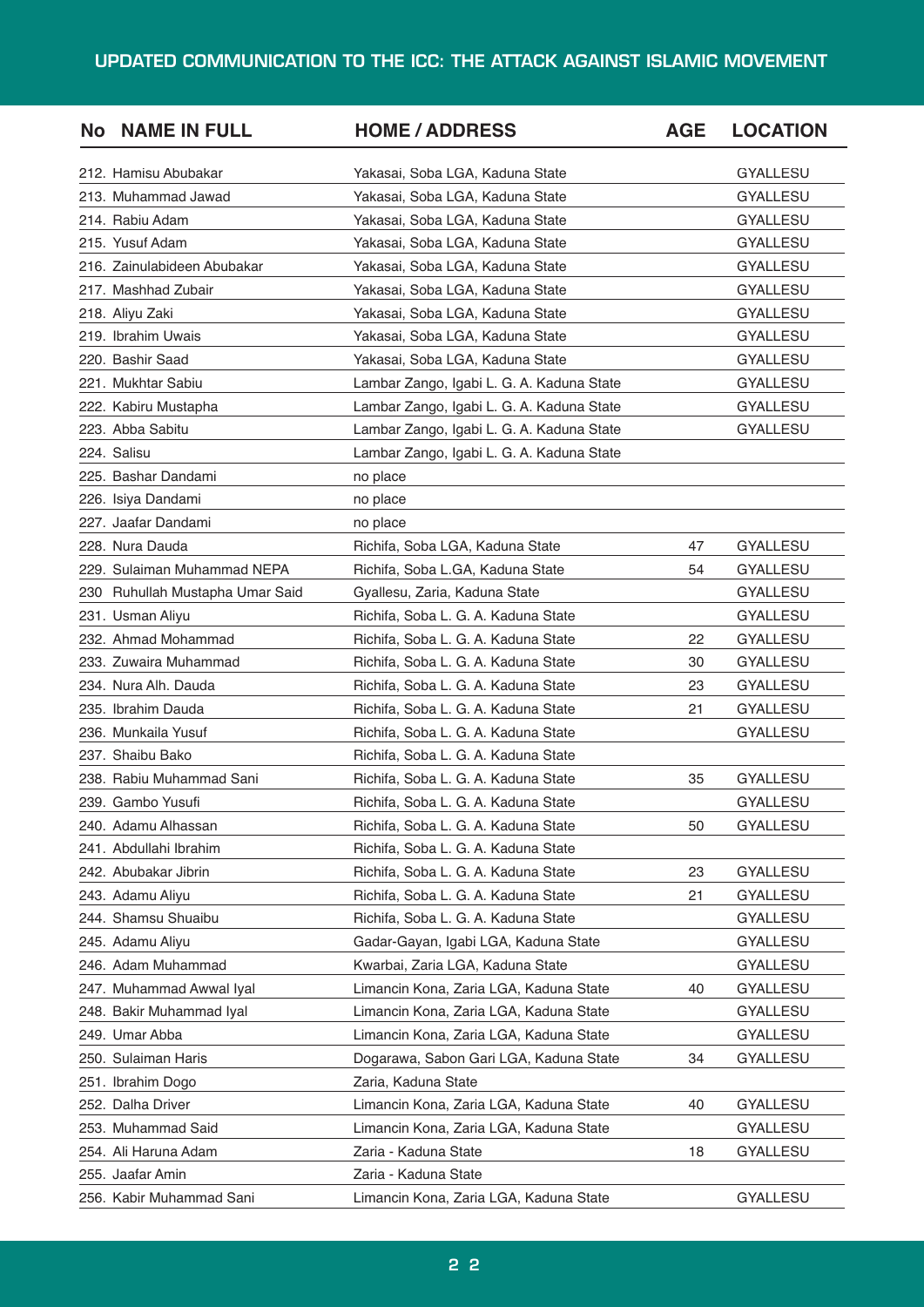| <b>No</b> | <b>NAME IN FULL</b>             | <b>HOME / ADDRESS</b>                     | <b>AGE</b> | <b>LOCATION</b> |
|-----------|---------------------------------|-------------------------------------------|------------|-----------------|
|           | 212. Hamisu Abubakar            | Yakasai, Soba LGA, Kaduna State           |            | <b>GYALLESU</b> |
|           | 213. Muhammad Jawad             | Yakasai, Soba LGA, Kaduna State           |            | <b>GYALLESU</b> |
|           | 214. Rabiu Adam                 | Yakasai, Soba LGA, Kaduna State           |            | <b>GYALLESU</b> |
|           | 215. Yusuf Adam                 | Yakasai, Soba LGA, Kaduna State           |            | <b>GYALLESU</b> |
|           | 216. Zainulabideen Abubakar     | Yakasai, Soba LGA, Kaduna State           |            | <b>GYALLESU</b> |
|           | 217. Mashhad Zubair             | Yakasai, Soba LGA, Kaduna State           |            | <b>GYALLESU</b> |
|           | 218. Aliyu Zaki                 | Yakasai, Soba LGA, Kaduna State           |            | <b>GYALLESU</b> |
|           | 219. Ibrahim Uwais              | Yakasai, Soba LGA, Kaduna State           |            | <b>GYALLESU</b> |
|           | 220. Bashir Saad                | Yakasai, Soba LGA, Kaduna State           |            | <b>GYALLESU</b> |
|           | 221. Mukhtar Sabiu              | Lambar Zango, Igabi L. G. A. Kaduna State |            | <b>GYALLESU</b> |
|           | 222. Kabiru Mustapha            | Lambar Zango, Igabi L. G. A. Kaduna State |            | <b>GYALLESU</b> |
|           | 223. Abba Sabitu                | Lambar Zango, Igabi L. G. A. Kaduna State |            | <b>GYALLESU</b> |
|           | 224. Salisu                     | Lambar Zango, Igabi L. G. A. Kaduna State |            |                 |
|           | 225. Bashar Dandami             | no place                                  |            |                 |
|           | 226. Isiya Dandami              | no place                                  |            |                 |
|           | 227. Jaafar Dandami             | no place                                  |            |                 |
|           | 228. Nura Dauda                 | Richifa, Soba LGA, Kaduna State           | 47         | <b>GYALLESU</b> |
|           | 229. Sulaiman Muhammad NEPA     | Richifa, Soba L.GA, Kaduna State          | 54         | <b>GYALLESU</b> |
|           | 230 Ruhullah Mustapha Umar Said | Gyallesu, Zaria, Kaduna State             |            | <b>GYALLESU</b> |
|           | 231. Usman Aliyu                | Richifa, Soba L. G. A. Kaduna State       |            | <b>GYALLESU</b> |
|           | 232. Ahmad Mohammad             | Richifa, Soba L. G. A. Kaduna State       | 22         | <b>GYALLESU</b> |
|           | 233. Zuwaira Muhammad           | Richifa, Soba L. G. A. Kaduna State       | 30         | <b>GYALLESU</b> |
|           | 234. Nura Alh. Dauda            | Richifa, Soba L. G. A. Kaduna State       | 23         | <b>GYALLESU</b> |
|           | 235. Ibrahim Dauda              | Richifa, Soba L. G. A. Kaduna State       | 21         | <b>GYALLESU</b> |
|           | 236. Munkaila Yusuf             | Richifa, Soba L. G. A. Kaduna State       |            | <b>GYALLESU</b> |
|           | 237. Shaibu Bako                | Richifa, Soba L. G. A. Kaduna State       |            |                 |
|           | 238. Rabiu Muhammad Sani        | Richifa, Soba L. G. A. Kaduna State       | 35         | <b>GYALLESU</b> |
|           | 239. Gambo Yusufi               | Richifa, Soba L. G. A. Kaduna State       |            | <b>GYALLESU</b> |
|           | 240. Adamu Alhassan             | Richifa, Soba L. G. A. Kaduna State       | 50         | <b>GYALLESU</b> |
|           | 241. Abdullahi Ibrahim          | Richifa, Soba L. G. A. Kaduna State       |            |                 |
|           | 242. Abubakar Jibrin            | Richifa, Soba L. G. A. Kaduna State       | 23         | <b>GYALLESU</b> |
|           | 243. Adamu Aliyu                | Richifa, Soba L. G. A. Kaduna State       | 21         | <b>GYALLESU</b> |
|           | 244. Shamsu Shuaibu             | Richifa, Soba L. G. A. Kaduna State       |            | <b>GYALLESU</b> |
|           | 245. Adamu Aliyu                | Gadar-Gayan, Igabi LGA, Kaduna State      |            | <b>GYALLESU</b> |
|           | 246. Adam Muhammad              | Kwarbai, Zaria LGA, Kaduna State          |            | <b>GYALLESU</b> |
|           | 247. Muhammad Awwal Iyal        | Limancin Kona, Zaria LGA, Kaduna State    | 40         | <b>GYALLESU</b> |
|           | 248. Bakir Muhammad Iyal        | Limancin Kona, Zaria LGA, Kaduna State    |            | <b>GYALLESU</b> |
|           | 249. Umar Abba                  | Limancin Kona, Zaria LGA, Kaduna State    |            | <b>GYALLESU</b> |
|           | 250. Sulaiman Haris             | Dogarawa, Sabon Gari LGA, Kaduna State    | 34         | <b>GYALLESU</b> |
|           | 251. Ibrahim Dogo               | Zaria, Kaduna State                       |            |                 |
|           | 252. Dalha Driver               | Limancin Kona, Zaria LGA, Kaduna State    | 40         | GYALLESU        |
|           | 253. Muhammad Said              | Limancin Kona, Zaria LGA, Kaduna State    |            | <b>GYALLESU</b> |
|           | 254. Ali Haruna Adam            | Zaria - Kaduna State                      | 18         | <b>GYALLESU</b> |
|           | 255. Jaafar Amin                | Zaria - Kaduna State                      |            |                 |
|           | 256. Kabir Muhammad Sani        | Limancin Kona, Zaria LGA, Kaduna State    |            | GYALLESU        |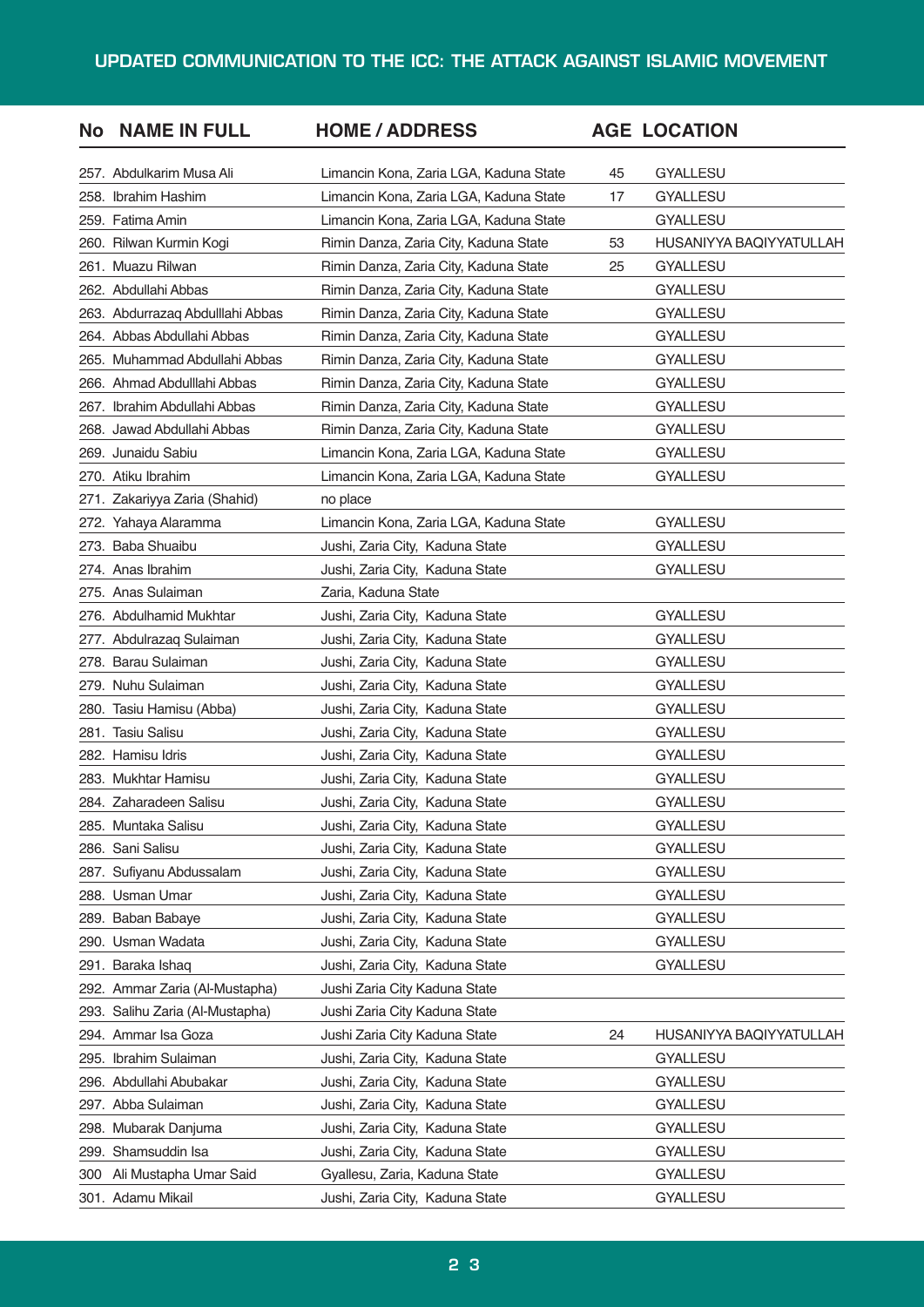| <b>No</b> | <b>NAME IN FULL</b>              | <b>HOME / ADDRESS</b>                  |    | <b>AGE LOCATION</b>     |
|-----------|----------------------------------|----------------------------------------|----|-------------------------|
|           | 257. Abdulkarim Musa Ali         | Limancin Kona, Zaria LGA, Kaduna State | 45 | <b>GYALLESU</b>         |
|           | 258. Ibrahim Hashim              | Limancin Kona, Zaria LGA, Kaduna State | 17 | <b>GYALLESU</b>         |
|           | 259. Fatima Amin                 | Limancin Kona, Zaria LGA, Kaduna State |    | <b>GYALLESU</b>         |
|           | 260. Rilwan Kurmin Kogi          | Rimin Danza, Zaria City, Kaduna State  | 53 | HUSANIYYA BAQIYYATULLAH |
|           | 261. Muazu Rilwan                | Rimin Danza, Zaria City, Kaduna State  | 25 | <b>GYALLESU</b>         |
|           | 262. Abdullahi Abbas             | Rimin Danza, Zaria City, Kaduna State  |    | <b>GYALLESU</b>         |
|           | 263. Abdurrazaq Abdulllahi Abbas | Rimin Danza, Zaria City, Kaduna State  |    | <b>GYALLESU</b>         |
|           | 264. Abbas Abdullahi Abbas       | Rimin Danza, Zaria City, Kaduna State  |    | <b>GYALLESU</b>         |
|           | 265. Muhammad Abdullahi Abbas    | Rimin Danza, Zaria City, Kaduna State  |    | <b>GYALLESU</b>         |
|           | 266. Ahmad Abdulllahi Abbas      | Rimin Danza, Zaria City, Kaduna State  |    | <b>GYALLESU</b>         |
|           | 267. Ibrahim Abdullahi Abbas     | Rimin Danza, Zaria City, Kaduna State  |    | <b>GYALLESU</b>         |
|           | 268. Jawad Abdullahi Abbas       | Rimin Danza, Zaria City, Kaduna State  |    | <b>GYALLESU</b>         |
|           | 269. Junaidu Sabiu               | Limancin Kona, Zaria LGA, Kaduna State |    | <b>GYALLESU</b>         |
|           | 270. Atiku Ibrahim               | Limancin Kona, Zaria LGA, Kaduna State |    | <b>GYALLESU</b>         |
|           | 271. Zakariyya Zaria (Shahid)    | no place                               |    |                         |
|           | 272. Yahaya Alaramma             | Limancin Kona, Zaria LGA, Kaduna State |    | <b>GYALLESU</b>         |
|           | 273. Baba Shuaibu                | Jushi, Zaria City, Kaduna State        |    | <b>GYALLESU</b>         |
|           | 274. Anas Ibrahim                | Jushi, Zaria City, Kaduna State        |    | <b>GYALLESU</b>         |
|           | 275. Anas Sulaiman               | Zaria, Kaduna State                    |    |                         |
|           | 276. Abdulhamid Mukhtar          | Jushi, Zaria City, Kaduna State        |    | <b>GYALLESU</b>         |
|           | 277. Abdulrazaq Sulaiman         | Jushi, Zaria City, Kaduna State        |    | <b>GYALLESU</b>         |
|           | 278. Barau Sulaiman              | Jushi, Zaria City, Kaduna State        |    | <b>GYALLESU</b>         |
|           | 279. Nuhu Sulaiman               | Jushi, Zaria City, Kaduna State        |    | <b>GYALLESU</b>         |
|           | 280. Tasiu Hamisu (Abba)         | Jushi, Zaria City, Kaduna State        |    | <b>GYALLESU</b>         |
|           | 281. Tasiu Salisu                | Jushi, Zaria City, Kaduna State        |    | <b>GYALLESU</b>         |
|           | 282. Hamisu Idris                | Jushi, Zaria City, Kaduna State        |    | <b>GYALLESU</b>         |
|           | 283. Mukhtar Hamisu              | Jushi, Zaria City, Kaduna State        |    | <b>GYALLESU</b>         |
|           | 284. Zaharadeen Salisu           | Jushi, Zaria City, Kaduna State        |    | <b>GYALLESU</b>         |
|           | 285. Muntaka Salisu              | Jushi, Zaria City, Kaduna State        |    | <b>GYALLESU</b>         |
|           | 286. Sani Salisu                 | Jushi, Zaria City, Kaduna State        |    | <b>GYALLESU</b>         |
|           | 287. Sufiyanu Abdussalam         | Jushi, Zaria City, Kaduna State        |    | <b>GYALLESU</b>         |
|           | 288. Usman Umar                  | Jushi, Zaria City, Kaduna State        |    | <b>GYALLESU</b>         |
|           | 289. Baban Babaye                | Jushi, Zaria City, Kaduna State        |    | <b>GYALLESU</b>         |
|           | 290. Usman Wadata                | Jushi, Zaria City, Kaduna State        |    | <b>GYALLESU</b>         |
|           | 291. Baraka Ishaq                | Jushi, Zaria City, Kaduna State        |    | <b>GYALLESU</b>         |
|           | 292. Ammar Zaria (Al-Mustapha)   | Jushi Zaria City Kaduna State          |    |                         |
|           | 293. Salihu Zaria (Al-Mustapha)  | Jushi Zaria City Kaduna State          |    |                         |
|           | 294. Ammar Isa Goza              | Jushi Zaria City Kaduna State          | 24 | HUSANIYYA BAQIYYATULLAH |
| 295.      | Ibrahim Sulaiman                 | Jushi, Zaria City, Kaduna State        |    | <b>GYALLESU</b>         |
|           | 296. Abdullahi Abubakar          | Jushi, Zaria City, Kaduna State        |    | <b>GYALLESU</b>         |
|           | 297. Abba Sulaiman               | Jushi, Zaria City, Kaduna State        |    | <b>GYALLESU</b>         |
|           | 298. Mubarak Danjuma             | Jushi, Zaria City, Kaduna State        |    | <b>GYALLESU</b>         |
|           | 299. Shamsuddin Isa              | Jushi, Zaria City, Kaduna State        |    | <b>GYALLESU</b>         |
| 300       | Ali Mustapha Umar Said           | Gyallesu, Zaria, Kaduna State          |    | <b>GYALLESU</b>         |
|           | 301. Adamu Mikail                | Jushi, Zaria City, Kaduna State        |    | GYALLESU                |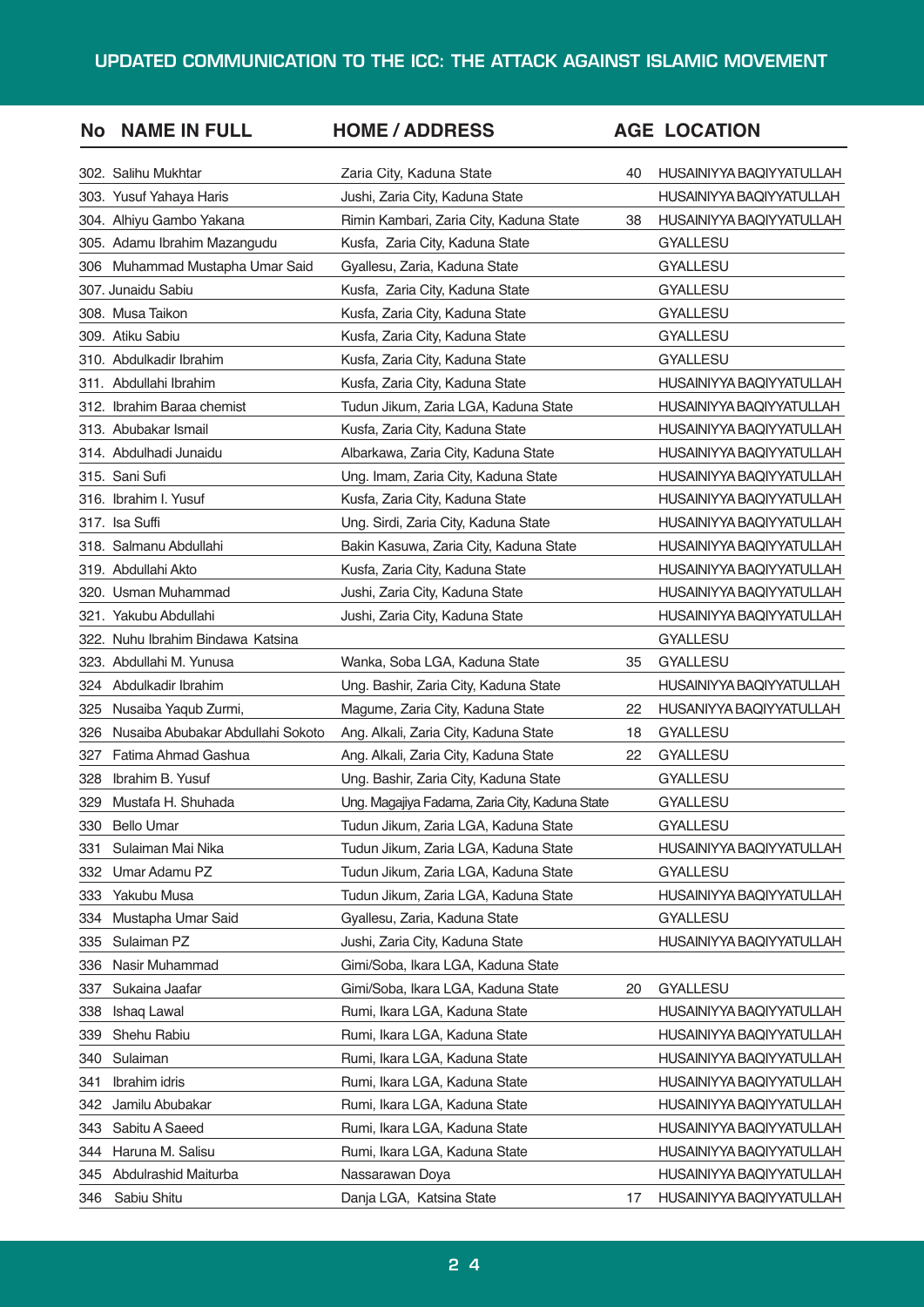| <b>No</b> | <b>NAME IN FULL</b>               | <b>HOME / ADDRESS</b>                          |    | <b>AGE LOCATION</b>      |
|-----------|-----------------------------------|------------------------------------------------|----|--------------------------|
|           | 302. Salihu Mukhtar               | Zaria City, Kaduna State                       | 40 | HUSAINIYYA BAQIYYATULLAH |
|           | 303. Yusuf Yahaya Haris           | Jushi, Zaria City, Kaduna State                |    | HUSAINIYYA BAQIYYATULLAH |
|           | 304. Alhiyu Gambo Yakana          | Rimin Kambari, Zaria City, Kaduna State        | 38 | HUSAINIYYA BAQIYYATULLAH |
|           | 305. Adamu Ibrahim Mazangudu      | Kusfa, Zaria City, Kaduna State                |    | <b>GYALLESU</b>          |
| 306       | Muhammad Mustapha Umar Said       | Gyallesu, Zaria, Kaduna State                  |    | <b>GYALLESU</b>          |
|           | 307. Junaidu Sabiu                | Kusfa, Zaria City, Kaduna State                |    | <b>GYALLESU</b>          |
|           | 308. Musa Taikon                  | Kusfa, Zaria City, Kaduna State                |    | <b>GYALLESU</b>          |
|           | 309. Atiku Sabiu                  | Kusfa, Zaria City, Kaduna State                |    | <b>GYALLESU</b>          |
|           | 310. Abdulkadir Ibrahim           | Kusfa, Zaria City, Kaduna State                |    | <b>GYALLESU</b>          |
|           | 311. Abdullahi Ibrahim            | Kusfa, Zaria City, Kaduna State                |    | HUSAINIYYA BAQIYYATULLAH |
|           | 312. Ibrahim Baraa chemist        | Tudun Jikum, Zaria LGA, Kaduna State           |    | HUSAINIYYA BAQIYYATULLAH |
|           | 313. Abubakar Ismail              | Kusfa, Zaria City, Kaduna State                |    | HUSAINIYYA BAQIYYATULLAH |
|           | 314. Abdulhadi Junaidu            | Albarkawa, Zaria City, Kaduna State            |    | HUSAINIYYA BAQIYYATULLAH |
|           | 315. Sani Sufi                    | Ung. Imam, Zaria City, Kaduna State            |    | HUSAINIYYA BAQIYYATULLAH |
|           | 316. Ibrahim I. Yusuf             | Kusfa, Zaria City, Kaduna State                |    | HUSAINIYYA BAQIYYATULLAH |
|           | 317. Isa Suffi                    | Ung. Sirdi, Zaria City, Kaduna State           |    | HUSAINIYYA BAQIYYATULLAH |
|           | 318. Salmanu Abdullahi            | Bakin Kasuwa, Zaria City, Kaduna State         |    | HUSAINIYYA BAQIYYATULLAH |
|           | 319. Abdullahi Akto               | Kusfa, Zaria City, Kaduna State                |    | HUSAINIYYA BAQIYYATULLAH |
|           | 320. Usman Muhammad               | Jushi, Zaria City, Kaduna State                |    | HUSAINIYYA BAQIYYATULLAH |
|           | 321. Yakubu Abdullahi             | Jushi, Zaria City, Kaduna State                |    | HUSAINIYYA BAQIYYATULLAH |
| 322.      | Nuhu Ibrahim Bindawa Katsina      |                                                |    | <b>GYALLESU</b>          |
|           | 323. Abdullahi M. Yunusa          | Wanka, Soba LGA, Kaduna State                  | 35 | <b>GYALLESU</b>          |
| 324       | Abdulkadir Ibrahim                | Ung. Bashir, Zaria City, Kaduna State          |    | HUSAINIYYA BAQIYYATULLAH |
| 325       | Nusaiba Yaqub Zurmi,              | Magume, Zaria City, Kaduna State               | 22 | HUSANIYYA BAQIYYATULLAH  |
| 326       | Nusaiba Abubakar Abdullahi Sokoto | Ang. Alkali, Zaria City, Kaduna State          | 18 | <b>GYALLESU</b>          |
| 327       | Fatima Ahmad Gashua               | Ang. Alkali, Zaria City, Kaduna State          | 22 | <b>GYALLESU</b>          |
| 328       | Ibrahim B. Yusuf                  | Ung. Bashir, Zaria City, Kaduna State          |    | GYALLESU                 |
| 329       | Mustafa H. Shuhada                | Ung. Magajiya Fadama, Zaria City, Kaduna State |    | GYALLESU                 |
| 330       | <b>Bello Umar</b>                 | Tudun Jikum, Zaria LGA, Kaduna State           |    | GYALLESU                 |
| 331       | Sulaiman Mai Nika                 | Tudun Jikum, Zaria LGA, Kaduna State           |    | HUSAINIYYA BAQIYYATULLAH |
| 332       | Umar Adamu PZ                     | Tudun Jikum, Zaria LGA, Kaduna State           |    | GYALLESU                 |
| 333       | Yakubu Musa                       | Tudun Jikum, Zaria LGA, Kaduna State           |    | HUSAINIYYA BAQIYYATULLAH |
| 334       | Mustapha Umar Said                | Gyallesu, Zaria, Kaduna State                  |    | GYALLESU                 |
| 335       | Sulaiman PZ                       | Jushi, Zaria City, Kaduna State                |    | HUSAINIYYA BAQIYYATULLAH |
| 336       | Nasir Muhammad                    | Gimi/Soba, Ikara LGA, Kaduna State             |    |                          |
| 337       | Sukaina Jaafar                    | Gimi/Soba, Ikara LGA, Kaduna State             | 20 | <b>GYALLESU</b>          |
| 338       | Ishaq Lawal                       | Rumi, Ikara LGA, Kaduna State                  |    | HUSAINIYYA BAQIYYATULLAH |
| 339       | Shehu Rabiu                       | Rumi, Ikara LGA, Kaduna State                  |    | HUSAINIYYA BAQIYYATULLAH |
| 340       | Sulaiman                          | Rumi, Ikara LGA, Kaduna State                  |    | HUSAINIYYA BAQIYYATULLAH |
| 341       | Ibrahim idris                     | Rumi, Ikara LGA, Kaduna State                  |    | HUSAINIYYA BAQIYYATULLAH |
| 342       | Jamilu Abubakar                   | Rumi, Ikara LGA, Kaduna State                  |    | HUSAINIYYA BAQIYYATULLAH |
| 343       | Sabitu A Saeed                    | Rumi, Ikara LGA, Kaduna State                  |    | HUSAINIYYA BAQIYYATULLAH |
| 344       | Haruna M. Salisu                  | Rumi, Ikara LGA, Kaduna State                  |    | HUSAINIYYA BAQIYYATULLAH |
| 345       | Abdulrashid Maiturba              | Nassarawan Doya                                |    | HUSAINIYYA BAQIYYATULLAH |
| 346       | Sabiu Shitu                       | Danja LGA, Katsina State                       | 17 | HUSAINIYYA BAQIYYATULLAH |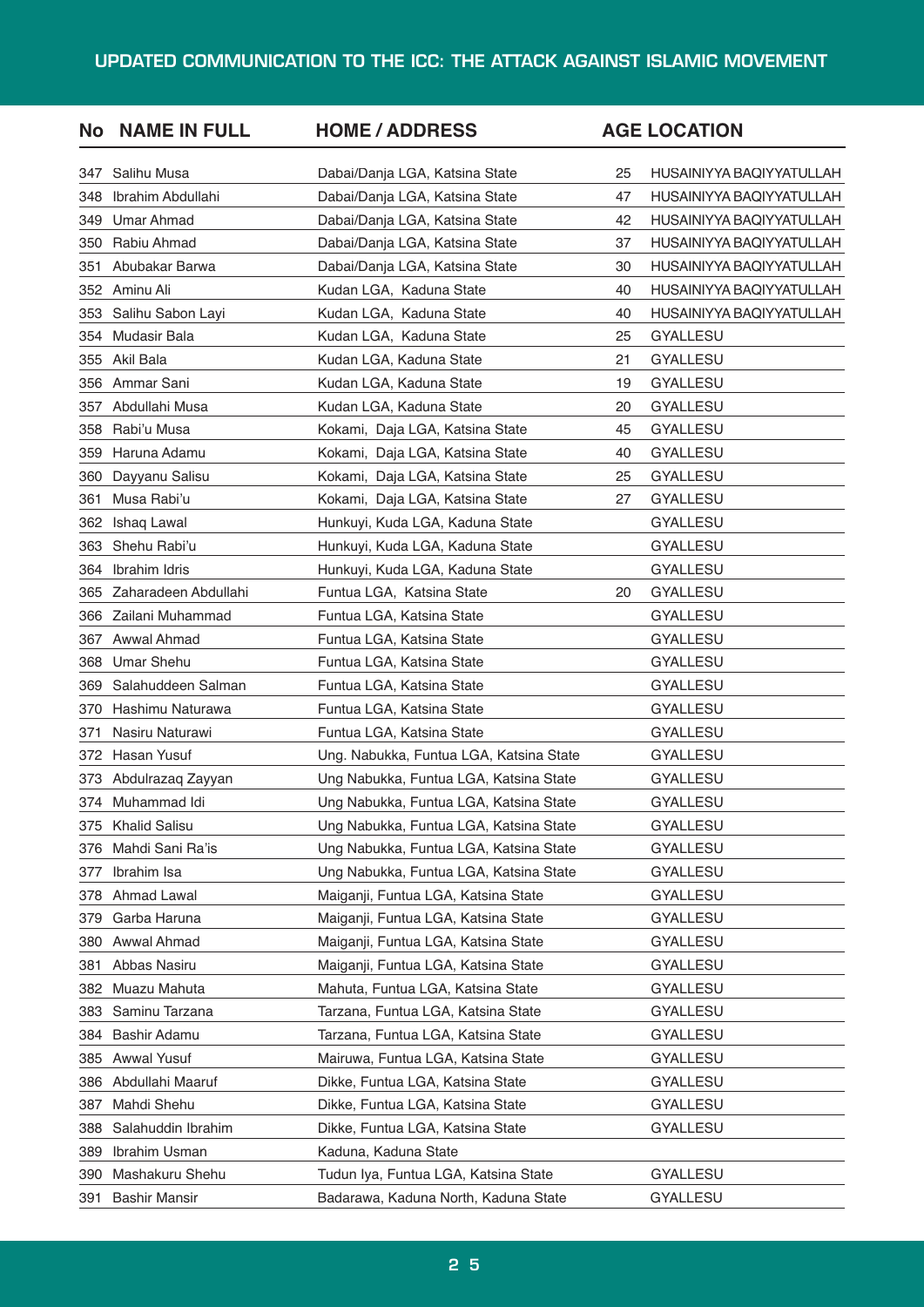| <b>No</b> | <b>NAME IN FULL</b>  | <b>HOME / ADDRESS</b>                   |    | <b>AGE LOCATION</b>      |
|-----------|----------------------|-----------------------------------------|----|--------------------------|
| 347       | Salihu Musa          | Dabai/Danja LGA, Katsina State          | 25 | HUSAINIYYA BAQIYYATULLAH |
| 348       | Ibrahim Abdullahi    | Dabai/Danja LGA, Katsina State          | 47 | HUSAINIYYA BAQIYYATULLAH |
| 349       | Umar Ahmad           | Dabai/Danja LGA, Katsina State          | 42 | HUSAINIYYA BAQIYYATULLAH |
| 350       | Rabiu Ahmad          | Dabai/Danja LGA, Katsina State          | 37 | HUSAINIYYA BAQIYYATULLAH |
| 351       | Abubakar Barwa       | Dabai/Danja LGA, Katsina State          | 30 | HUSAINIYYA BAQIYYATULLAH |
| 352       | Aminu Ali            | Kudan LGA, Kaduna State                 | 40 | HUSAINIYYA BAQIYYATULLAH |
| 353       | Salihu Sabon Layi    | Kudan LGA, Kaduna State                 | 40 | HUSAINIYYA BAQIYYATULLAH |
| 354       | Mudasir Bala         | Kudan LGA, Kaduna State                 | 25 | GYALLESU                 |
| 355       | Akil Bala            | Kudan LGA, Kaduna State                 | 21 | GYALLESU                 |
| 356       | Ammar Sani           | Kudan LGA, Kaduna State                 | 19 | <b>GYALLESU</b>          |
| 357       | Abdullahi Musa       | Kudan LGA, Kaduna State                 | 20 | GYALLESU                 |
| 358       | Rabi'u Musa          | Kokami, Daja LGA, Katsina State         | 45 | GYALLESU                 |
| 359       | Haruna Adamu         | Kokami, Daja LGA, Katsina State         | 40 | GYALLESU                 |
| 360       | Dayyanu Salisu       | Kokami, Daja LGA, Katsina State         | 25 | GYALLESU                 |
| 361       | Musa Rabi'u          | Kokami, Daja LGA, Katsina State         | 27 | GYALLESU                 |
| 362       | Ishaq Lawal          | Hunkuyi, Kuda LGA, Kaduna State         |    | GYALLESU                 |
| 363       | Shehu Rabi'u         | Hunkuyi, Kuda LGA, Kaduna State         |    | GYALLESU                 |
| 364       | Ibrahim Idris        | Hunkuyi, Kuda LGA, Kaduna State         |    | GYALLESU                 |
| 365       | Zaharadeen Abdullahi | Funtua LGA, Katsina State               | 20 | GYALLESU                 |
| 366       | Zailani Muhammad     | Funtua LGA, Katsina State               |    | GYALLESU                 |
| 367       | Awwal Ahmad          | Funtua LGA, Katsina State               |    | <b>GYALLESU</b>          |
| 368       | <b>Umar Shehu</b>    | Funtua LGA, Katsina State               |    | GYALLESU                 |
| 369       | Salahuddeen Salman   | Funtua LGA, Katsina State               |    | GYALLESU                 |
| 370       | Hashimu Naturawa     | Funtua LGA, Katsina State               |    | GYALLESU                 |
| 371       | Nasiru Naturawi      | Funtua LGA, Katsina State               |    | GYALLESU                 |
| 372       | Hasan Yusuf          | Ung. Nabukka, Funtua LGA, Katsina State |    | GYALLESU                 |
| 373       | Abdulrazaq Zayyan    | Ung Nabukka, Funtua LGA, Katsina State  |    | GYALLESU                 |
|           | 374 Muhammad Idi     | Ung Nabukka, Funtua LGA, Katsina State  |    | <b>GYALLESU</b>          |
| 375       | <b>Khalid Salisu</b> | Ung Nabukka, Funtua LGA, Katsina State  |    | GYALLESU                 |
| 376       | Mahdi Sani Ra'is     | Ung Nabukka, Funtua LGA, Katsina State  |    | GYALLESU                 |
| 377       | Ibrahim Isa          | Ung Nabukka, Funtua LGA, Katsina State  |    | GYALLESU                 |
| 378       | Ahmad Lawal          | Maiganji, Funtua LGA, Katsina State     |    | GYALLESU                 |
| 379       | Garba Haruna         | Maiganji, Funtua LGA, Katsina State     |    | GYALLESU                 |
| 380       | Awwal Ahmad          | Maiganji, Funtua LGA, Katsina State     |    | <b>GYALLESU</b>          |
| 381       | Abbas Nasiru         | Maiganji, Funtua LGA, Katsina State     |    | GYALLESU                 |
| 382       | Muazu Mahuta         | Mahuta, Funtua LGA, Katsina State       |    | GYALLESU                 |
| 383       | Saminu Tarzana       | Tarzana, Funtua LGA, Katsina State      |    | GYALLESU                 |
| 384       | Bashir Adamu         | Tarzana, Funtua LGA, Katsina State      |    | GYALLESU                 |
| 385       | Awwal Yusuf          | Mairuwa, Funtua LGA, Katsina State      |    | GYALLESU                 |
| 386       | Abdullahi Maaruf     | Dikke, Funtua LGA, Katsina State        |    | GYALLESU                 |
| 387       | Mahdi Shehu          | Dikke, Funtua LGA, Katsina State        |    | GYALLESU                 |
| 388       | Salahuddin Ibrahim   | Dikke, Funtua LGA, Katsina State        |    | <b>GYALLESU</b>          |
| 389       | Ibrahim Usman        | Kaduna, Kaduna State                    |    |                          |
| 390       | Mashakuru Shehu      | Tudun Iya, Funtua LGA, Katsina State    |    | GYALLESU                 |
| 391       | <b>Bashir Mansir</b> | Badarawa, Kaduna North, Kaduna State    |    | GYALLESU                 |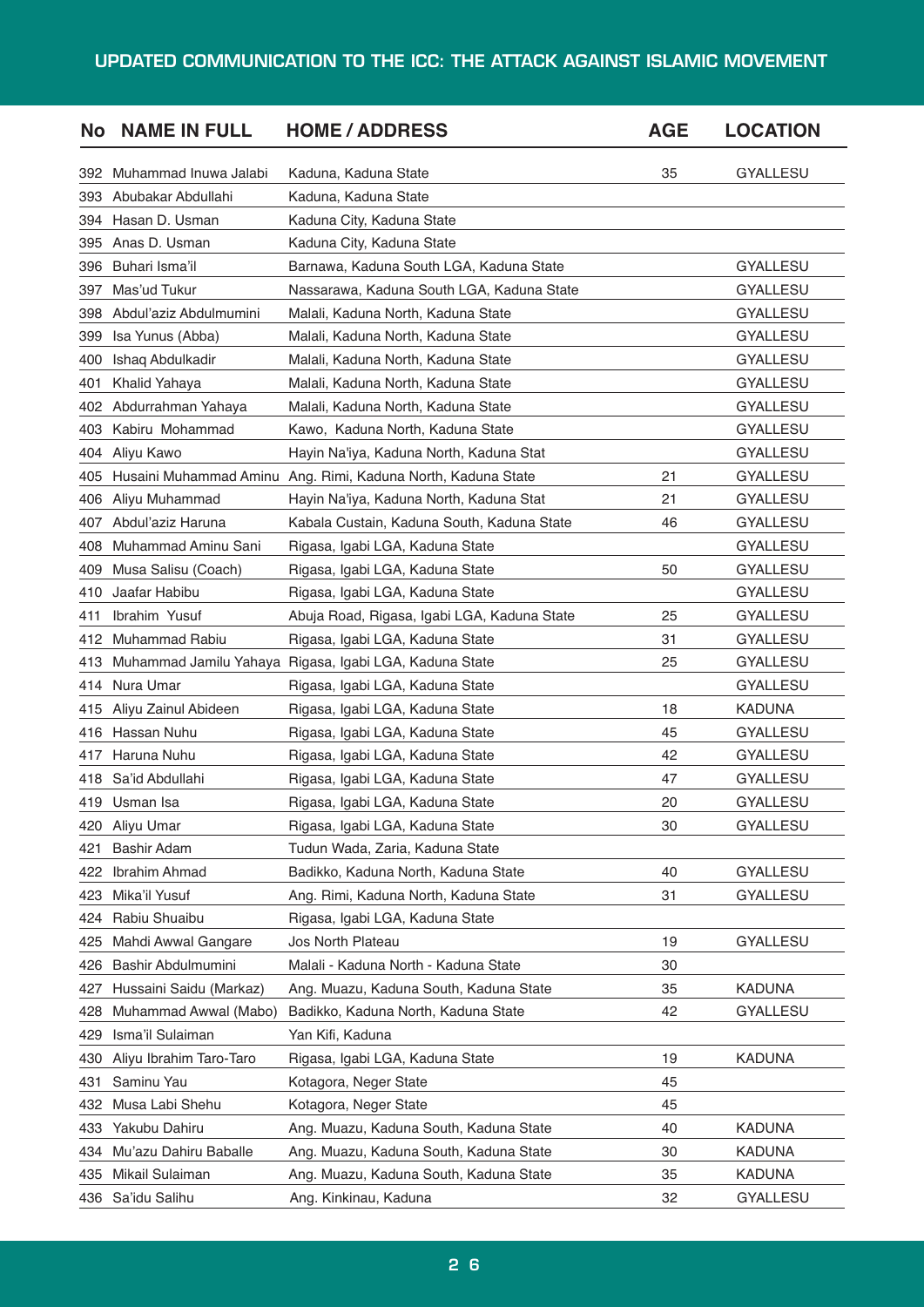| No  | <b>NAME IN FULL</b>     | <b>HOME / ADDRESS</b>                                  | <b>AGE</b> | <b>LOCATION</b> |
|-----|-------------------------|--------------------------------------------------------|------------|-----------------|
| 392 | Muhammad Inuwa Jalabi   | Kaduna, Kaduna State                                   | 35         | <b>GYALLESU</b> |
| 393 | Abubakar Abdullahi      | Kaduna, Kaduna State                                   |            |                 |
| 394 | Hasan D. Usman          | Kaduna City, Kaduna State                              |            |                 |
| 395 | Anas D. Usman           | Kaduna City, Kaduna State                              |            |                 |
| 396 | Buhari Isma'il          | Barnawa, Kaduna South LGA, Kaduna State                |            | <b>GYALLESU</b> |
| 397 | Mas'ud Tukur            | Nassarawa, Kaduna South LGA, Kaduna State              |            | <b>GYALLESU</b> |
| 398 | Abdul'aziz Abdulmumini  | Malali, Kaduna North, Kaduna State                     |            | <b>GYALLESU</b> |
| 399 | Isa Yunus (Abba)        | Malali, Kaduna North, Kaduna State                     |            | <b>GYALLESU</b> |
| 400 | Ishaq Abdulkadir        | Malali, Kaduna North, Kaduna State                     |            | <b>GYALLESU</b> |
| 401 | Khalid Yahaya           | Malali, Kaduna North, Kaduna State                     |            | <b>GYALLESU</b> |
| 402 | Abdurrahman Yahaya      | Malali, Kaduna North, Kaduna State                     |            | <b>GYALLESU</b> |
| 403 | Kabiru Mohammad         | Kawo, Kaduna North, Kaduna State                       |            | <b>GYALLESU</b> |
| 404 | Aliyu Kawo              | Hayin Na'iya, Kaduna North, Kaduna Stat                |            | <b>GYALLESU</b> |
| 405 | Husaini Muhammad Aminu  | Ang. Rimi, Kaduna North, Kaduna State                  | 21         | <b>GYALLESU</b> |
| 406 | Aliyu Muhammad          | Hayin Na'iya, Kaduna North, Kaduna Stat                | 21         | GYALLESU        |
| 407 | Abdul'aziz Haruna       | Kabala Custain, Kaduna South, Kaduna State             | 46         | <b>GYALLESU</b> |
| 408 | Muhammad Aminu Sani     | Rigasa, Igabi LGA, Kaduna State                        |            | <b>GYALLESU</b> |
| 409 | Musa Salisu (Coach)     | Rigasa, Igabi LGA, Kaduna State                        | 50         | <b>GYALLESU</b> |
| 410 | Jaafar Habibu           | Rigasa, Igabi LGA, Kaduna State                        |            | GYALLESU        |
| 411 | Ibrahim Yusuf           | Abuja Road, Rigasa, Igabi LGA, Kaduna State            | 25         | <b>GYALLESU</b> |
| 412 | Muhammad Rabiu          | Rigasa, Igabi LGA, Kaduna State                        | 31         | <b>GYALLESU</b> |
| 413 |                         | Muhammad Jamilu Yahaya Rigasa, Igabi LGA, Kaduna State | 25         | <b>GYALLESU</b> |
| 414 | Nura Umar               | Rigasa, Igabi LGA, Kaduna State                        |            | GYALLESU        |
| 415 | Aliyu Zainul Abideen    | Rigasa, Igabi LGA, Kaduna State                        | 18         | <b>KADUNA</b>   |
| 416 | Hassan Nuhu             | Rigasa, Igabi LGA, Kaduna State                        | 45         | GYALLESU        |
| 417 | Haruna Nuhu             | Rigasa, Igabi LGA, Kaduna State                        | 42         | <b>GYALLESU</b> |
| 418 | Sa'id Abdullahi         | Rigasa, Igabi LGA, Kaduna State                        | 47         | <b>GYALLESU</b> |
| 419 | Usman Isa               | Rigasa, Igabi LGA, Kaduna State                        | 20         | <b>GYALLESU</b> |
| 420 | Aliyu Umar              | Rigasa, Igabi LGA, Kaduna State                        | 30         | <b>GYALLESU</b> |
| 421 | Bashir Adam             | Tudun Wada, Zaria, Kaduna State                        |            |                 |
| 422 | Ibrahim Ahmad           | Badikko, Kaduna North, Kaduna State                    | 40         | <b>GYALLESU</b> |
| 423 | Mika'il Yusuf           | Ang. Rimi, Kaduna North, Kaduna State                  | 31         | <b>GYALLESU</b> |
| 424 | Rabiu Shuaibu           | Rigasa, Igabi LGA, Kaduna State                        |            |                 |
| 425 | Mahdi Awwal Gangare     | Jos North Plateau                                      | 19         | GYALLESU        |
| 426 | Bashir Abdulmumini      | Malali - Kaduna North - Kaduna State                   | 30         |                 |
| 427 | Hussaini Saidu (Markaz) | Ang. Muazu, Kaduna South, Kaduna State                 | 35         | <b>KADUNA</b>   |
| 428 | Muhammad Awwal (Mabo)   | Badikko, Kaduna North, Kaduna State                    | 42         | GYALLESU        |
| 429 | Isma'il Sulaiman        | Yan Kifi, Kaduna                                       |            |                 |
| 430 | Aliyu Ibrahim Taro-Taro | Rigasa, Igabi LGA, Kaduna State                        | 19         | <b>KADUNA</b>   |
| 431 | Saminu Yau              | Kotagora, Neger State                                  | 45         |                 |
| 432 | Musa Labi Shehu         | Kotagora, Neger State                                  | 45         |                 |
| 433 | Yakubu Dahiru           | Ang. Muazu, Kaduna South, Kaduna State                 | 40         | <b>KADUNA</b>   |
| 434 | Mu'azu Dahiru Baballe   | Ang. Muazu, Kaduna South, Kaduna State                 | 30         | KADUNA          |
| 435 | Mikail Sulaiman         | Ang. Muazu, Kaduna South, Kaduna State                 | 35         | <b>KADUNA</b>   |
| 436 | Sa'idu Salihu           | Ang. Kinkinau, Kaduna                                  | 32         | GYALLESU        |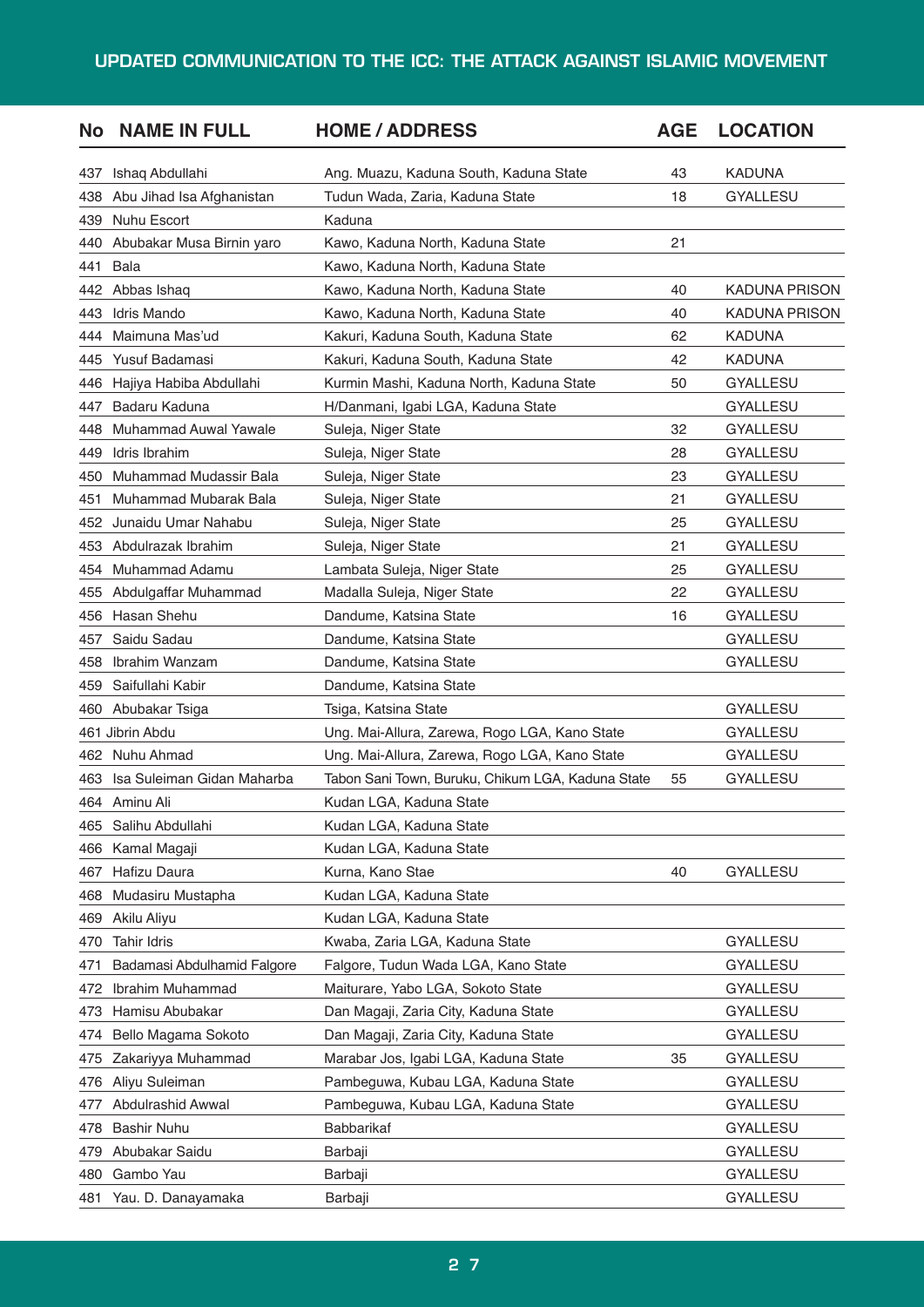| 43<br><b>KADUNA</b><br>Ishaq Abdullahi<br>Ang. Muazu, Kaduna South, Kaduna State<br>437<br>Tudun Wada, Zaria, Kaduna State<br>18<br><b>GYALLESU</b><br>438<br>Abu Jihad Isa Afghanistan<br>Nuhu Escort<br>Kaduna<br>439<br>Abubakar Musa Birnin yaro<br>Kawo, Kaduna North, Kaduna State<br>21<br>440 |                      |
|-------------------------------------------------------------------------------------------------------------------------------------------------------------------------------------------------------------------------------------------------------------------------------------------------------|----------------------|
|                                                                                                                                                                                                                                                                                                       |                      |
|                                                                                                                                                                                                                                                                                                       |                      |
|                                                                                                                                                                                                                                                                                                       |                      |
|                                                                                                                                                                                                                                                                                                       |                      |
| Bala<br>Kawo, Kaduna North, Kaduna State<br>441                                                                                                                                                                                                                                                       |                      |
| 442 Abbas Ishaq<br>40<br>Kawo, Kaduna North, Kaduna State                                                                                                                                                                                                                                             | <b>KADUNA PRISON</b> |
| Idris Mando<br>Kawo, Kaduna North, Kaduna State<br>443<br>40                                                                                                                                                                                                                                          | KADUNA PRISON        |
| Maimuna Mas'ud<br>444<br>Kakuri, Kaduna South, Kaduna State<br>62<br>KADUNA                                                                                                                                                                                                                           |                      |
| Yusuf Badamasi<br>Kakuri, Kaduna South, Kaduna State<br>42<br><b>KADUNA</b><br>445                                                                                                                                                                                                                    |                      |
| <b>GYALLESU</b><br>446<br>Hajiya Habiba Abdullahi<br>Kurmin Mashi, Kaduna North, Kaduna State<br>50                                                                                                                                                                                                   |                      |
| Badaru Kaduna<br>H/Danmani, Igabi LGA, Kaduna State<br>GYALLESU<br>447                                                                                                                                                                                                                                |                      |
| Muhammad Auwal Yawale<br>32<br>GYALLESU<br>448<br>Suleja, Niger State                                                                                                                                                                                                                                 |                      |
| Idris Ibrahim<br>Suleja, Niger State<br>28<br><b>GYALLESU</b><br>449                                                                                                                                                                                                                                  |                      |
| <b>Muhammad Mudassir Bala</b><br>23<br><b>GYALLESU</b><br>450<br>Suleja, Niger State                                                                                                                                                                                                                  |                      |
| Muhammad Mubarak Bala<br>21<br>GYALLESU<br>451<br>Suleja, Niger State                                                                                                                                                                                                                                 |                      |
| Junaidu Umar Nahabu<br>25<br><b>GYALLESU</b><br>452<br>Suleja, Niger State                                                                                                                                                                                                                            |                      |
| Abdulrazak Ibrahim<br>Suleja, Niger State<br>21<br><b>GYALLESU</b><br>453                                                                                                                                                                                                                             |                      |
| Muhammad Adamu<br>25<br><b>GYALLESU</b><br>454<br>Lambata Suleja, Niger State                                                                                                                                                                                                                         |                      |
| Abdulgaffar Muhammad<br>22<br><b>GYALLESU</b><br>455<br>Madalla Suleja, Niger State                                                                                                                                                                                                                   |                      |
| Hasan Shehu<br>Dandume, Katsina State<br><b>GYALLESU</b><br>456<br>16                                                                                                                                                                                                                                 |                      |
| Saidu Sadau<br>GYALLESU<br>457<br>Dandume, Katsina State                                                                                                                                                                                                                                              |                      |
| Ibrahim Wanzam<br>Dandume, Katsina State<br><b>GYALLESU</b><br>458                                                                                                                                                                                                                                    |                      |
| Saifullahi Kabir<br>Dandume, Katsina State<br>459                                                                                                                                                                                                                                                     |                      |
| GYALLESU<br>460<br>Abubakar Tsiga<br>Tsiga, Katsina State                                                                                                                                                                                                                                             |                      |
| 461 Jibrin Abdu<br><b>GYALLESU</b><br>Ung. Mai-Allura, Zarewa, Rogo LGA, Kano State                                                                                                                                                                                                                   |                      |
| 462 Nuhu Ahmad<br>Ung. Mai-Allura, Zarewa, Rogo LGA, Kano State<br><b>GYALLESU</b>                                                                                                                                                                                                                    |                      |
| Isa Suleiman Gidan Maharba<br>Tabon Sani Town, Buruku, Chikum LGA, Kaduna State<br><b>GYALLESU</b><br>463<br>55                                                                                                                                                                                       |                      |
| 464 Aminu Ali<br>Kudan LGA, Kaduna State                                                                                                                                                                                                                                                              |                      |
| Salihu Abdullahi<br>Kudan LGA, Kaduna State<br>465                                                                                                                                                                                                                                                    |                      |
| Kamal Magaji<br>Kudan LGA, Kaduna State<br>466                                                                                                                                                                                                                                                        |                      |
| Hafizu Daura<br><b>GYALLESU</b><br>Kurna, Kano Stae<br>40<br>467                                                                                                                                                                                                                                      |                      |
| Mudasiru Mustapha<br>Kudan LGA, Kaduna State<br>468                                                                                                                                                                                                                                                   |                      |
| Akilu Aliyu<br>Kudan LGA, Kaduna State<br>469                                                                                                                                                                                                                                                         |                      |
| <b>Tahir Idris</b><br><b>GYALLESU</b><br>470<br>Kwaba, Zaria LGA, Kaduna State                                                                                                                                                                                                                        |                      |
| <b>GYALLESU</b><br>Badamasi Abdulhamid Falgore<br>Falgore, Tudun Wada LGA, Kano State<br>471                                                                                                                                                                                                          |                      |
| Ibrahim Muhammad<br>GYALLESU<br>Maiturare, Yabo LGA, Sokoto State<br>472                                                                                                                                                                                                                              |                      |
| Hamisu Abubakar<br>Dan Magaji, Zaria City, Kaduna State<br><b>GYALLESU</b><br>473                                                                                                                                                                                                                     |                      |
| Bello Magama Sokoto<br>Dan Magaji, Zaria City, Kaduna State<br>GYALLESU<br>474                                                                                                                                                                                                                        |                      |
| <b>GYALLESU</b><br>Zakariyya Muhammad<br>Marabar Jos, Igabi LGA, Kaduna State<br>35<br>475                                                                                                                                                                                                            |                      |
| Aliyu Suleiman<br>Pambeguwa, Kubau LGA, Kaduna State<br>GYALLESU<br>476                                                                                                                                                                                                                               |                      |
| Abdulrashid Awwal<br>Pambeguwa, Kubau LGA, Kaduna State<br><b>GYALLESU</b><br>477                                                                                                                                                                                                                     |                      |
| Babbarikaf<br>GYALLESU<br><b>Bashir Nuhu</b><br>478                                                                                                                                                                                                                                                   |                      |
| Abubakar Saidu<br>Barbaji<br>GYALLESU<br>479                                                                                                                                                                                                                                                          |                      |
| Gambo Yau<br>GYALLESU<br>480<br>Barbaji                                                                                                                                                                                                                                                               |                      |
| Yau. D. Danayamaka<br>Barbaji<br><b>GYALLESU</b><br>481                                                                                                                                                                                                                                               |                      |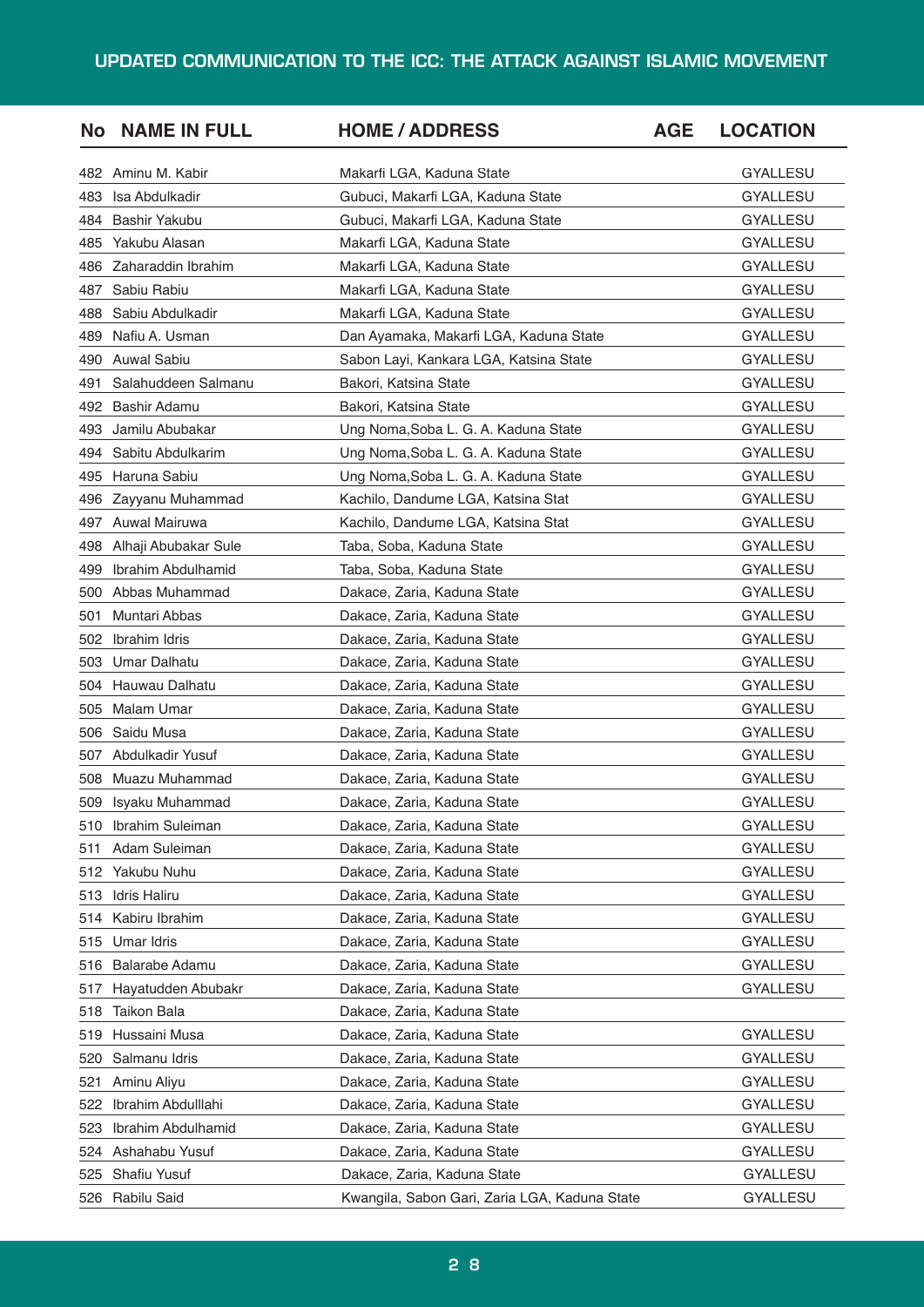| <b>No</b> | <b>NAME IN FULL</b>  | <b>HOME / ADDRESS</b>                         | <b>AGE</b> | <b>LOCATION</b> |
|-----------|----------------------|-----------------------------------------------|------------|-----------------|
| 482       | Aminu M. Kabir       | Makarfi LGA, Kaduna State                     |            | <b>GYALLESU</b> |
| 483       | Isa Abdulkadir       | Gubuci, Makarfi LGA, Kaduna State             |            | <b>GYALLESU</b> |
| 484       | Bashir Yakubu        | Gubuci, Makarfi LGA, Kaduna State             |            | GYALLESU        |
| 485       | Yakubu Alasan        | Makarfi LGA, Kaduna State                     |            | GYALLESU        |
| 486       | Zaharaddin Ibrahim   | Makarfi LGA, Kaduna State                     |            | <b>GYALLESU</b> |
| 487       | Sabiu Rabiu          | Makarfi LGA, Kaduna State                     |            | GYALLESU        |
| 488       | Sabiu Abdulkadir     | Makarfi LGA, Kaduna State                     |            | GYALLESU        |
| 489       | Nafiu A. Usman       | Dan Ayamaka, Makarfi LGA, Kaduna State        |            | GYALLESU        |
| 490       | <b>Auwal Sabiu</b>   | Sabon Layi, Kankara LGA, Katsina State        |            | <b>GYALLESU</b> |
| 491       | Salahuddeen Salmanu  | Bakori, Katsina State                         |            | GYALLESU        |
| 492       | Bashir Adamu         | Bakori, Katsina State                         |            | GYALLESU        |
| 493       | Jamilu Abubakar      | Ung Noma, Soba L. G. A. Kaduna State          |            | GYALLESU        |
| 494       | Sabitu Abdulkarim    | Ung Noma, Soba L. G. A. Kaduna State          |            | <b>GYALLESU</b> |
| 495       | Haruna Sabiu         | Ung Noma, Soba L. G. A. Kaduna State          |            | GYALLESU        |
| 496       | Zayyanu Muhammad     | Kachilo, Dandume LGA, Katsina Stat            |            | <b>GYALLESU</b> |
| 497       | Auwal Mairuwa        | Kachilo, Dandume LGA, Katsina Stat            |            | GYALLESU        |
| 498       | Alhaji Abubakar Sule | Taba, Soba, Kaduna State                      |            | <b>GYALLESU</b> |
| 499       | Ibrahim Abdulhamid   | Taba, Soba, Kaduna State                      |            | GYALLESU        |
| 500       | Abbas Muhammad       | Dakace, Zaria, Kaduna State                   |            | GYALLESU        |
| 501       | Muntari Abbas        | Dakace, Zaria, Kaduna State                   |            | GYALLESU        |
| 502       | Ibrahim Idris        | Dakace, Zaria, Kaduna State                   |            | GYALLESU        |
| 503       | <b>Umar Dalhatu</b>  | Dakace, Zaria, Kaduna State                   |            | GYALLESU        |
| 504       | Hauwau Dalhatu       | Dakace, Zaria, Kaduna State                   |            | GYALLESU        |
| 505       | Malam Umar           | Dakace, Zaria, Kaduna State                   |            | GYALLESU        |
| 506       | Saidu Musa           | Dakace, Zaria, Kaduna State                   |            | GYALLESU        |
| 507       | Abdulkadir Yusuf     | Dakace, Zaria, Kaduna State                   |            | <b>GYALLESU</b> |
| 508       | Muazu Muhammad       | Dakace, Zaria, Kaduna State                   |            | <b>GYALLESU</b> |
| 509       | Isyaku Muhammad      | Dakace, Zaria, Kaduna State                   |            | <b>GYALLESU</b> |
| 510       | Ibrahim Suleiman     | Dakace, Zaria, Kaduna State                   |            | <b>GYALLESU</b> |
| 511       | Adam Suleiman        | Dakace, Zaria, Kaduna State                   |            | <b>GYALLESU</b> |
| 512       | Yakubu Nuhu          | Dakace, Zaria, Kaduna State                   |            | <b>GYALLESU</b> |
| 513       | <b>Idris Haliru</b>  | Dakace, Zaria, Kaduna State                   |            | GYALLESU        |
| 514       | Kabiru Ibrahim       | Dakace, Zaria, Kaduna State                   |            | <b>GYALLESU</b> |
| 515       | Umar Idris           | Dakace, Zaria, Kaduna State                   |            | <b>GYALLESU</b> |
| 516       | Balarabe Adamu       | Dakace, Zaria, Kaduna State                   |            | GYALLESU        |
| 517       | Hayatudden Abubakr   | Dakace, Zaria, Kaduna State                   |            | GYALLESU        |
| 518       | Taikon Bala          | Dakace, Zaria, Kaduna State                   |            |                 |
| 519       | Hussaini Musa        | Dakace, Zaria, Kaduna State                   |            | GYALLESU        |
| 520       | Salmanu Idris        | Dakace, Zaria, Kaduna State                   |            | GYALLESU        |
| 521       | Aminu Aliyu          | Dakace, Zaria, Kaduna State                   |            | <b>GYALLESU</b> |
| 522       | Ibrahim Abdulllahi   | Dakace, Zaria, Kaduna State                   |            | GYALLESU        |
| 523       | Ibrahim Abdulhamid   | Dakace, Zaria, Kaduna State                   |            | GYALLESU        |
| 524       | Ashahabu Yusuf       | Dakace, Zaria, Kaduna State                   |            | <b>GYALLESU</b> |
| 525       | Shafiu Yusuf         | Dakace, Zaria, Kaduna State                   |            | <b>GYALLESU</b> |
| 526       | Rabilu Said          | Kwangila, Sabon Gari, Zaria LGA, Kaduna State |            | <b>GYALLESU</b> |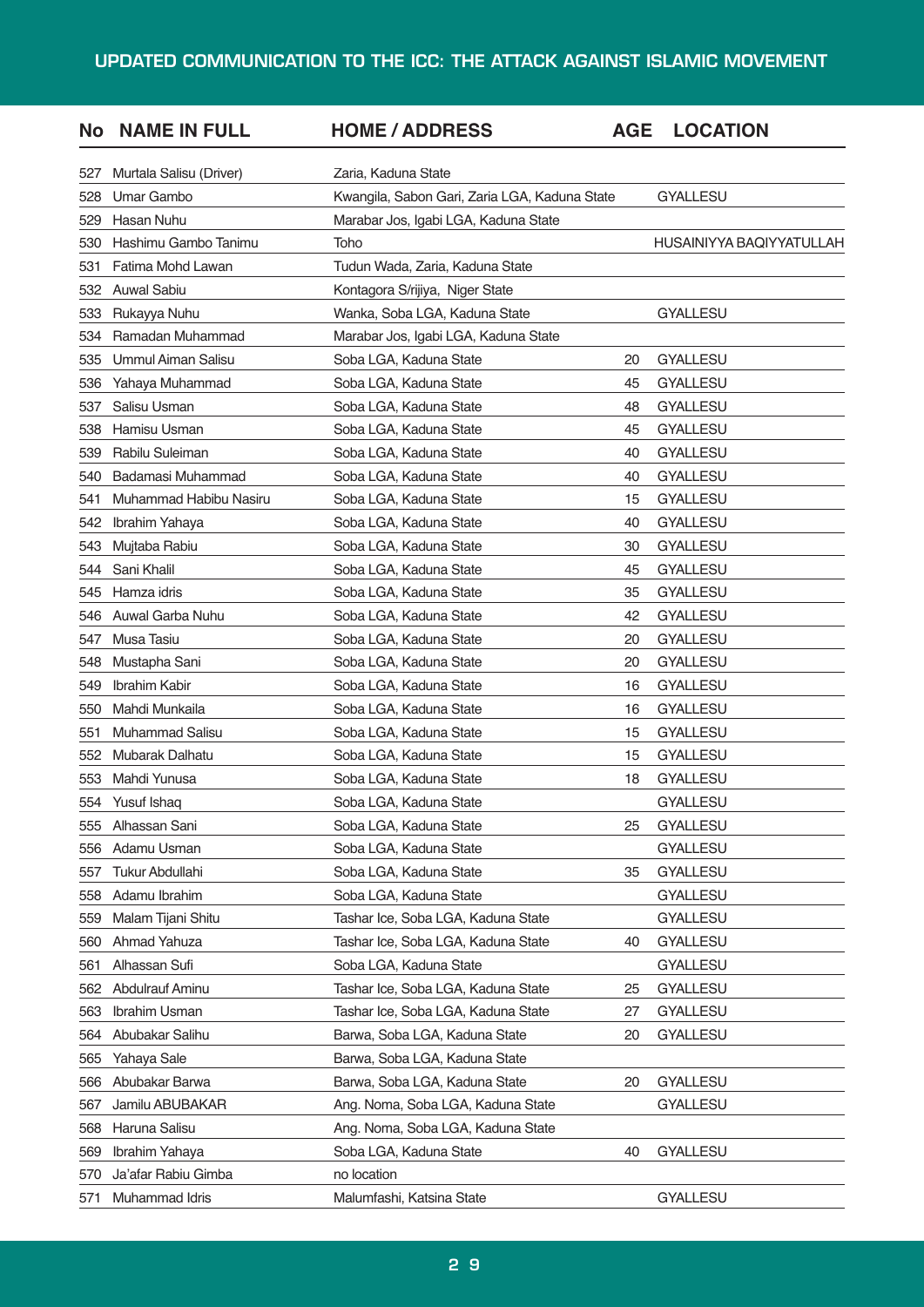| No  | <b>NAME IN FULL</b>       | <b>HOME / ADDRESS</b>                         | <b>AGE</b> | <b>LOCATION</b>          |
|-----|---------------------------|-----------------------------------------------|------------|--------------------------|
| 527 | Murtala Salisu (Driver)   | Zaria, Kaduna State                           |            |                          |
| 528 | Umar Gambo                | Kwangila, Sabon Gari, Zaria LGA, Kaduna State |            | <b>GYALLESU</b>          |
| 529 | <b>Hasan Nuhu</b>         | Marabar Jos, Igabi LGA, Kaduna State          |            |                          |
| 530 | Hashimu Gambo Tanimu      | Toho                                          |            | HUSAINIYYA BAQIYYATULLAH |
| 531 | Fatima Mohd Lawan         | Tudun Wada, Zaria, Kaduna State               |            |                          |
| 532 | <b>Auwal Sabiu</b>        | Kontagora S/rijiya, Niger State               |            |                          |
| 533 | Rukayya Nuhu              | Wanka, Soba LGA, Kaduna State                 |            | <b>GYALLESU</b>          |
| 534 | Ramadan Muhammad          | Marabar Jos, Igabi LGA, Kaduna State          |            |                          |
| 535 | <b>Ummul Aiman Salisu</b> | Soba LGA, Kaduna State                        | 20         | <b>GYALLESU</b>          |
| 536 | Yahaya Muhammad           | Soba LGA, Kaduna State                        | 45         | <b>GYALLESU</b>          |
| 537 | Salisu Usman              | Soba LGA, Kaduna State                        | 48         | <b>GYALLESU</b>          |
| 538 | Hamisu Usman              | Soba LGA, Kaduna State                        | 45         | <b>GYALLESU</b>          |
| 539 | Rabilu Suleiman           | Soba LGA, Kaduna State                        | 40         | <b>GYALLESU</b>          |
| 540 | Badamasi Muhammad         | Soba LGA, Kaduna State                        | 40         | <b>GYALLESU</b>          |
| 541 | Muhammad Habibu Nasiru    | Soba LGA, Kaduna State                        | 15         | GYALLESU                 |
| 542 | Ibrahim Yahaya            | Soba LGA, Kaduna State                        | 40         | <b>GYALLESU</b>          |
| 543 | Mujtaba Rabiu             | Soba LGA, Kaduna State                        | 30         | <b>GYALLESU</b>          |
| 544 | Sani Khalil               | Soba LGA, Kaduna State                        | 45         | <b>GYALLESU</b>          |
| 545 | Hamza idris               | Soba LGA, Kaduna State                        | 35         | GYALLESU                 |
| 546 | Auwal Garba Nuhu          | Soba LGA, Kaduna State                        | 42         | <b>GYALLESU</b>          |
| 547 | Musa Tasiu                | Soba LGA, Kaduna State                        | 20         | <b>GYALLESU</b>          |
| 548 | Mustapha Sani             | Soba LGA, Kaduna State                        | 20         | <b>GYALLESU</b>          |
| 549 | Ibrahim Kabir             | Soba LGA, Kaduna State                        | 16         | GYALLESU                 |
| 550 | Mahdi Munkaila            | Soba LGA, Kaduna State                        | 16         | <b>GYALLESU</b>          |
| 551 | Muhammad Salisu           | Soba LGA, Kaduna State                        | 15         | <b>GYALLESU</b>          |
| 552 | Mubarak Dalhatu           | Soba LGA, Kaduna State                        | 15         | <b>GYALLESU</b>          |
| 553 | Mahdi Yunusa              | Soba LGA, Kaduna State                        | 18         | GYALLESU                 |
| 554 | Yusuf Ishaq               | Soba LGA, Kaduna State                        |            | <b>GYALLESU</b>          |
| 555 | Alhassan Sani             | Soba LGA, Kaduna State                        | 25         | <b>GYALLESU</b>          |
| 556 | Adamu Usman               | Soba LGA, Kaduna State                        |            | <b>GYALLESU</b>          |
| 557 | Tukur Abdullahi           | Soba LGA, Kaduna State                        | 35         | <b>GYALLESU</b>          |
| 558 | Adamu Ibrahim             | Soba LGA, Kaduna State                        |            | <b>GYALLESU</b>          |
| 559 | Malam Tijani Shitu        | Tashar Ice, Soba LGA, Kaduna State            |            | <b>GYALLESU</b>          |
| 560 | Ahmad Yahuza              | Tashar Ice, Soba LGA, Kaduna State            | 40         | <b>GYALLESU</b>          |
| 561 | Alhassan Sufi             | Soba LGA, Kaduna State                        |            | <b>GYALLESU</b>          |
| 562 | Abdulrauf Aminu           | Tashar Ice, Soba LGA, Kaduna State            | 25         | <b>GYALLESU</b>          |
| 563 | Ibrahim Usman             | Tashar Ice, Soba LGA, Kaduna State            | 27         | <b>GYALLESU</b>          |
| 564 | Abubakar Salihu           | Barwa, Soba LGA, Kaduna State                 | 20         | <b>GYALLESU</b>          |
| 565 | Yahaya Sale               | Barwa, Soba LGA, Kaduna State                 |            |                          |
| 566 | Abubakar Barwa            | Barwa, Soba LGA, Kaduna State                 | 20         | <b>GYALLESU</b>          |
| 567 | Jamilu ABUBAKAR           | Ang. Noma, Soba LGA, Kaduna State             |            | <b>GYALLESU</b>          |
| 568 | Haruna Salisu             | Ang. Noma, Soba LGA, Kaduna State             |            |                          |
| 569 | Ibrahim Yahaya            | Soba LGA, Kaduna State                        | 40         | <b>GYALLESU</b>          |
| 570 | Ja'afar Rabiu Gimba       | no location                                   |            |                          |
| 571 | Muhammad Idris            | Malumfashi, Katsina State                     |            | <b>GYALLESU</b>          |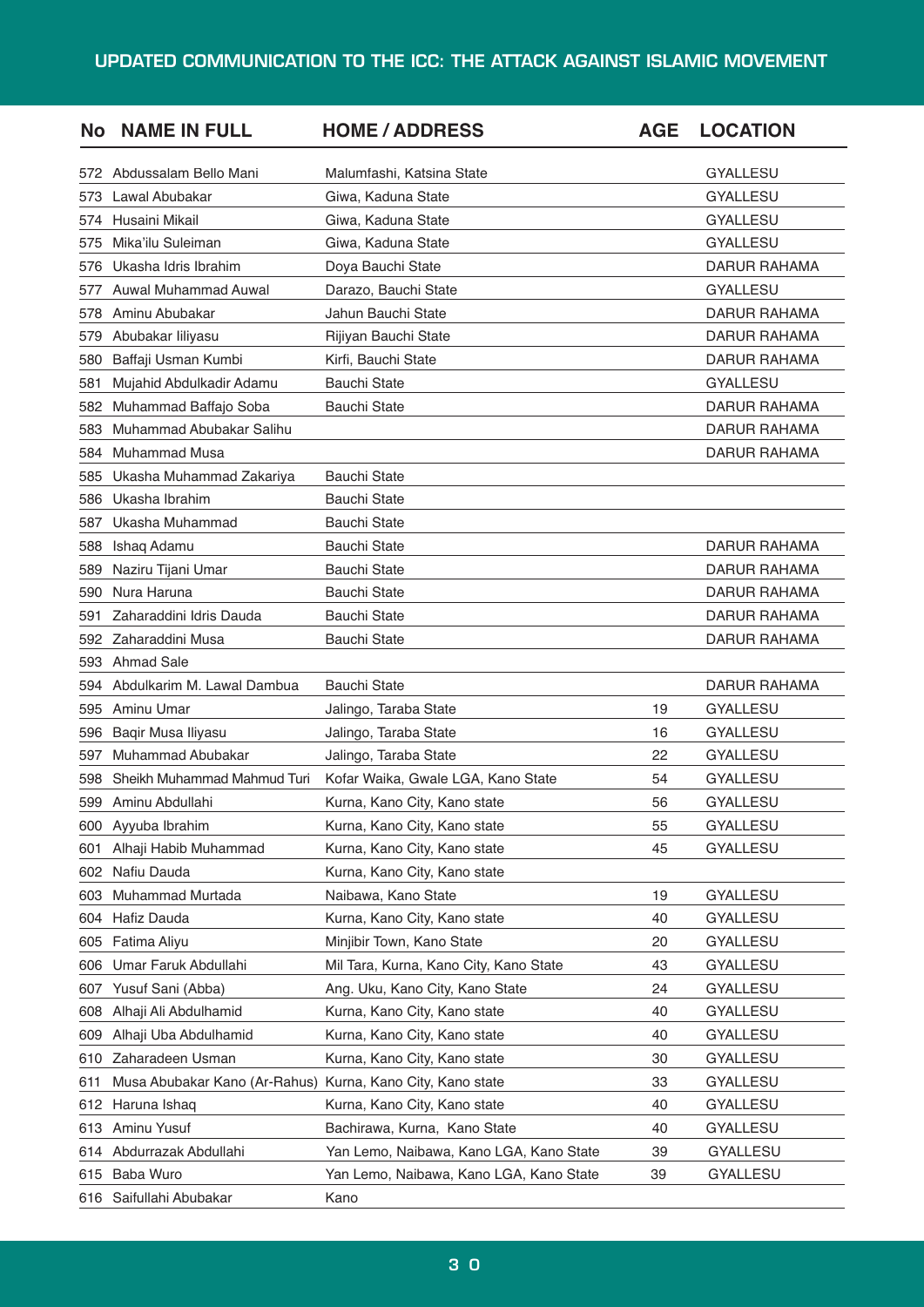| No  | <b>NAME IN FULL</b>           | <b>HOME / ADDRESS</b>                   | <b>AGE</b> | <b>LOCATION</b>     |
|-----|-------------------------------|-----------------------------------------|------------|---------------------|
| 572 | Abdussalam Bello Mani         | Malumfashi, Katsina State               |            | <b>GYALLESU</b>     |
| 573 | Lawal Abubakar                | Giwa, Kaduna State                      |            | <b>GYALLESU</b>     |
| 574 | Husaini Mikail                | Giwa, Kaduna State                      |            | <b>GYALLESU</b>     |
| 575 | Mika'ilu Suleiman             | Giwa, Kaduna State                      |            | <b>GYALLESU</b>     |
| 576 | Ukasha Idris Ibrahim          | Doya Bauchi State                       |            | <b>DARUR RAHAMA</b> |
| 577 | <b>Auwal Muhammad Auwal</b>   | Darazo, Bauchi State                    |            | <b>GYALLESU</b>     |
| 578 | Aminu Abubakar                | Jahun Bauchi State                      |            | DARUR RAHAMA        |
| 579 | Abubakar liliyasu             | Rijiyan Bauchi State                    |            | <b>DARUR RAHAMA</b> |
| 580 | Baffaji Usman Kumbi           | Kirfi, Bauchi State                     |            | <b>DARUR RAHAMA</b> |
| 581 | Mujahid Abdulkadir Adamu      | <b>Bauchi State</b>                     |            | <b>GYALLESU</b>     |
| 582 | Muhammad Baffajo Soba         | <b>Bauchi State</b>                     |            | DARUR RAHAMA        |
| 583 | Muhammad Abubakar Salihu      |                                         |            | <b>DARUR RAHAMA</b> |
| 584 | <b>Muhammad Musa</b>          |                                         |            | DARUR RAHAMA        |
| 585 | Ukasha Muhammad Zakariya      | <b>Bauchi State</b>                     |            |                     |
| 586 | Ukasha Ibrahim                | <b>Bauchi State</b>                     |            |                     |
| 587 | Ukasha Muhammad               | <b>Bauchi State</b>                     |            |                     |
| 588 | Ishaq Adamu                   | <b>Bauchi State</b>                     |            | <b>DARUR RAHAMA</b> |
| 589 | Naziru Tijani Umar            | <b>Bauchi State</b>                     |            | <b>DARUR RAHAMA</b> |
| 590 | Nura Haruna                   | <b>Bauchi State</b>                     |            | DARUR RAHAMA        |
| 591 | Zaharaddini Idris Dauda       | <b>Bauchi State</b>                     |            | <b>DARUR RAHAMA</b> |
| 592 | Zaharaddini Musa              | <b>Bauchi State</b>                     |            | <b>DARUR RAHAMA</b> |
| 593 | <b>Ahmad Sale</b>             |                                         |            |                     |
| 594 | Abdulkarim M. Lawal Dambua    | <b>Bauchi State</b>                     |            | <b>DARUR RAHAMA</b> |
| 595 | Aminu Umar                    | Jalingo, Taraba State                   | 19         | <b>GYALLESU</b>     |
| 596 | Baqir Musa Iliyasu            | Jalingo, Taraba State                   | 16         | <b>GYALLESU</b>     |
| 597 | Muhammad Abubakar             | Jalingo, Taraba State                   | 22         | <b>GYALLESU</b>     |
| 598 | Sheikh Muhammad Mahmud Turi   | Kofar Waika, Gwale LGA, Kano State      | 54         | <b>GYALLESU</b>     |
| 599 | Aminu Abdullahi               | Kurna, Kano City, Kano state            | 56         | <b>GYALLESU</b>     |
| 600 | Ayyuba Ibrahim                | Kurna, Kano City, Kano state            | 55         | GYALLESU            |
| 601 | Alhaji Habib Muhammad         | Kurna, Kano City, Kano state            | 45         | <b>GYALLESU</b>     |
| 602 | Nafiu Dauda                   | Kurna, Kano City, Kano state            |            |                     |
| 603 | Muhammad Murtada              | Naibawa, Kano State                     | 19         | GYALLESU            |
| 604 | Hafiz Dauda                   | Kurna, Kano City, Kano state            | 40         | GYALLESU            |
| 605 | Fatima Aliyu                  | Minjibir Town, Kano State               | 20         | GYALLESU            |
| 606 | Umar Faruk Abdullahi          | Mil Tara, Kurna, Kano City, Kano State  | 43         | GYALLESU            |
| 607 | Yusuf Sani (Abba)             | Ang. Uku, Kano City, Kano State         | 24         | <b>GYALLESU</b>     |
| 608 | Alhaji Ali Abdulhamid         | Kurna, Kano City, Kano state            | 40         | GYALLESU            |
| 609 | Alhaji Uba Abdulhamid         | Kurna, Kano City, Kano state            | 40         | GYALLESU            |
| 610 | Zaharadeen Usman              | Kurna, Kano City, Kano state            | 30         | GYALLESU            |
| 611 | Musa Abubakar Kano (Ar-Rahus) | Kurna, Kano City, Kano state            | 33         | GYALLESU            |
| 612 | Haruna Ishaq                  | Kurna, Kano City, Kano state            | 40         | GYALLESU            |
| 613 | Aminu Yusuf                   | Bachirawa, Kurna, Kano State            | 40         | GYALLESU            |
| 614 | Abdurrazak Abdullahi          | Yan Lemo, Naibawa, Kano LGA, Kano State | 39         | GYALLESU            |
| 615 | Baba Wuro                     | Yan Lemo, Naibawa, Kano LGA, Kano State | 39         | GYALLESU            |
|     | 616 Saifullahi Abubakar       | Kano                                    |            |                     |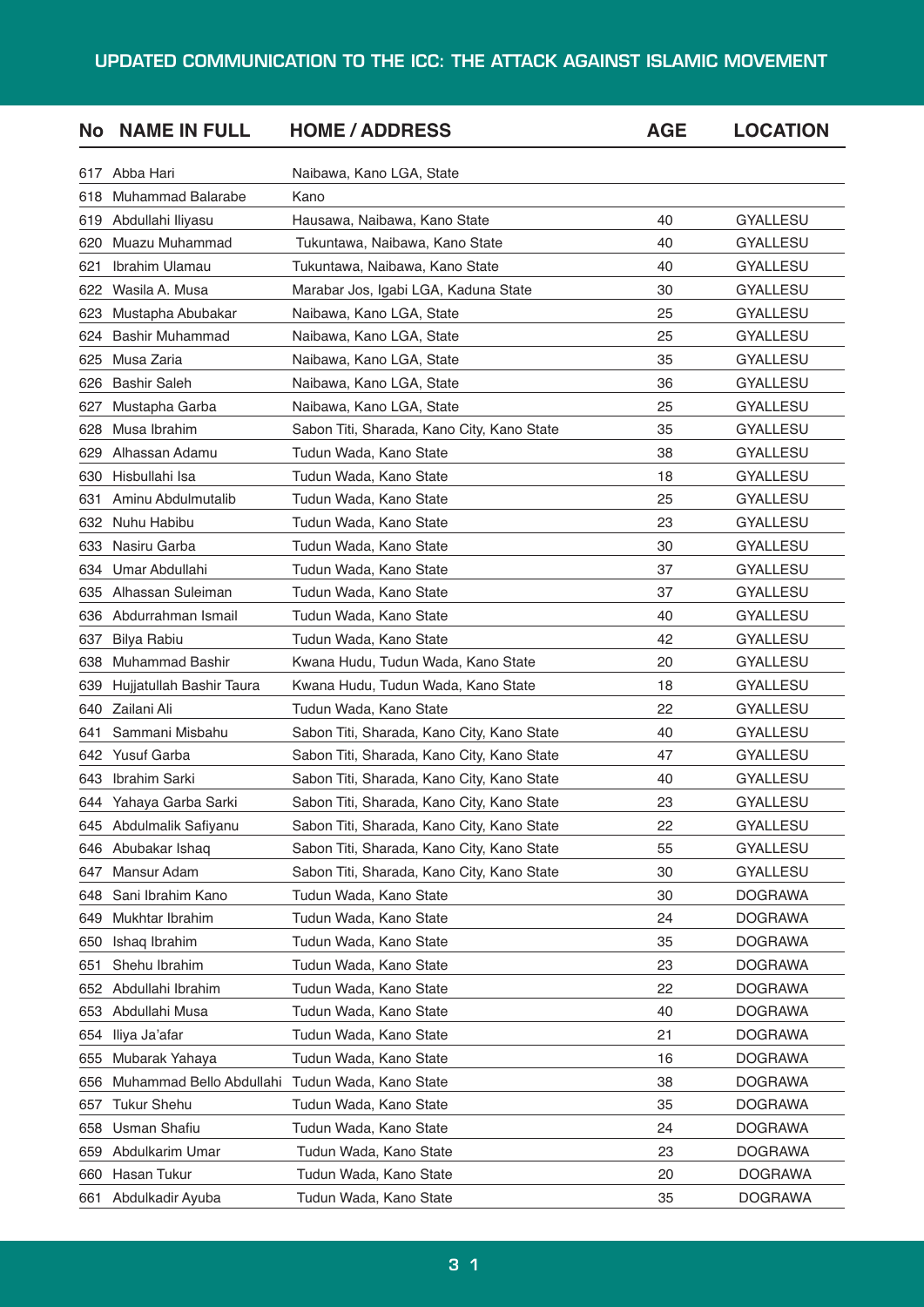| No   | <b>NAME IN FULL</b>      | <b>HOME / ADDRESS</b>                      | <b>AGE</b> | <b>LOCATION</b> |
|------|--------------------------|--------------------------------------------|------------|-----------------|
| 617  | Abba Hari                | Naibawa, Kano LGA, State                   |            |                 |
| 618  | <b>Muhammad Balarabe</b> | Kano                                       |            |                 |
| 619  | Abdullahi Iliyasu        | Hausawa, Naibawa, Kano State               | 40         | <b>GYALLESU</b> |
| 620  | Muazu Muhammad           | Tukuntawa, Naibawa, Kano State             | 40         | <b>GYALLESU</b> |
| 621  | Ibrahim Ulamau           | Tukuntawa, Naibawa, Kano State             | 40         | <b>GYALLESU</b> |
| 622  | Wasila A. Musa           | Marabar Jos, Igabi LGA, Kaduna State       | 30         | <b>GYALLESU</b> |
| 623  | Mustapha Abubakar        | Naibawa, Kano LGA, State                   | 25         | <b>GYALLESU</b> |
| 624  | <b>Bashir Muhammad</b>   | Naibawa, Kano LGA, State                   | 25         | <b>GYALLESU</b> |
| 625  | Musa Zaria               | Naibawa, Kano LGA, State                   | 35         | <b>GYALLESU</b> |
| 626  | <b>Bashir Saleh</b>      | Naibawa, Kano LGA, State                   | 36         | <b>GYALLESU</b> |
| 627  | Mustapha Garba           | Naibawa, Kano LGA, State                   | 25         | <b>GYALLESU</b> |
| 628  | Musa Ibrahim             | Sabon Titi, Sharada, Kano City, Kano State | 35         | <b>GYALLESU</b> |
| 629  | Alhassan Adamu           | Tudun Wada, Kano State                     | 38         | <b>GYALLESU</b> |
| 630  | Hisbullahi Isa           | Tudun Wada, Kano State                     | 18         | <b>GYALLESU</b> |
| 631  | Aminu Abdulmutalib       | Tudun Wada, Kano State                     | 25         | <b>GYALLESU</b> |
| 632  | Nuhu Habibu              | Tudun Wada, Kano State                     | 23         | <b>GYALLESU</b> |
| 633  | Nasiru Garba             | Tudun Wada, Kano State                     | 30         | <b>GYALLESU</b> |
| 634  | Umar Abdullahi           | Tudun Wada, Kano State                     | 37         | <b>GYALLESU</b> |
| 635  | Alhassan Suleiman        | Tudun Wada, Kano State                     | 37         | <b>GYALLESU</b> |
| 636  | Abdurrahman Ismail       | Tudun Wada, Kano State                     | 40         | <b>GYALLESU</b> |
| 637  | Bilya Rabiu              | Tudun Wada, Kano State                     | 42         | <b>GYALLESU</b> |
| 638  | <b>Muhammad Bashir</b>   | Kwana Hudu, Tudun Wada, Kano State         | 20         | <b>GYALLESU</b> |
| 639  | Hujjatullah Bashir Taura | Kwana Hudu, Tudun Wada, Kano State         | 18         | <b>GYALLESU</b> |
| 640  | Zailani Ali              | Tudun Wada, Kano State                     | 22         | <b>GYALLESU</b> |
| 641  | Sammani Misbahu          | Sabon Titi, Sharada, Kano City, Kano State | 40         | <b>GYALLESU</b> |
| 642  | Yusuf Garba              | Sabon Titi, Sharada, Kano City, Kano State | 47         | <b>GYALLESU</b> |
| 643  | Ibrahim Sarki            | Sabon Titi, Sharada, Kano City, Kano State | 40         | <b>GYALLESU</b> |
| 644. | Yahaya Garba Sarki       | Sabon Titi, Sharada, Kano City, Kano State | 23         | <b>GYALLESU</b> |
| 645  | Abdulmalik Safiyanu      | Sabon Titi, Sharada, Kano City, Kano State | 22         | GYALLESU        |
| 646  | Abubakar Ishaq           | Sabon Titi, Sharada, Kano City, Kano State | 55         | GYALLESU        |
| 647  | Mansur Adam              | Sabon Titi, Sharada, Kano City, Kano State | 30         | GYALLESU        |
| 648  | Sani Ibrahim Kano        | Tudun Wada, Kano State                     | 30         | <b>DOGRAWA</b>  |
| 649  | Mukhtar Ibrahim          | Tudun Wada, Kano State                     | 24         | <b>DOGRAWA</b>  |
| 650  | Ishaq Ibrahim            | Tudun Wada, Kano State                     | 35         | <b>DOGRAWA</b>  |
| 651  | Shehu Ibrahim            | Tudun Wada, Kano State                     | 23         | <b>DOGRAWA</b>  |
| 652  | Abdullahi Ibrahim        | Tudun Wada, Kano State                     | 22         | <b>DOGRAWA</b>  |
| 653  | Abdullahi Musa           | Tudun Wada, Kano State                     | 40         | <b>DOGRAWA</b>  |
| 654  | Iliya Ja'afar            | Tudun Wada, Kano State                     | 21         | <b>DOGRAWA</b>  |
| 655  | Mubarak Yahaya           | Tudun Wada, Kano State                     | 16         | <b>DOGRAWA</b>  |
| 656  | Muhammad Bello Abdullahi | Tudun Wada, Kano State                     | 38         | <b>DOGRAWA</b>  |
| 657  | <b>Tukur Shehu</b>       | Tudun Wada, Kano State                     | 35         | <b>DOGRAWA</b>  |
| 658  | Usman Shafiu             | Tudun Wada, Kano State                     | 24         | <b>DOGRAWA</b>  |
| 659  | Abdulkarim Umar          | Tudun Wada, Kano State                     | 23         | <b>DOGRAWA</b>  |
| 660  | Hasan Tukur              | Tudun Wada, Kano State                     | 20         | <b>DOGRAWA</b>  |
| 661  | Abdulkadir Ayuba         | Tudun Wada, Kano State                     | 35         | <b>DOGRAWA</b>  |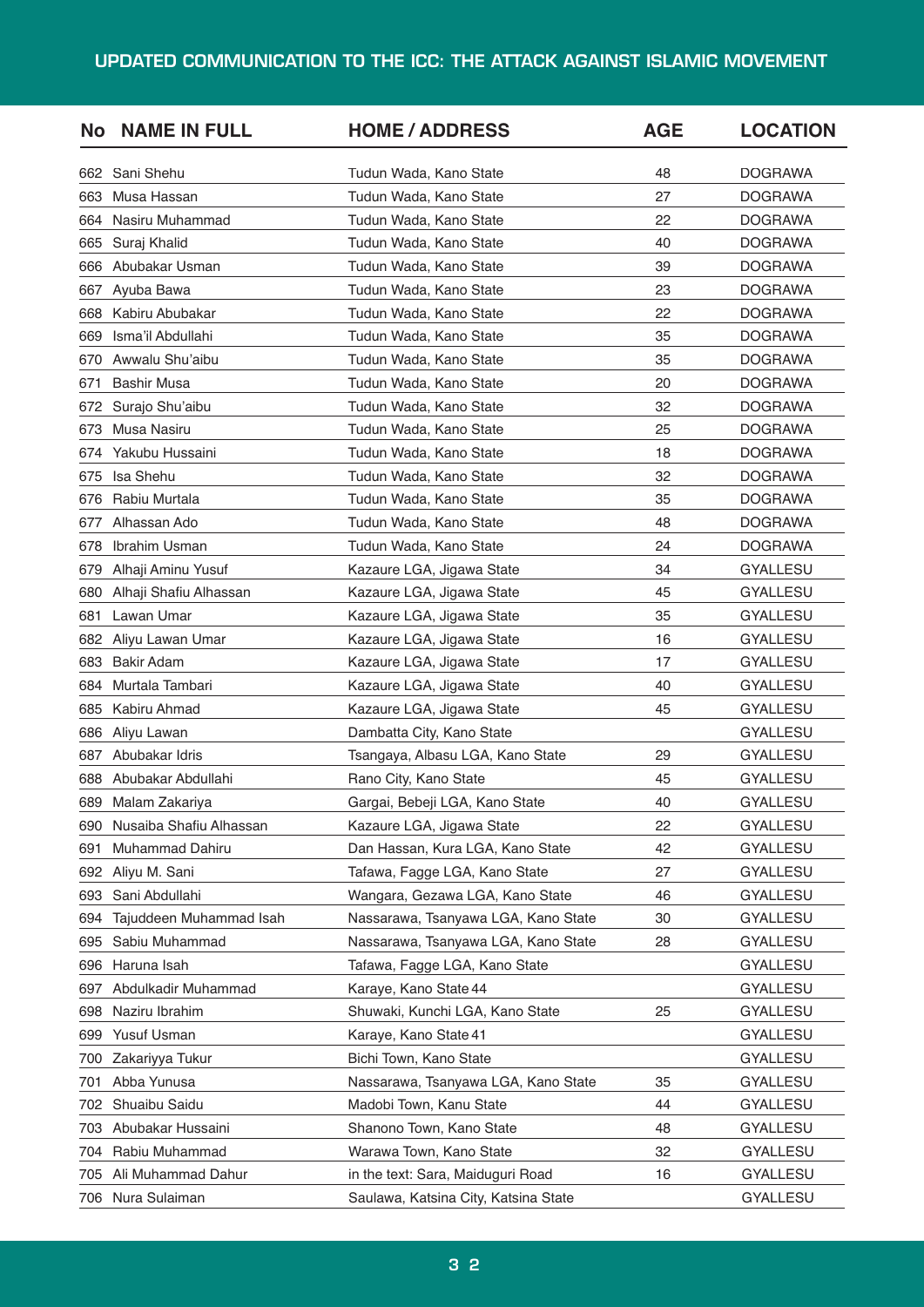### **UPDATED COMMUNICATION TO THE ICC: THE ATTACK AGAINST ISLAMIC MOVEMENT**

| <b>No</b> | <b>NAME IN FULL</b>     | <b>HOME / ADDRESS</b>                | <b>AGE</b> | <b>LOCATION</b> |
|-----------|-------------------------|--------------------------------------|------------|-----------------|
| 662       | Sani Shehu              | Tudun Wada, Kano State               | 48         | <b>DOGRAWA</b>  |
| 663       | Musa Hassan             | Tudun Wada, Kano State               | 27         | <b>DOGRAWA</b>  |
| 664       | Nasiru Muhammad         | Tudun Wada, Kano State               | 22         | <b>DOGRAWA</b>  |
| 665       | Suraj Khalid            | Tudun Wada, Kano State               | 40         | <b>DOGRAWA</b>  |
| 666       | Abubakar Usman          | Tudun Wada, Kano State               | 39         | <b>DOGRAWA</b>  |
| 667       | Ayuba Bawa              | Tudun Wada, Kano State               | 23         | <b>DOGRAWA</b>  |
| 668       | Kabiru Abubakar         | Tudun Wada, Kano State               | 22         | <b>DOGRAWA</b>  |
| 669       | Isma'il Abdullahi       | Tudun Wada, Kano State               | 35         | <b>DOGRAWA</b>  |
| 670       | Awwalu Shu'aibu         | Tudun Wada, Kano State               | 35         | <b>DOGRAWA</b>  |
| 671       | <b>Bashir Musa</b>      | Tudun Wada, Kano State               | 20         | <b>DOGRAWA</b>  |
| 672       | Surajo Shu'aibu         | Tudun Wada, Kano State               | 32         | <b>DOGRAWA</b>  |
| 673       | Musa Nasiru             | Tudun Wada, Kano State               | 25         | <b>DOGRAWA</b>  |
| 674       | Yakubu Hussaini         | Tudun Wada, Kano State               | 18         | <b>DOGRAWA</b>  |
| 675       | Isa Shehu               | Tudun Wada, Kano State               | 32         | <b>DOGRAWA</b>  |
| 676       | Rabiu Murtala           | Tudun Wada, Kano State               | 35         | <b>DOGRAWA</b>  |
| 677       | Alhassan Ado            | Tudun Wada, Kano State               | 48         | <b>DOGRAWA</b>  |
| 678       | Ibrahim Usman           | Tudun Wada, Kano State               | 24         | <b>DOGRAWA</b>  |
| 679       | Alhaji Aminu Yusuf      | Kazaure LGA, Jigawa State            | 34         | GYALLESU        |
| 680       | Alhaji Shafiu Alhassan  | Kazaure LGA, Jigawa State            | 45         | GYALLESU        |
| 681       | Lawan Umar              | Kazaure LGA, Jigawa State            | 35         | <b>GYALLESU</b> |
| 682       | Aliyu Lawan Umar        | Kazaure LGA, Jigawa State            | 16         | <b>GYALLESU</b> |
| 683       | <b>Bakir Adam</b>       | Kazaure LGA, Jigawa State            | 17         | GYALLESU        |
| 684       | Murtala Tambari         | Kazaure LGA, Jigawa State            | 40         | GYALLESU        |
| 685       | Kabiru Ahmad            | Kazaure LGA, Jigawa State            | 45         | GYALLESU        |
| 686       | Aliyu Lawan             | Dambatta City, Kano State            |            | GYALLESU        |
| 687       | Abubakar Idris          | Tsangaya, Albasu LGA, Kano State     | 29         | <b>GYALLESU</b> |
| 688       | Abubakar Abdullahi      | Rano City, Kano State                | 45         | <b>GYALLESU</b> |
| 689       | Malam Zakariya          | Gargai, Bebeji LGA, Kano State       | 40         | <b>GYALLESU</b> |
| 690       | Nusaiba Shafiu Alhassan | Kazaure LGA, Jigawa State            | 22         | GYALLESU        |
| 691       | Muhammad Dahiru         | Dan Hassan, Kura LGA, Kano State     | 42         | GYALLESU        |
| 692       | Aliyu M. Sani           | Tafawa, Fagge LGA, Kano State        | 27         | <b>GYALLESU</b> |
| 693       | Sani Abdullahi          | Wangara, Gezawa LGA, Kano State      | 46         | GYALLESU        |
| 694       | Tajuddeen Muhammad Isah | Nassarawa, Tsanyawa LGA, Kano State  | 30         | GYALLESU        |
| 695       | Sabiu Muhammad          | Nassarawa, Tsanyawa LGA, Kano State  | 28         | GYALLESU        |
| 696       | Haruna Isah             | Tafawa, Fagge LGA, Kano State        |            | <b>GYALLESU</b> |
| 697       | Abdulkadir Muhammad     | Karaye, Kano State 44                |            | GYALLESU        |
| 698       | Naziru Ibrahim          | Shuwaki, Kunchi LGA, Kano State      | 25         | <b>GYALLESU</b> |
| 699       | Yusuf Usman             | Karaye, Kano State 41                |            | GYALLESU        |
| 700       | Zakariyya Tukur         | Bichi Town, Kano State               |            | <b>GYALLESU</b> |
| 701       | Abba Yunusa             | Nassarawa, Tsanyawa LGA, Kano State  | 35         | GYALLESU        |
| 702       | Shuaibu Saidu           | Madobi Town, Kanu State              | 44         | GYALLESU        |
| 703       | Abubakar Hussaini       | Shanono Town, Kano State             | 48         | GYALLESU        |
| 704       | Rabiu Muhammad          | Warawa Town, Kano State              | 32         | GYALLESU        |
| 705       | Ali Muhammad Dahur      | in the text: Sara, Maiduguri Road    | 16         | GYALLESU        |
|           | 706 Nura Sulaiman       | Saulawa, Katsina City, Katsina State |            | GYALLESU        |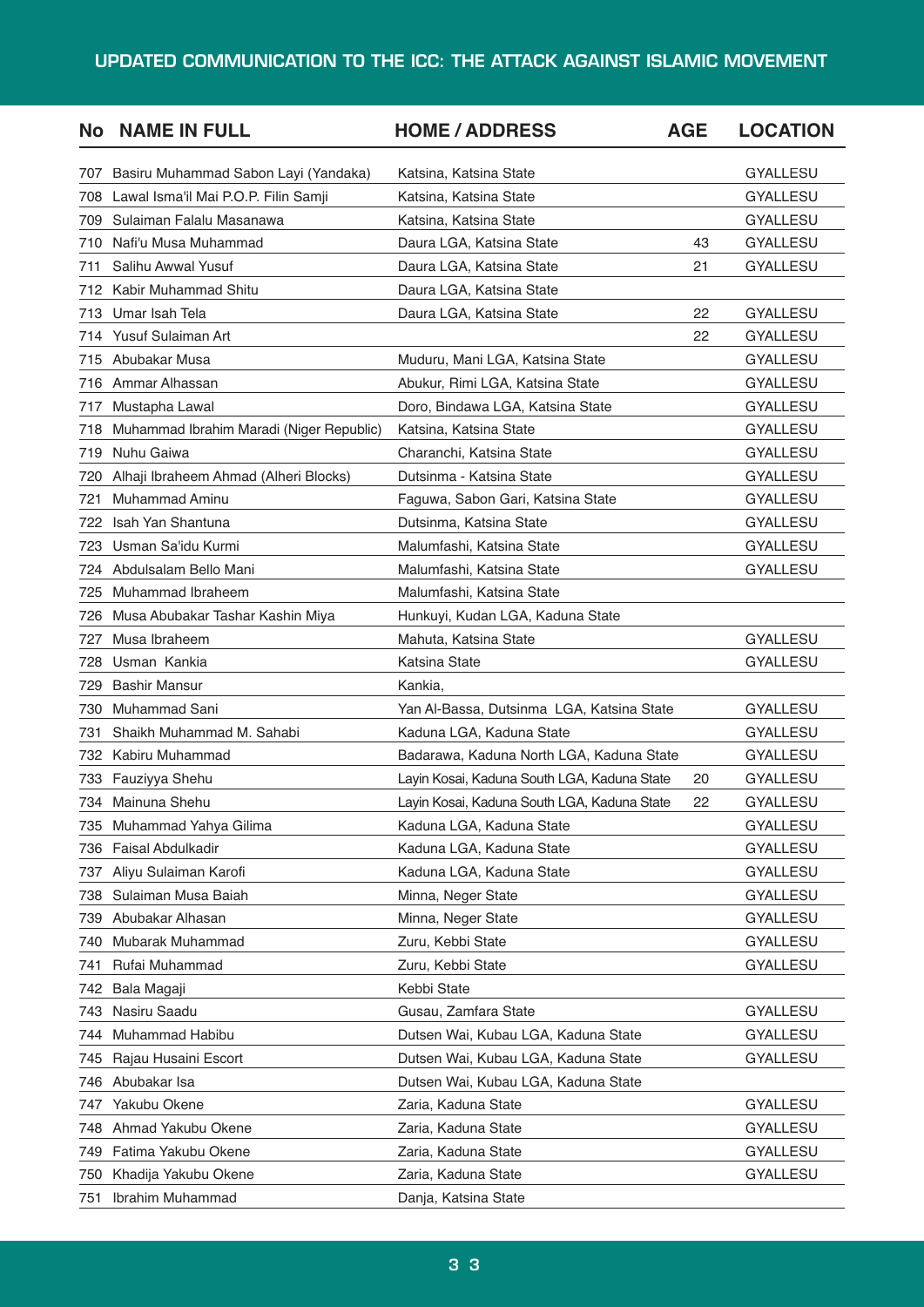### **UPDATED COMMUNICATION TO THE ICC: THE ATTACK AGAINST ISLAMIC MOVEMENT**

| <b>No</b> | <b>NAME IN FULL</b>                      | <b>HOME / ADDRESS</b>                       | <b>AGE</b> | <b>LOCATION</b> |
|-----------|------------------------------------------|---------------------------------------------|------------|-----------------|
| 707       | Basiru Muhammad Sabon Layi (Yandaka)     | Katsina, Katsina State                      |            | <b>GYALLESU</b> |
| 708       | Lawal Isma'il Mai P.O.P. Filin Samji     | Katsina, Katsina State                      |            | <b>GYALLESU</b> |
| 709       | Sulaiman Falalu Masanawa                 | Katsina, Katsina State                      |            | <b>GYALLESU</b> |
| 710       | Nafi'u Musa Muhammad                     | Daura LGA, Katsina State                    | 43         | GYALLESU        |
| 711       | Salihu Awwal Yusuf                       | Daura LGA, Katsina State                    | 21         | <b>GYALLESU</b> |
|           | 712 Kabir Muhammad Shitu                 | Daura LGA, Katsina State                    |            |                 |
|           | 713 Umar Isah Tela                       | Daura LGA, Katsina State                    | 22         | <b>GYALLESU</b> |
| 714.      | Yusuf Sulaiman Art                       |                                             | 22         | GYALLESU        |
| 715       | Abubakar Musa                            | Muduru, Mani LGA, Katsina State             |            | <b>GYALLESU</b> |
| 716       | Ammar Alhassan                           | Abukur, Rimi LGA, Katsina State             |            | <b>GYALLESU</b> |
| 717       | Mustapha Lawal                           | Doro, Bindawa LGA, Katsina State            |            | <b>GYALLESU</b> |
| 718       | Muhammad Ibrahim Maradi (Niger Republic) | Katsina, Katsina State                      |            | <b>GYALLESU</b> |
| 719       | Nuhu Gaiwa                               | Charanchi, Katsina State                    |            | <b>GYALLESU</b> |
| 720       | Alhaji Ibraheem Ahmad (Alheri Blocks)    | Dutsinma - Katsina State                    |            | <b>GYALLESU</b> |
| 721       | <b>Muhammad Aminu</b>                    | Faguwa, Sabon Gari, Katsina State           |            | <b>GYALLESU</b> |
| 722       | Isah Yan Shantuna                        | Dutsinma, Katsina State                     |            | <b>GYALLESU</b> |
| 723       | Usman Sa'idu Kurmi                       | Malumfashi, Katsina State                   |            | <b>GYALLESU</b> |
| 724       | Abdulsalam Bello Mani                    | Malumfashi, Katsina State                   |            | <b>GYALLESU</b> |
| 725       | Muhammad Ibraheem                        | Malumfashi, Katsina State                   |            |                 |
| 726       | Musa Abubakar Tashar Kashin Miya         | Hunkuyi, Kudan LGA, Kaduna State            |            |                 |
| 727       | Musa Ibraheem                            | Mahuta, Katsina State                       |            | <b>GYALLESU</b> |
| 728       | Usman Kankia                             | Katsina State                               |            | <b>GYALLESU</b> |
| 729       | <b>Bashir Mansur</b>                     | Kankia,                                     |            |                 |
| 730       | Muhammad Sani                            | Yan Al-Bassa, Dutsinma LGA, Katsina State   |            | <b>GYALLESU</b> |
| 731       | Shaikh Muhammad M. Sahabi                | Kaduna LGA, Kaduna State                    |            | <b>GYALLESU</b> |
|           | 732 Kabiru Muhammad                      | Badarawa, Kaduna North LGA, Kaduna State    |            | GYALLESU        |
| 733       | Fauziyya Shehu                           | Layin Kosai, Kaduna South LGA, Kaduna State | 20         | GYALLESU        |
|           | 734 Mainuna Shehu                        | Layin Kosai, Kaduna South LGA, Kaduna State | 22         | <b>GYALLESU</b> |
| 735       | Muhammad Yahya Gilima                    | Kaduna LGA, Kaduna State                    |            | <b>GYALLESU</b> |
| 736       | <b>Faisal Abdulkadir</b>                 | Kaduna LGA, Kaduna State                    |            | <b>GYALLESU</b> |
| 737       | Aliyu Sulaiman Karofi                    | Kaduna LGA, Kaduna State                    |            | <b>GYALLESU</b> |
| 738       | Sulaiman Musa Baiah                      | Minna, Neger State                          |            | <b>GYALLESU</b> |
| 739       | Abubakar Alhasan                         | Minna, Neger State                          |            | GYALLESU        |
| 740       | Mubarak Muhammad                         | Zuru, Kebbi State                           |            | <b>GYALLESU</b> |
| 741       | Rufai Muhammad                           | Zuru, Kebbi State                           |            | <b>GYALLESU</b> |
| 742       | Bala Magaji                              | Kebbi State                                 |            |                 |
| 743       | Nasiru Saadu                             | Gusau, Zamfara State                        |            | <b>GYALLESU</b> |
| 744       | Muhammad Habibu                          | Dutsen Wai, Kubau LGA, Kaduna State         |            | <b>GYALLESU</b> |
| 745       | Rajau Husaini Escort                     | Dutsen Wai, Kubau LGA, Kaduna State         |            | <b>GYALLESU</b> |
| 746       | Abubakar Isa                             | Dutsen Wai, Kubau LGA, Kaduna State         |            |                 |
| 747       | Yakubu Okene                             | Zaria, Kaduna State                         |            | <b>GYALLESU</b> |
| 748       | Ahmad Yakubu Okene                       | Zaria, Kaduna State                         |            | <b>GYALLESU</b> |
| 749       | Fatima Yakubu Okene                      | Zaria, Kaduna State                         |            | <b>GYALLESU</b> |
| 750       | Khadija Yakubu Okene                     | Zaria, Kaduna State                         |            | <b>GYALLESU</b> |
| 751       | Ibrahim Muhammad                         | Danja, Katsina State                        |            |                 |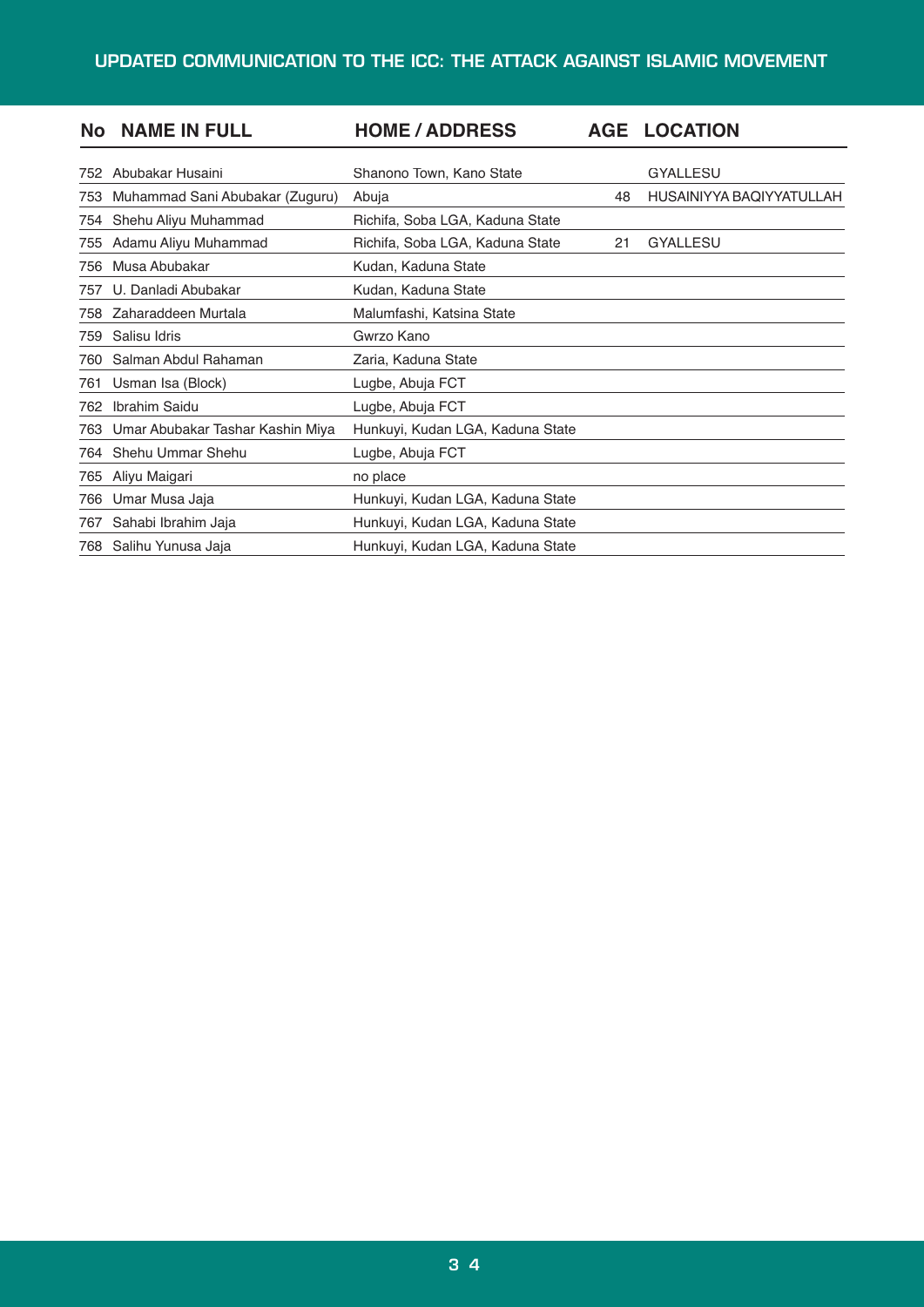| <b>No</b> | <b>NAME IN FULL</b>              | <b>HOME / ADDRESS</b>            | <b>AGE</b> | <b>LOCATION</b>          |
|-----------|----------------------------------|----------------------------------|------------|--------------------------|
| 752.      | Abubakar Husaini                 | Shanono Town, Kano State         |            | <b>GYALLESU</b>          |
| 753       | Muhammad Sani Abubakar (Zuguru)  | Abuja                            | 48         | HUSAINIYYA BAQIYYATULLAH |
| 754       | Shehu Aliyu Muhammad             | Richifa, Soba LGA, Kaduna State  |            |                          |
| 755       | Adamu Aliyu Muhammad             | Richifa, Soba LGA, Kaduna State  | 21         | <b>GYALLESU</b>          |
| 756       | Musa Abubakar                    | Kudan, Kaduna State              |            |                          |
| 757       | U. Danladi Abubakar              | Kudan, Kaduna State              |            |                          |
| 758       | Zaharaddeen Murtala              | Malumfashi, Katsina State        |            |                          |
| 759       | Salisu Idris                     | Gwrzo Kano                       |            |                          |
| 760       | Salman Abdul Rahaman             | Zaria, Kaduna State              |            |                          |
| 761       | Usman Isa (Block)                | Lugbe, Abuja FCT                 |            |                          |
| 762       | <b>Ibrahim Saidu</b>             | Lugbe, Abuja FCT                 |            |                          |
| 763       | Umar Abubakar Tashar Kashin Miya | Hunkuyi, Kudan LGA, Kaduna State |            |                          |
| 764       | Shehu Ummar Shehu                | Lugbe, Abuja FCT                 |            |                          |
| 765       | Aliyu Maigari                    | no place                         |            |                          |
| 766       | Umar Musa Jaja                   | Hunkuyi, Kudan LGA, Kaduna State |            |                          |
| 767       | Sahabi Ibrahim Jaja              | Hunkuyi, Kudan LGA, Kaduna State |            |                          |
|           | 768 Salihu Yunusa Jaja           | Hunkuyi, Kudan LGA, Kaduna State |            |                          |